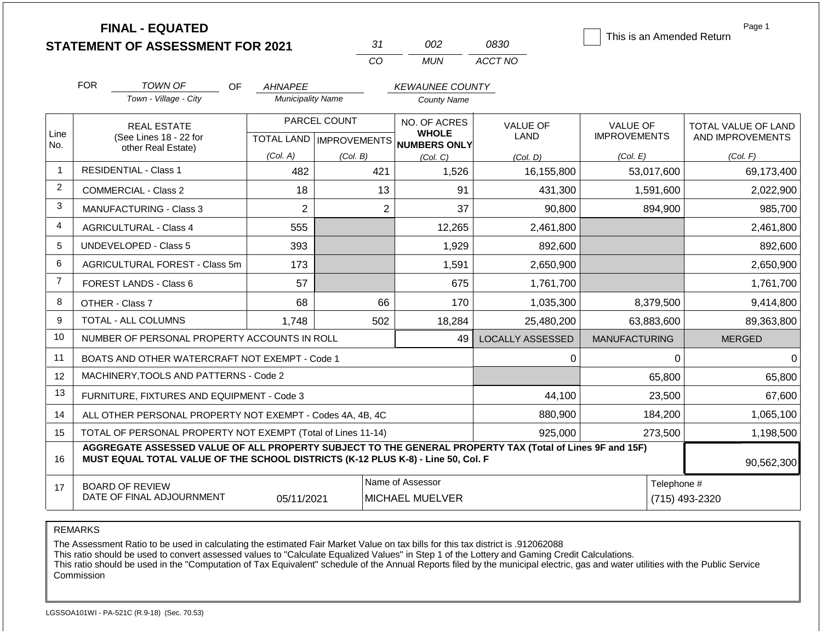|                |                                                                                  | <b>FINAL - EQUATED</b><br><b>STATEMENT OF ASSESSMENT FOR 2021</b>                                        |                                  |              | 31                      | 002                                 | 0830                    | This is an Amended Return | Page 1              |  |
|----------------|----------------------------------------------------------------------------------|----------------------------------------------------------------------------------------------------------|----------------------------------|--------------|-------------------------|-------------------------------------|-------------------------|---------------------------|---------------------|--|
|                |                                                                                  |                                                                                                          |                                  |              | CO                      | <b>MUN</b>                          | ACCT NO                 |                           |                     |  |
|                | <b>FOR</b>                                                                       | TOWN OF<br>OF.                                                                                           | <b>AHNAPEE</b>                   |              |                         | <b>KEWAUNEE COUNTY</b>              |                         |                           |                     |  |
|                |                                                                                  | Town - Village - City                                                                                    | <b>Municipality Name</b>         |              | <b>County Name</b>      |                                     |                         |                           |                     |  |
|                |                                                                                  | <b>REAL ESTATE</b>                                                                                       |                                  | PARCEL COUNT |                         | NO. OF ACRES                        | <b>VALUE OF</b>         | <b>VALUE OF</b>           | TOTAL VALUE OF LAND |  |
| Line<br>No.    |                                                                                  | (See Lines 18 - 22 for                                                                                   | <b>TOTAL LAND   IMPROVEMENTS</b> |              |                         | <b>WHOLE</b><br><b>NUMBERS ONLY</b> | LAND                    | <b>IMPROVEMENTS</b>       | AND IMPROVEMENTS    |  |
|                |                                                                                  | other Real Estate)                                                                                       | (Col. A)                         | (Col. B)     |                         | (Col. C)                            | (Col. D)                | (Col. E)                  | (Col. F)            |  |
| $\mathbf{1}$   |                                                                                  | <b>RESIDENTIAL - Class 1</b>                                                                             | 482                              |              | 421                     | 1,526                               | 16,155,800              | 53,017,600                | 69,173,400          |  |
| $\overline{2}$ |                                                                                  | <b>COMMERCIAL - Class 2</b>                                                                              | 18                               |              | 13                      | 91                                  | 431,300                 | 1,591,600                 | 2,022,900           |  |
| 3              |                                                                                  | MANUFACTURING - Class 3                                                                                  | $\overline{2}$                   |              | $\overline{\mathbf{c}}$ | 37                                  | 90,800                  | 894,900                   | 985,700             |  |
| 4              | 555<br><b>AGRICULTURAL - Class 4</b>                                             |                                                                                                          |                                  |              | 12,265                  | 2,461,800                           |                         | 2,461,800                 |                     |  |
| 5              | <b>UNDEVELOPED - Class 5</b><br>393                                              |                                                                                                          |                                  |              | 1,929                   | 892,600                             |                         | 892,600                   |                     |  |
| 6              |                                                                                  | AGRICULTURAL FOREST - Class 5m                                                                           | 173                              |              |                         | 1,591                               | 2,650,900               |                           | 2,650,900           |  |
| $\overline{7}$ |                                                                                  | FOREST LANDS - Class 6                                                                                   | 57                               |              |                         | 675                                 | 1,761,700               |                           | 1,761,700           |  |
| 8              |                                                                                  | OTHER - Class 7                                                                                          | 68                               |              | 66                      | 170                                 | 1,035,300               | 8,379,500                 | 9,414,800           |  |
| 9              |                                                                                  | TOTAL - ALL COLUMNS                                                                                      | 1,748                            |              | 502                     | 18,284                              | 25,480,200              | 63,883,600                | 89,363,800          |  |
| 10             |                                                                                  | NUMBER OF PERSONAL PROPERTY ACCOUNTS IN ROLL                                                             |                                  |              |                         | 49                                  | <b>LOCALLY ASSESSED</b> | <b>MANUFACTURING</b>      | <b>MERGED</b>       |  |
| 11             |                                                                                  | BOATS AND OTHER WATERCRAFT NOT EXEMPT - Code 1                                                           |                                  |              |                         |                                     | 0                       | $\Omega$                  | $\Omega$            |  |
| 12             |                                                                                  | MACHINERY, TOOLS AND PATTERNS - Code 2                                                                   |                                  |              |                         |                                     |                         | 65,800                    | 65,800              |  |
| 13             |                                                                                  | FURNITURE, FIXTURES AND EQUIPMENT - Code 3                                                               |                                  |              |                         |                                     | 44,100                  | 23,500                    | 67,600              |  |
| 14             |                                                                                  | ALL OTHER PERSONAL PROPERTY NOT EXEMPT - Codes 4A, 4B, 4C                                                |                                  |              |                         |                                     | 880,900                 | 184,200                   | 1,065,100           |  |
| 15             |                                                                                  | TOTAL OF PERSONAL PROPERTY NOT EXEMPT (Total of Lines 11-14)                                             |                                  |              |                         |                                     | 925,000                 | 273,500                   | 1,198,500           |  |
| 16             | MUST EQUAL TOTAL VALUE OF THE SCHOOL DISTRICTS (K-12 PLUS K-8) - Line 50, Col. F | AGGREGATE ASSESSED VALUE OF ALL PROPERTY SUBJECT TO THE GENERAL PROPERTY TAX (Total of Lines 9F and 15F) | 90,562,300                       |              |                         |                                     |                         |                           |                     |  |
| 17             |                                                                                  | <b>BOARD OF REVIEW</b>                                                                                   |                                  |              |                         | Name of Assessor                    |                         | Telephone #               |                     |  |
|                | DATE OF FINAL ADJOURNMENT<br>05/11/2021                                          |                                                                                                          |                                  |              |                         | <b>MICHAEL MUELVER</b>              |                         |                           | (715) 493-2320      |  |

REMARKS

The Assessment Ratio to be used in calculating the estimated Fair Market Value on tax bills for this tax district is .912062088

This ratio should be used to convert assessed values to "Calculate Equalized Values" in Step 1 of the Lottery and Gaming Credit Calculations.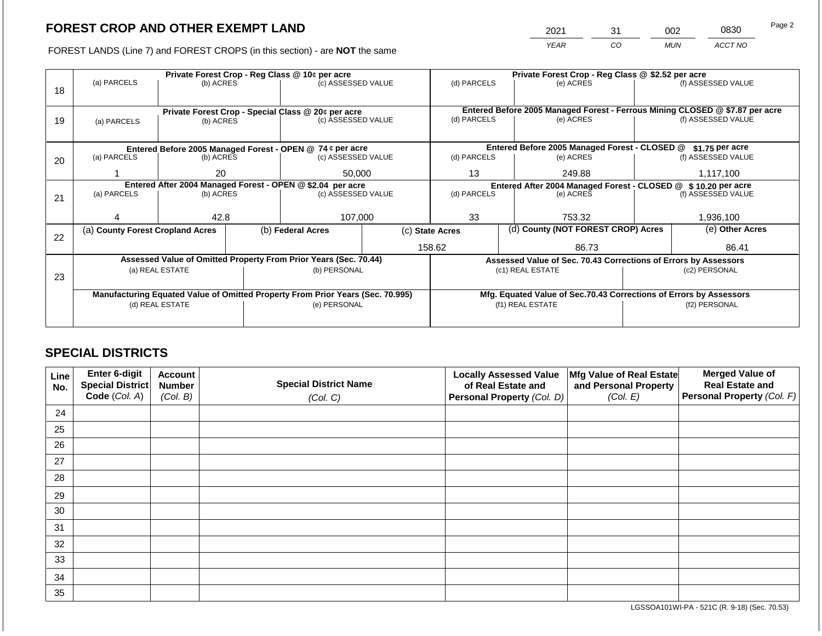2021 31 002 0830

FOREST LANDS (Line 7) and FOREST CROPS (in this section) - are **NOT** the same *YEAR CO MUN ACCT NO*

|    |                                                            |                          | Private Forest Crop - Reg Class @ 10¢ per acre            |                                                                                | Private Forest Crop - Reg Class @ \$2.52 per acre                 |                 |  |                                                                    |                                                                                                    |                    |
|----|------------------------------------------------------------|--------------------------|-----------------------------------------------------------|--------------------------------------------------------------------------------|-------------------------------------------------------------------|-----------------|--|--------------------------------------------------------------------|----------------------------------------------------------------------------------------------------|--------------------|
|    | (a) PARCELS                                                | (b) ACRES                |                                                           | (c) ASSESSED VALUE                                                             |                                                                   | (d) PARCELS     |  | (e) ACRES                                                          |                                                                                                    | (f) ASSESSED VALUE |
| 18 |                                                            |                          |                                                           |                                                                                |                                                                   |                 |  |                                                                    |                                                                                                    |                    |
|    |                                                            |                          |                                                           |                                                                                |                                                                   |                 |  |                                                                    |                                                                                                    |                    |
|    |                                                            |                          |                                                           | Private Forest Crop - Special Class @ 20¢ per acre                             |                                                                   |                 |  |                                                                    | Entered Before 2005 Managed Forest - Ferrous Mining CLOSED @ \$7.87 per acre<br>(f) ASSESSED VALUE |                    |
| 19 | (a) PARCELS                                                | (b) ACRES                |                                                           | (c) ASSESSED VALUE                                                             |                                                                   | (d) PARCELS     |  | (e) ACRES                                                          |                                                                                                    |                    |
|    |                                                            |                          |                                                           |                                                                                |                                                                   |                 |  |                                                                    |                                                                                                    |                    |
|    |                                                            |                          | Entered Before 2005 Managed Forest - OPEN @ 74 ¢ per acre |                                                                                | Entered Before 2005 Managed Forest - CLOSED @<br>$$1.75$ per acre |                 |  |                                                                    |                                                                                                    |                    |
| 20 | (a) PARCELS                                                | (b) ACRES                |                                                           | (c) ASSESSED VALUE                                                             |                                                                   | (d) PARCELS     |  | (e) ACRES                                                          |                                                                                                    | (f) ASSESSED VALUE |
|    |                                                            |                          |                                                           |                                                                                |                                                                   |                 |  |                                                                    |                                                                                                    |                    |
|    |                                                            | 20                       |                                                           | 50,000                                                                         |                                                                   | 13              |  | 249.88                                                             |                                                                                                    | 1,117,100          |
|    | Entered After 2004 Managed Forest - OPEN @ \$2.04 per acre |                          |                                                           |                                                                                |                                                                   |                 |  | Entered After 2004 Managed Forest - CLOSED @                       |                                                                                                    | \$10.20 per acre   |
| 21 |                                                            | (a) PARCELS<br>(b) ACRES |                                                           | (c) ASSESSED VALUE                                                             |                                                                   | (d) PARCELS     |  | (e) ACRES                                                          |                                                                                                    | (f) ASSESSED VALUE |
|    |                                                            |                          |                                                           |                                                                                |                                                                   |                 |  |                                                                    |                                                                                                    |                    |
|    |                                                            | 42.8                     |                                                           | 107,000                                                                        |                                                                   | 33              |  | 753.32                                                             |                                                                                                    | 1,936,100          |
|    | (a) County Forest Cropland Acres                           |                          |                                                           | (b) Federal Acres                                                              |                                                                   | (c) State Acres |  | (d) County (NOT FOREST CROP) Acres                                 |                                                                                                    | (e) Other Acres    |
| 22 |                                                            |                          |                                                           |                                                                                |                                                                   |                 |  |                                                                    |                                                                                                    |                    |
|    |                                                            |                          |                                                           |                                                                                |                                                                   | 158.62          |  | 86.73                                                              |                                                                                                    | 86.41              |
|    |                                                            |                          |                                                           | Assessed Value of Omitted Property From Prior Years (Sec. 70.44)               |                                                                   |                 |  | Assessed Value of Sec. 70.43 Corrections of Errors by Assessors    |                                                                                                    |                    |
|    |                                                            | (a) REAL ESTATE          |                                                           | (b) PERSONAL                                                                   |                                                                   |                 |  | (c1) REAL ESTATE                                                   |                                                                                                    | (c2) PERSONAL      |
| 23 |                                                            |                          |                                                           |                                                                                |                                                                   |                 |  |                                                                    |                                                                                                    |                    |
|    |                                                            |                          |                                                           | Manufacturing Equated Value of Omitted Property From Prior Years (Sec. 70.995) |                                                                   |                 |  | Mfg. Equated Value of Sec.70.43 Corrections of Errors by Assessors |                                                                                                    |                    |
|    |                                                            | (d) REAL ESTATE          |                                                           | (e) PERSONAL                                                                   |                                                                   |                 |  | (f1) REAL ESTATE                                                   | (f2) PERSONAL                                                                                      |                    |
|    |                                                            |                          |                                                           |                                                                                |                                                                   |                 |  |                                                                    |                                                                                                    |                    |
|    |                                                            |                          |                                                           |                                                                                |                                                                   |                 |  |                                                                    |                                                                                                    |                    |

## **SPECIAL DISTRICTS**

| Line<br>No. | Enter 6-digit<br>Special District<br>Code (Col. A) | <b>Account</b><br><b>Number</b><br>(Col. B) | <b>Special District Name</b><br>(Col. C) | <b>Locally Assessed Value</b><br>of Real Estate and<br>Personal Property (Col. D) | Mfg Value of Real Estate<br>and Personal Property<br>(Col. E) | <b>Merged Value of</b><br><b>Real Estate and</b><br>Personal Property (Col. F) |
|-------------|----------------------------------------------------|---------------------------------------------|------------------------------------------|-----------------------------------------------------------------------------------|---------------------------------------------------------------|--------------------------------------------------------------------------------|
| 24          |                                                    |                                             |                                          |                                                                                   |                                                               |                                                                                |
| 25          |                                                    |                                             |                                          |                                                                                   |                                                               |                                                                                |
| 26          |                                                    |                                             |                                          |                                                                                   |                                                               |                                                                                |
| 27          |                                                    |                                             |                                          |                                                                                   |                                                               |                                                                                |
| 28          |                                                    |                                             |                                          |                                                                                   |                                                               |                                                                                |
| 29          |                                                    |                                             |                                          |                                                                                   |                                                               |                                                                                |
| 30          |                                                    |                                             |                                          |                                                                                   |                                                               |                                                                                |
| 31          |                                                    |                                             |                                          |                                                                                   |                                                               |                                                                                |
| 32          |                                                    |                                             |                                          |                                                                                   |                                                               |                                                                                |
| 33          |                                                    |                                             |                                          |                                                                                   |                                                               |                                                                                |
| 34          |                                                    |                                             |                                          |                                                                                   |                                                               |                                                                                |
| 35          |                                                    |                                             |                                          |                                                                                   |                                                               |                                                                                |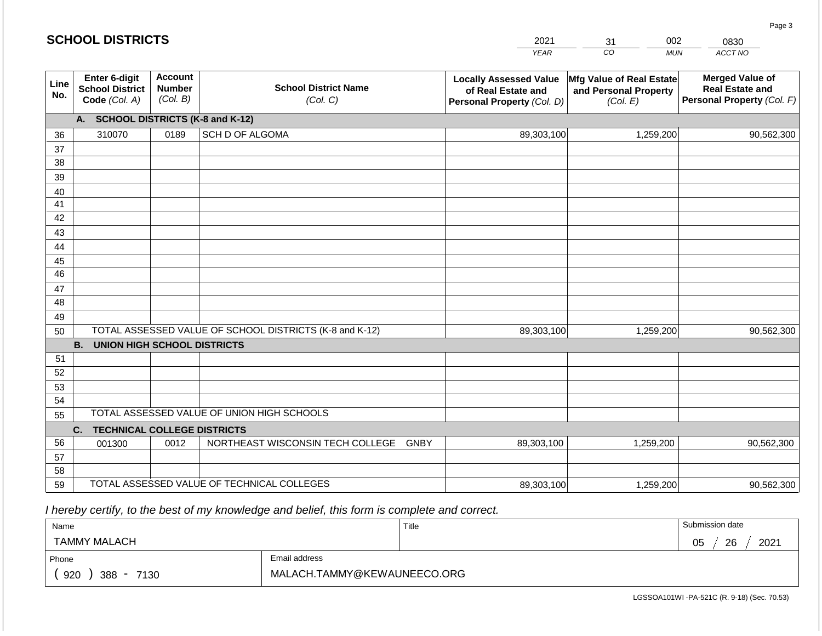| CO<br>ACCT NO<br><b>YEAR</b><br><b>MUN</b><br><b>Account</b><br>Enter 6-digit<br><b>Merged Value of</b><br><b>Locally Assessed Value</b><br>Mfg Value of Real Estate<br>Line<br><b>School District Name</b><br><b>Number</b><br><b>School District</b><br><b>Real Estate and</b><br>and Personal Property<br>of Real Estate and<br>No.<br>(Col. B)<br>Code (Col. A)<br>(Col. C)<br>Personal Property (Col. F)<br>Personal Property (Col. D)<br>(Col. E)<br><b>SCHOOL DISTRICTS (K-8 and K-12)</b><br>A.<br>310070<br>SCH D OF ALGOMA<br>89,303,100<br>0189<br>1,259,200<br>36<br>37 | 90,562,300 |
|-------------------------------------------------------------------------------------------------------------------------------------------------------------------------------------------------------------------------------------------------------------------------------------------------------------------------------------------------------------------------------------------------------------------------------------------------------------------------------------------------------------------------------------------------------------------------------------|------------|
|                                                                                                                                                                                                                                                                                                                                                                                                                                                                                                                                                                                     |            |
|                                                                                                                                                                                                                                                                                                                                                                                                                                                                                                                                                                                     |            |
|                                                                                                                                                                                                                                                                                                                                                                                                                                                                                                                                                                                     |            |
|                                                                                                                                                                                                                                                                                                                                                                                                                                                                                                                                                                                     |            |
|                                                                                                                                                                                                                                                                                                                                                                                                                                                                                                                                                                                     |            |
| 38                                                                                                                                                                                                                                                                                                                                                                                                                                                                                                                                                                                  |            |
| 39                                                                                                                                                                                                                                                                                                                                                                                                                                                                                                                                                                                  |            |
| 40                                                                                                                                                                                                                                                                                                                                                                                                                                                                                                                                                                                  |            |
| 41<br>42                                                                                                                                                                                                                                                                                                                                                                                                                                                                                                                                                                            |            |
| 43                                                                                                                                                                                                                                                                                                                                                                                                                                                                                                                                                                                  |            |
| 44                                                                                                                                                                                                                                                                                                                                                                                                                                                                                                                                                                                  |            |
| 45                                                                                                                                                                                                                                                                                                                                                                                                                                                                                                                                                                                  |            |
| 46                                                                                                                                                                                                                                                                                                                                                                                                                                                                                                                                                                                  |            |
| 47                                                                                                                                                                                                                                                                                                                                                                                                                                                                                                                                                                                  |            |
| 48                                                                                                                                                                                                                                                                                                                                                                                                                                                                                                                                                                                  |            |
| 49                                                                                                                                                                                                                                                                                                                                                                                                                                                                                                                                                                                  |            |
| TOTAL ASSESSED VALUE OF SCHOOL DISTRICTS (K-8 and K-12)<br>89,303,100<br>1,259,200<br>50                                                                                                                                                                                                                                                                                                                                                                                                                                                                                            | 90,562,300 |
| <b>B.</b><br><b>UNION HIGH SCHOOL DISTRICTS</b>                                                                                                                                                                                                                                                                                                                                                                                                                                                                                                                                     |            |
| 51                                                                                                                                                                                                                                                                                                                                                                                                                                                                                                                                                                                  |            |
| 52                                                                                                                                                                                                                                                                                                                                                                                                                                                                                                                                                                                  |            |
| 53                                                                                                                                                                                                                                                                                                                                                                                                                                                                                                                                                                                  |            |
| 54                                                                                                                                                                                                                                                                                                                                                                                                                                                                                                                                                                                  |            |
| TOTAL ASSESSED VALUE OF UNION HIGH SCHOOLS<br>55                                                                                                                                                                                                                                                                                                                                                                                                                                                                                                                                    |            |
| <b>TECHNICAL COLLEGE DISTRICTS</b><br>C.                                                                                                                                                                                                                                                                                                                                                                                                                                                                                                                                            |            |
| 56<br>NORTHEAST WISCONSIN TECH COLLEGE GNBY<br>0012<br>89,303,100<br>1,259,200<br>001300                                                                                                                                                                                                                                                                                                                                                                                                                                                                                            | 90,562,300 |
| 57<br>58                                                                                                                                                                                                                                                                                                                                                                                                                                                                                                                                                                            |            |
| TOTAL ASSESSED VALUE OF TECHNICAL COLLEGES<br>59<br>89,303,100<br>1,259,200                                                                                                                                                                                                                                                                                                                                                                                                                                                                                                         | 90,562,300 |

 *I hereby certify, to the best of my knowledge and belief, this form is complete and correct.*

| Name                   |                             | Title | Submission date        |
|------------------------|-----------------------------|-------|------------------------|
| <b>TAMMY MALACH</b>    |                             |       | 2021<br>26<br>∩ҕ<br>◡◡ |
| Phone                  | Email address               |       |                        |
| 920<br>$388 -$<br>7130 | MALACH.TAMMY@KEWAUNEECO.ORG |       |                        |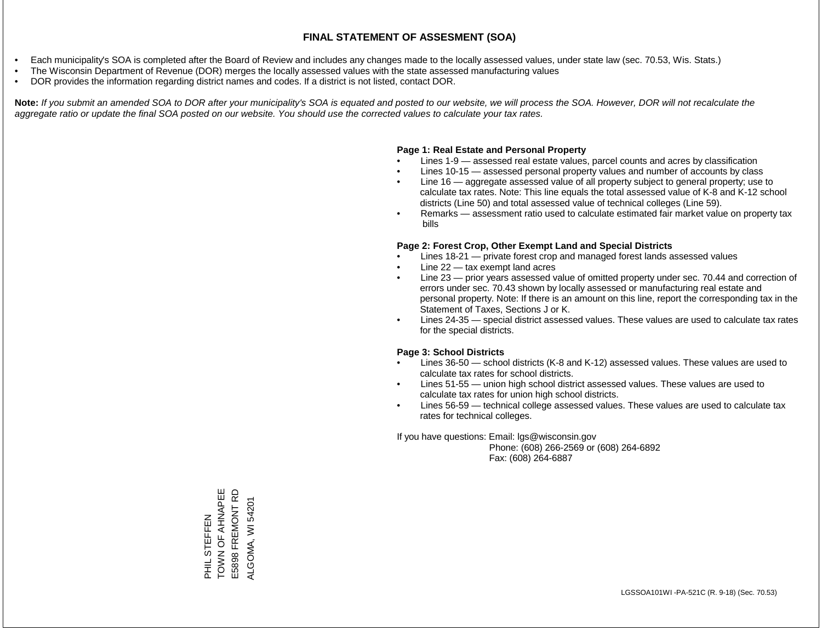- Each municipality's SOA is completed after the Board of Review and includes any changes made to the locally assessed values, under state law (sec. 70.53, Wis. Stats.)
- The Wisconsin Department of Revenue (DOR) merges the locally assessed values with the state assessed manufacturing values
- DOR provides the information regarding district names and codes. If a district is not listed, contact DOR.

Note: If you submit an amended SOA to DOR after your municipality's SOA is equated and posted to our website, we will process the SOA. However, DOR will not recalculate the *aggregate ratio or update the final SOA posted on our website. You should use the corrected values to calculate your tax rates.*

## **Page 1: Real Estate and Personal Property**

- Lines 1-9 assessed real estate values, parcel counts and acres by classification
- Lines 10-15 assessed personal property values and number of accounts by class
- Line 16 aggregate assessed value of all property subject to general property; use to calculate tax rates. Note: This line equals the total assessed value of K-8 and K-12 school districts (Line 50) and total assessed value of technical colleges (Line 59).
- Remarks assessment ratio used to calculate estimated fair market value on property tax bills

## **Page 2: Forest Crop, Other Exempt Land and Special Districts**

- Lines 18-21 private forest crop and managed forest lands assessed values
- Line  $22 -$  tax exempt land acres
- Line 23 prior years assessed value of omitted property under sec. 70.44 and correction of errors under sec. 70.43 shown by locally assessed or manufacturing real estate and personal property. Note: If there is an amount on this line, report the corresponding tax in the Statement of Taxes, Sections J or K.
- Lines 24-35 special district assessed values. These values are used to calculate tax rates for the special districts.

## **Page 3: School Districts**

- Lines 36-50 school districts (K-8 and K-12) assessed values. These values are used to calculate tax rates for school districts.
- Lines 51-55 union high school district assessed values. These values are used to calculate tax rates for union high school districts.
- Lines 56-59 technical college assessed values. These values are used to calculate tax rates for technical colleges.

If you have questions: Email: lgs@wisconsin.gov

 Phone: (608) 266-2569 or (608) 264-6892 Fax: (608) 264-6887

PHIL STEFFEN<br>TOWN OF AHNAPEE<br>E5898 FREMONT RD TOWN OF AHNAPEE E5898 FREMONT RD ALGOMA, WI54201 ALGOMA, WI 54201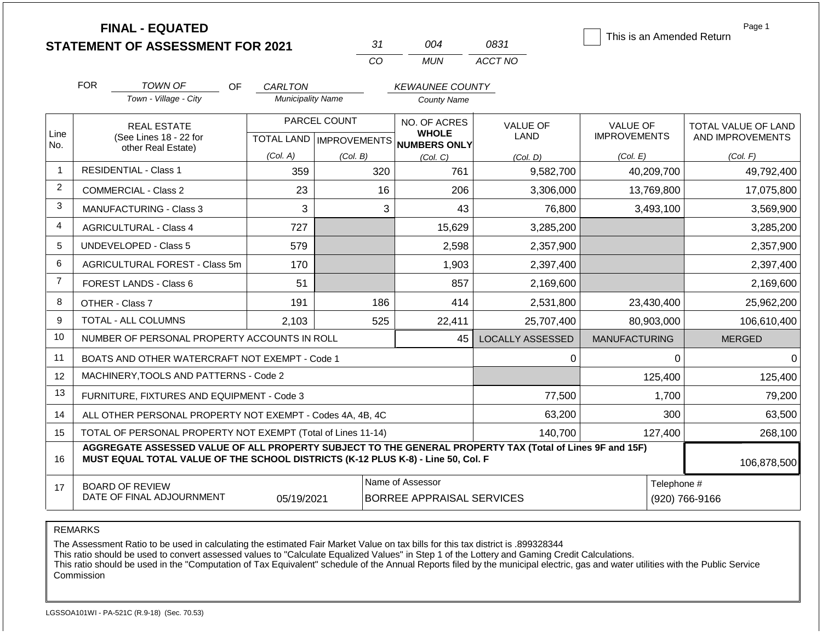|                |            | <b>FINAL - EQUATED</b><br><b>STATEMENT OF ASSESSMENT FOR 2021</b>                                                                                                                            |                                            | 31                        | 004                                          | 0831                          | This is an Amended Return              | Page 1                                  |
|----------------|------------|----------------------------------------------------------------------------------------------------------------------------------------------------------------------------------------------|--------------------------------------------|---------------------------|----------------------------------------------|-------------------------------|----------------------------------------|-----------------------------------------|
|                |            |                                                                                                                                                                                              |                                            | CO                        | <b>MUN</b>                                   | ACCT NO                       |                                        |                                         |
|                | <b>FOR</b> | TOWN OF                                                                                                                                                                                      |                                            |                           |                                              |                               |                                        |                                         |
|                |            | <b>OF</b><br>Town - Village - City                                                                                                                                                           | <b>CARLTON</b><br><b>Municipality Name</b> |                           | <b>KEWAUNEE COUNTY</b><br><b>County Name</b> |                               |                                        |                                         |
|                |            |                                                                                                                                                                                              | PARCEL COUNT                               |                           | NO. OF ACRES                                 |                               |                                        |                                         |
| Line           |            | <b>REAL ESTATE</b><br>(See Lines 18 - 22 for                                                                                                                                                 |                                            | TOTAL LAND   IMPROVEMENTS | <b>WHOLE</b>                                 | <b>VALUE OF</b><br>LAND       | <b>VALUE OF</b><br><b>IMPROVEMENTS</b> | TOTAL VALUE OF LAND<br>AND IMPROVEMENTS |
| No.            |            | other Real Estate)                                                                                                                                                                           | (Col. A)                                   | (Col. B)                  | NUMBERS ONLY<br>(Col. C)                     | (Col, D)                      | (Col. E)                               | (Col. F)                                |
| $\mathbf{1}$   |            | <b>RESIDENTIAL - Class 1</b>                                                                                                                                                                 | 359                                        |                           | 320                                          | 761<br>9,582,700              | 40,209,700                             | 49,792,400                              |
| $\overline{2}$ |            | <b>COMMERCIAL - Class 2</b>                                                                                                                                                                  | 23                                         |                           | 16                                           | 206<br>3,306,000              | 13,769,800                             | 17,075,800                              |
| 3              |            | <b>MANUFACTURING - Class 3</b>                                                                                                                                                               | 3<br>3<br>43<br>76,800                     |                           | 3,493,100                                    | 3,569,900                     |                                        |                                         |
| 4              |            | <b>AGRICULTURAL - Class 4</b>                                                                                                                                                                | 727                                        |                           | 15,629                                       | 3,285,200                     |                                        | 3,285,200                               |
| 5              |            | <b>UNDEVELOPED - Class 5</b>                                                                                                                                                                 | 579                                        |                           |                                              | 2,598<br>2,357,900            |                                        | 2,357,900                               |
| 6              |            | AGRICULTURAL FOREST - Class 5m                                                                                                                                                               | 170                                        |                           |                                              | 1,903<br>2,397,400            |                                        | 2,397,400                               |
| $\overline{7}$ |            | <b>FOREST LANDS - Class 6</b>                                                                                                                                                                | 51                                         |                           |                                              | 857<br>2,169,600              |                                        | 2,169,600                               |
| 8              |            | OTHER - Class 7                                                                                                                                                                              | 191                                        |                           | 186                                          | 414<br>2,531,800              | 23,430,400                             | 25,962,200                              |
| 9              |            | TOTAL - ALL COLUMNS                                                                                                                                                                          | 2,103                                      |                           | 525<br>22,411                                | 25,707,400                    | 80,903,000                             | 106,610,400                             |
| 10             |            | NUMBER OF PERSONAL PROPERTY ACCOUNTS IN ROLL                                                                                                                                                 |                                            |                           |                                              | <b>LOCALLY ASSESSED</b><br>45 | <b>MANUFACTURING</b>                   | <b>MERGED</b>                           |
| 11             |            | BOATS AND OTHER WATERCRAFT NOT EXEMPT - Code 1                                                                                                                                               |                                            |                           |                                              |                               | $\Omega$                               | $\Omega$<br>$\Omega$                    |
| 12             |            | MACHINERY, TOOLS AND PATTERNS - Code 2                                                                                                                                                       |                                            |                           |                                              |                               | 125,400                                | 125,400                                 |
| 13             |            | FURNITURE, FIXTURES AND EQUIPMENT - Code 3                                                                                                                                                   |                                            |                           |                                              | 77,500                        | 1,700                                  | 79,200                                  |
| 14             |            | ALL OTHER PERSONAL PROPERTY NOT EXEMPT - Codes 4A, 4B, 4C                                                                                                                                    |                                            |                           |                                              | 63,200                        | 300                                    | 63,500                                  |
| 15             |            | TOTAL OF PERSONAL PROPERTY NOT EXEMPT (Total of Lines 11-14)                                                                                                                                 |                                            |                           |                                              | 140,700                       | 127,400                                | 268,100                                 |
| 16             |            | AGGREGATE ASSESSED VALUE OF ALL PROPERTY SUBJECT TO THE GENERAL PROPERTY TAX (Total of Lines 9F and 15F)<br>MUST EQUAL TOTAL VALUE OF THE SCHOOL DISTRICTS (K-12 PLUS K-8) - Line 50, Col. F |                                            |                           |                                              |                               |                                        | 106,878,500                             |
| 17             |            | <b>BOARD OF REVIEW</b>                                                                                                                                                                       |                                            |                           | Name of Assessor                             |                               |                                        | Telephone #                             |

REMARKS

The Assessment Ratio to be used in calculating the estimated Fair Market Value on tax bills for this tax district is .899328344

This ratio should be used to convert assessed values to "Calculate Equalized Values" in Step 1 of the Lottery and Gaming Credit Calculations.

 This ratio should be used in the "Computation of Tax Equivalent" schedule of the Annual Reports filed by the municipal electric, gas and water utilities with the Public Service Commission

05/19/2021 BORREE APPRAISAL SERVICES (920) 766-9166

DATE OF FINAL ADJOURNMENT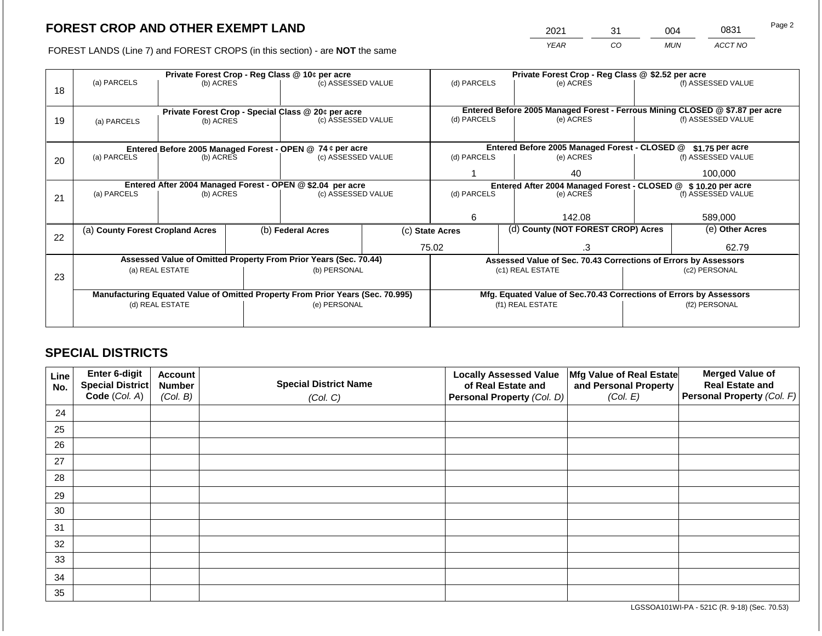2021 31 004 0831

FOREST LANDS (Line 7) and FOREST CROPS (in this section) - are **NOT** the same *YEAR CO MUN ACCT NO*

|    |                                                                                |                 |                                                                  | Private Forest Crop - Reg Class @ 10¢ per acre                   |                                                                    | Private Forest Crop - Reg Class @ \$2.52 per acre |                                                                              |                                                                 |               |                    |
|----|--------------------------------------------------------------------------------|-----------------|------------------------------------------------------------------|------------------------------------------------------------------|--------------------------------------------------------------------|---------------------------------------------------|------------------------------------------------------------------------------|-----------------------------------------------------------------|---------------|--------------------|
|    | (a) PARCELS                                                                    | (b) ACRES       |                                                                  | (c) ASSESSED VALUE                                               |                                                                    | (d) PARCELS                                       |                                                                              | (e) ACRES                                                       |               | (f) ASSESSED VALUE |
| 18 |                                                                                |                 |                                                                  |                                                                  |                                                                    |                                                   |                                                                              |                                                                 |               |                    |
|    |                                                                                |                 |                                                                  |                                                                  |                                                                    |                                                   |                                                                              |                                                                 |               |                    |
|    |                                                                                |                 |                                                                  | Private Forest Crop - Special Class @ 20¢ per acre               |                                                                    | (d) PARCELS                                       | Entered Before 2005 Managed Forest - Ferrous Mining CLOSED @ \$7.87 per acre |                                                                 |               |                    |
| 19 | (b) ACRES<br>(a) PARCELS                                                       |                 |                                                                  | (c) ASSESSED VALUE                                               |                                                                    |                                                   |                                                                              | (e) ACRES                                                       |               | (f) ASSESSED VALUE |
|    |                                                                                |                 |                                                                  |                                                                  |                                                                    |                                                   |                                                                              |                                                                 |               |                    |
|    | Entered Before 2005 Managed Forest - OPEN @ 74 ¢ per acre                      |                 | Entered Before 2005 Managed Forest - CLOSED @<br>\$1.75 per acre |                                                                  |                                                                    |                                                   |                                                                              |                                                                 |               |                    |
| 20 | (a) PARCELS                                                                    | (b) ACRES       |                                                                  | (c) ASSESSED VALUE                                               |                                                                    | (d) PARCELS                                       |                                                                              | (e) ACRES                                                       |               | (f) ASSESSED VALUE |
|    |                                                                                |                 |                                                                  |                                                                  |                                                                    |                                                   |                                                                              |                                                                 |               |                    |
|    |                                                                                |                 |                                                                  |                                                                  |                                                                    |                                                   |                                                                              | 40                                                              |               | 100,000            |
|    | Entered After 2004 Managed Forest - OPEN @ \$2.04 per acre                     |                 |                                                                  |                                                                  |                                                                    |                                                   |                                                                              | Entered After 2004 Managed Forest - CLOSED @ \$10.20 per acre   |               |                    |
| 21 | (a) PARCELS                                                                    | (b) ACRES       |                                                                  | (c) ASSESSED VALUE                                               |                                                                    | (d) PARCELS                                       |                                                                              | (e) ACRES                                                       |               | (f) ASSESSED VALUE |
|    |                                                                                |                 |                                                                  |                                                                  |                                                                    |                                                   |                                                                              |                                                                 |               |                    |
|    |                                                                                |                 |                                                                  |                                                                  |                                                                    | 6                                                 |                                                                              | 142.08                                                          |               | 589,000            |
|    | (a) County Forest Cropland Acres                                               |                 |                                                                  | (b) Federal Acres                                                |                                                                    | (c) State Acres                                   |                                                                              | (d) County (NOT FOREST CROP) Acres                              |               | (e) Other Acres    |
| 22 |                                                                                |                 |                                                                  |                                                                  |                                                                    |                                                   |                                                                              |                                                                 |               |                    |
|    |                                                                                |                 |                                                                  |                                                                  |                                                                    | 75.02                                             |                                                                              | .3                                                              |               | 62.79              |
|    |                                                                                |                 |                                                                  | Assessed Value of Omitted Property From Prior Years (Sec. 70.44) |                                                                    |                                                   |                                                                              | Assessed Value of Sec. 70.43 Corrections of Errors by Assessors |               |                    |
|    |                                                                                | (a) REAL ESTATE |                                                                  | (b) PERSONAL                                                     |                                                                    |                                                   |                                                                              | (c1) REAL ESTATE                                                |               | (c2) PERSONAL      |
| 23 |                                                                                |                 |                                                                  |                                                                  |                                                                    |                                                   |                                                                              |                                                                 |               |                    |
|    | Manufacturing Equated Value of Omitted Property From Prior Years (Sec. 70.995) |                 |                                                                  |                                                                  | Mfg. Equated Value of Sec.70.43 Corrections of Errors by Assessors |                                                   |                                                                              |                                                                 |               |                    |
|    |                                                                                | (d) REAL ESTATE |                                                                  | (e) PERSONAL                                                     |                                                                    |                                                   |                                                                              | (f1) REAL ESTATE                                                | (f2) PERSONAL |                    |
|    |                                                                                |                 |                                                                  |                                                                  |                                                                    |                                                   |                                                                              |                                                                 |               |                    |
|    |                                                                                |                 |                                                                  |                                                                  |                                                                    |                                                   |                                                                              |                                                                 |               |                    |

## **SPECIAL DISTRICTS**

| Line<br>No. | Enter 6-digit<br>Special District<br>Code (Col. A) | <b>Account</b><br><b>Number</b><br>(Col. B) | <b>Special District Name</b><br>(Col. C) | <b>Locally Assessed Value</b><br>of Real Estate and<br><b>Personal Property (Col. D)</b> | Mfg Value of Real Estate<br>and Personal Property<br>(Col. E) | <b>Merged Value of</b><br><b>Real Estate and</b><br>Personal Property (Col. F) |
|-------------|----------------------------------------------------|---------------------------------------------|------------------------------------------|------------------------------------------------------------------------------------------|---------------------------------------------------------------|--------------------------------------------------------------------------------|
| 24          |                                                    |                                             |                                          |                                                                                          |                                                               |                                                                                |
| 25          |                                                    |                                             |                                          |                                                                                          |                                                               |                                                                                |
| 26          |                                                    |                                             |                                          |                                                                                          |                                                               |                                                                                |
| 27          |                                                    |                                             |                                          |                                                                                          |                                                               |                                                                                |
| 28          |                                                    |                                             |                                          |                                                                                          |                                                               |                                                                                |
| 29          |                                                    |                                             |                                          |                                                                                          |                                                               |                                                                                |
| 30          |                                                    |                                             |                                          |                                                                                          |                                                               |                                                                                |
| 31          |                                                    |                                             |                                          |                                                                                          |                                                               |                                                                                |
| 32          |                                                    |                                             |                                          |                                                                                          |                                                               |                                                                                |
| 33          |                                                    |                                             |                                          |                                                                                          |                                                               |                                                                                |
| 34          |                                                    |                                             |                                          |                                                                                          |                                                               |                                                                                |
| 35          |                                                    |                                             |                                          |                                                                                          |                                                               |                                                                                |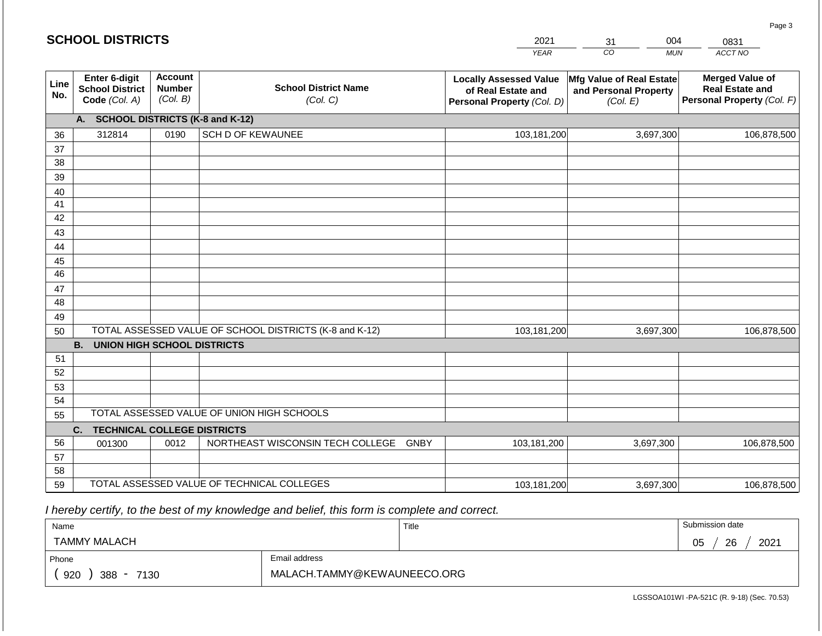|             | <b>SCHOOL DISTRICTS</b>                                  |                                             |                                                         | 2021                                                                              | 004<br>31                                                     | 0831                                                                           |
|-------------|----------------------------------------------------------|---------------------------------------------|---------------------------------------------------------|-----------------------------------------------------------------------------------|---------------------------------------------------------------|--------------------------------------------------------------------------------|
|             |                                                          |                                             |                                                         | <b>YEAR</b>                                                                       | CO<br><b>MUN</b>                                              | ACCT NO                                                                        |
| Line<br>No. | Enter 6-digit<br><b>School District</b><br>Code (Col. A) | <b>Account</b><br><b>Number</b><br>(Col. B) | <b>School District Name</b><br>(Col. C)                 | <b>Locally Assessed Value</b><br>of Real Estate and<br>Personal Property (Col. D) | Mfg Value of Real Estate<br>and Personal Property<br>(Col. E) | <b>Merged Value of</b><br><b>Real Estate and</b><br>Personal Property (Col. F) |
|             | <b>SCHOOL DISTRICTS (K-8 and K-12)</b><br>А.             |                                             |                                                         |                                                                                   |                                                               |                                                                                |
| 36          | 312814                                                   | 0190                                        | <b>SCH D OF KEWAUNEE</b>                                | 103,181,200                                                                       | 3,697,300                                                     | 106,878,500                                                                    |
| 37          |                                                          |                                             |                                                         |                                                                                   |                                                               |                                                                                |
| 38          |                                                          |                                             |                                                         |                                                                                   |                                                               |                                                                                |
| 39          |                                                          |                                             |                                                         |                                                                                   |                                                               |                                                                                |
| 40          |                                                          |                                             |                                                         |                                                                                   |                                                               |                                                                                |
| 41<br>42    |                                                          |                                             |                                                         |                                                                                   |                                                               |                                                                                |
| 43          |                                                          |                                             |                                                         |                                                                                   |                                                               |                                                                                |
| 44          |                                                          |                                             |                                                         |                                                                                   |                                                               |                                                                                |
| 45          |                                                          |                                             |                                                         |                                                                                   |                                                               |                                                                                |
| 46          |                                                          |                                             |                                                         |                                                                                   |                                                               |                                                                                |
| 47          |                                                          |                                             |                                                         |                                                                                   |                                                               |                                                                                |
| 48          |                                                          |                                             |                                                         |                                                                                   |                                                               |                                                                                |
| 49          |                                                          |                                             |                                                         |                                                                                   |                                                               |                                                                                |
| 50          |                                                          |                                             | TOTAL ASSESSED VALUE OF SCHOOL DISTRICTS (K-8 and K-12) | 103,181,200                                                                       | 3,697,300                                                     | 106,878,500                                                                    |
|             | <b>B.</b><br><b>UNION HIGH SCHOOL DISTRICTS</b>          |                                             |                                                         |                                                                                   |                                                               |                                                                                |
| 51          |                                                          |                                             |                                                         |                                                                                   |                                                               |                                                                                |
| 52          |                                                          |                                             |                                                         |                                                                                   |                                                               |                                                                                |
| 53          |                                                          |                                             |                                                         |                                                                                   |                                                               |                                                                                |
| 54          |                                                          |                                             | TOTAL ASSESSED VALUE OF UNION HIGH SCHOOLS              |                                                                                   |                                                               |                                                                                |
| 55          |                                                          |                                             |                                                         |                                                                                   |                                                               |                                                                                |
| 56          | <b>TECHNICAL COLLEGE DISTRICTS</b><br>C.                 | 0012                                        | NORTHEAST WISCONSIN TECH COLLEGE<br>GNBY                | 103,181,200                                                                       | 3,697,300                                                     | 106,878,500                                                                    |
| 57          | 001300                                                   |                                             |                                                         |                                                                                   |                                                               |                                                                                |
| 58          |                                                          |                                             |                                                         |                                                                                   |                                                               |                                                                                |
| 59          |                                                          |                                             | TOTAL ASSESSED VALUE OF TECHNICAL COLLEGES              | 103,181,200                                                                       | 3,697,300                                                     | 106,878,500                                                                    |

 *I hereby certify, to the best of my knowledge and belief, this form is complete and correct.*

| Name                   |                             | Title | Submission date  |
|------------------------|-----------------------------|-------|------------------|
| TAMMY MALACH           |                             |       | 2021<br>26<br>05 |
| Phone                  | Email address               |       |                  |
| 920<br>$388 -$<br>7130 | MALACH.TAMMY@KEWAUNEECO.ORG |       |                  |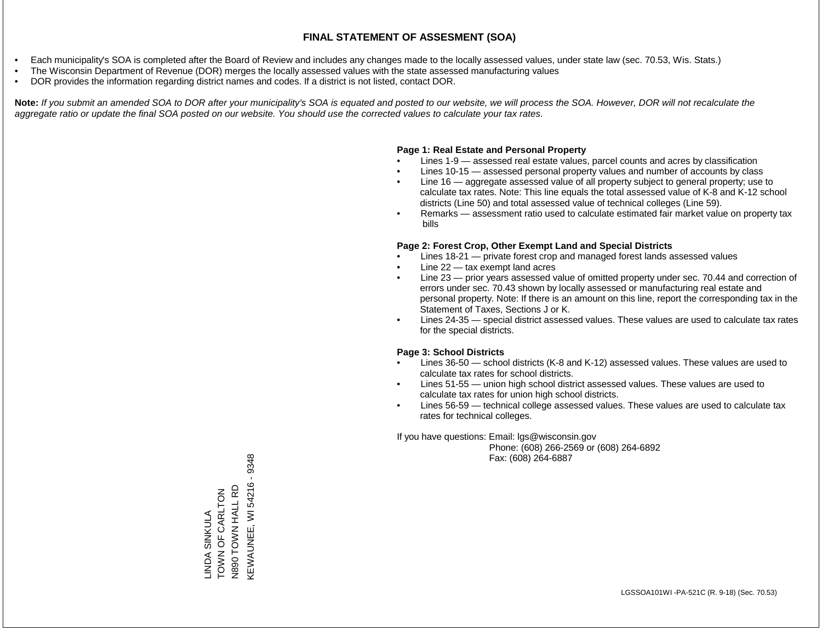- Each municipality's SOA is completed after the Board of Review and includes any changes made to the locally assessed values, under state law (sec. 70.53, Wis. Stats.)
- The Wisconsin Department of Revenue (DOR) merges the locally assessed values with the state assessed manufacturing values
- DOR provides the information regarding district names and codes. If a district is not listed, contact DOR.

Note: If you submit an amended SOA to DOR after your municipality's SOA is equated and posted to our website, we will process the SOA. However, DOR will not recalculate the *aggregate ratio or update the final SOA posted on our website. You should use the corrected values to calculate your tax rates.*

## **Page 1: Real Estate and Personal Property**

- Lines 1-9 assessed real estate values, parcel counts and acres by classification
- Lines 10-15 assessed personal property values and number of accounts by class
- Line 16 aggregate assessed value of all property subject to general property; use to calculate tax rates. Note: This line equals the total assessed value of K-8 and K-12 school districts (Line 50) and total assessed value of technical colleges (Line 59).
- Remarks assessment ratio used to calculate estimated fair market value on property tax bills

## **Page 2: Forest Crop, Other Exempt Land and Special Districts**

- Lines 18-21 private forest crop and managed forest lands assessed values
- Line  $22 -$  tax exempt land acres
- Line 23 prior years assessed value of omitted property under sec. 70.44 and correction of errors under sec. 70.43 shown by locally assessed or manufacturing real estate and personal property. Note: If there is an amount on this line, report the corresponding tax in the Statement of Taxes, Sections J or K.
- Lines 24-35 special district assessed values. These values are used to calculate tax rates for the special districts.

## **Page 3: School Districts**

- Lines 36-50 school districts (K-8 and K-12) assessed values. These values are used to calculate tax rates for school districts.
- Lines 51-55 union high school district assessed values. These values are used to calculate tax rates for union high school districts.
- Lines 56-59 technical college assessed values. These values are used to calculate tax rates for technical colleges.

If you have questions: Email: lgs@wisconsin.gov

 Phone: (608) 266-2569 or (608) 264-6892 Fax: (608) 264-6887

**KEWAUNEE, WI 54216 - 9348** KEWAUNEE, WI 54216 - 9348N890 TOWN HALL RD N890 TOWN HALL RD TOWN OF CARLTON LINDA SINKULA<br>TOWN OF CARLTON LINDA SINKULA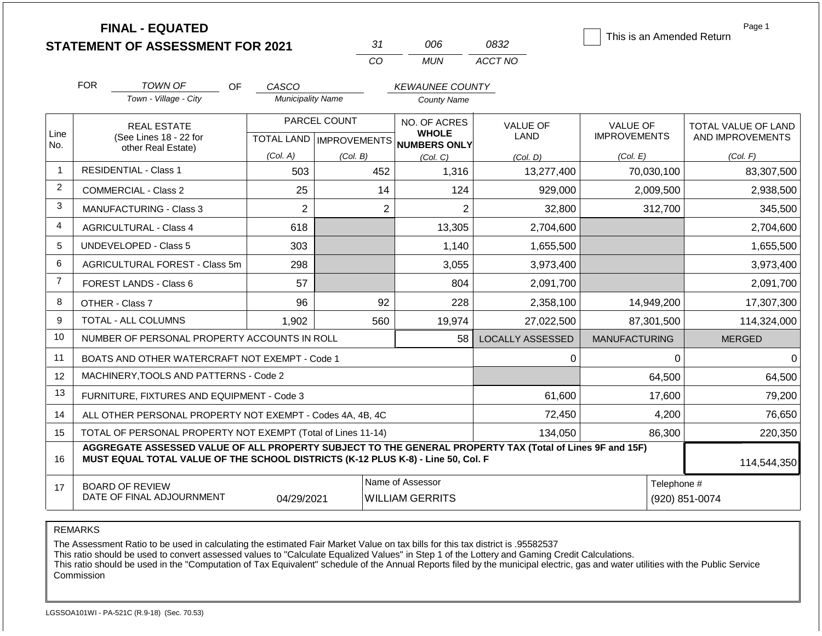|                | <b>FINAL - EQUATED</b>                                                                                                                                                                       |                          |                           |                                            |                         | Page 1<br>This is an Amended Return |                     |  |
|----------------|----------------------------------------------------------------------------------------------------------------------------------------------------------------------------------------------|--------------------------|---------------------------|--------------------------------------------|-------------------------|-------------------------------------|---------------------|--|
|                | <b>STATEMENT OF ASSESSMENT FOR 2021</b>                                                                                                                                                      |                          | 31                        | 006                                        | 0832                    |                                     |                     |  |
|                |                                                                                                                                                                                              |                          | CO                        | <b>MUN</b>                                 | ACCT NO                 |                                     |                     |  |
|                | <b>FOR</b><br>TOWN OF<br>OF.                                                                                                                                                                 | CASCO                    |                           |                                            |                         |                                     |                     |  |
|                | Town - Village - City                                                                                                                                                                        | <b>Municipality Name</b> |                           | <b>County Name</b>                         |                         |                                     |                     |  |
|                | <b>REAL ESTATE</b>                                                                                                                                                                           |                          | PARCEL COUNT              | NO. OF ACRES                               | <b>VALUE OF</b>         | <b>VALUE OF</b>                     | TOTAL VALUE OF LAND |  |
| Line<br>No.    | (See Lines 18 - 22 for                                                                                                                                                                       |                          | TOTAL LAND   IMPROVEMENTS | <b>WHOLE</b><br><b>NUMBERS ONLY</b>        | LAND                    | <b>IMPROVEMENTS</b>                 | AND IMPROVEMENTS    |  |
|                | other Real Estate)                                                                                                                                                                           | (Col. A)                 | (Col. B)                  | (Col. C)                                   | (Col. D)                | (Col. E)                            | (Col. F)            |  |
|                | <b>RESIDENTIAL - Class 1</b>                                                                                                                                                                 | 503                      | 452                       | 1,316                                      | 13,277,400              | 70,030,100                          | 83,307,500          |  |
| 2              | <b>COMMERCIAL - Class 2</b>                                                                                                                                                                  | 25                       | 14                        | 124                                        | 929,000                 | 2,009,500                           | 2,938,500           |  |
| 3              | <b>MANUFACTURING - Class 3</b>                                                                                                                                                               | $\overline{2}$           | $\overline{2}$            | $\overline{2}$                             | 32,800                  | 312,700                             | 345,500             |  |
| 4              | 618<br><b>AGRICULTURAL - Class 4</b>                                                                                                                                                         |                          |                           | 13,305                                     | 2,704,600               |                                     | 2,704,600           |  |
| 5              | <b>UNDEVELOPED - Class 5</b>                                                                                                                                                                 | 303                      |                           | 1,140                                      | 1,655,500               |                                     | 1,655,500           |  |
| 6              | <b>AGRICULTURAL FOREST - Class 5m</b>                                                                                                                                                        | 298                      |                           | 3,055                                      | 3,973,400               |                                     | 3,973,400           |  |
| $\overline{7}$ | FOREST LANDS - Class 6                                                                                                                                                                       | 57                       |                           | 804                                        | 2,091,700               |                                     | 2,091,700           |  |
| 8              | OTHER - Class 7                                                                                                                                                                              | 96                       | 92                        | 228                                        | 2,358,100               | 14,949,200                          | 17,307,300          |  |
| 9              | TOTAL - ALL COLUMNS                                                                                                                                                                          | 1,902                    | 560                       | 19,974                                     | 27,022,500              | 87,301,500                          | 114,324,000         |  |
| 10             | NUMBER OF PERSONAL PROPERTY ACCOUNTS IN ROLL                                                                                                                                                 |                          |                           | 58                                         | <b>LOCALLY ASSESSED</b> | <b>MANUFACTURING</b>                | <b>MERGED</b>       |  |
| 11             | BOATS AND OTHER WATERCRAFT NOT EXEMPT - Code 1                                                                                                                                               |                          |                           |                                            | 0                       | $\Omega$                            | $\Omega$            |  |
| 12             | MACHINERY, TOOLS AND PATTERNS - Code 2                                                                                                                                                       |                          |                           |                                            |                         | 64,500                              | 64,500              |  |
| 13             | FURNITURE, FIXTURES AND EQUIPMENT - Code 3                                                                                                                                                   |                          |                           |                                            | 61,600                  | 17,600                              | 79,200              |  |
| 14             | ALL OTHER PERSONAL PROPERTY NOT EXEMPT - Codes 4A, 4B, 4C                                                                                                                                    |                          |                           |                                            | 72,450                  | 4,200                               | 76,650              |  |
| 15             | TOTAL OF PERSONAL PROPERTY NOT EXEMPT (Total of Lines 11-14)                                                                                                                                 |                          |                           |                                            | 134,050                 | 86,300                              |                     |  |
| 16             | AGGREGATE ASSESSED VALUE OF ALL PROPERTY SUBJECT TO THE GENERAL PROPERTY TAX (Total of Lines 9F and 15F)<br>MUST EQUAL TOTAL VALUE OF THE SCHOOL DISTRICTS (K-12 PLUS K-8) - Line 50, Col. F |                          |                           |                                            |                         |                                     | 114,544,350         |  |
| 17             | <b>BOARD OF REVIEW</b><br>DATE OF FINAL ADJOURNMENT                                                                                                                                          | 04/29/2021               |                           | Name of Assessor<br><b>WILLIAM GERRITS</b> |                         | Telephone #                         | (920) 851-0074      |  |

REMARKS

The Assessment Ratio to be used in calculating the estimated Fair Market Value on tax bills for this tax district is .95582537

This ratio should be used to convert assessed values to "Calculate Equalized Values" in Step 1 of the Lottery and Gaming Credit Calculations.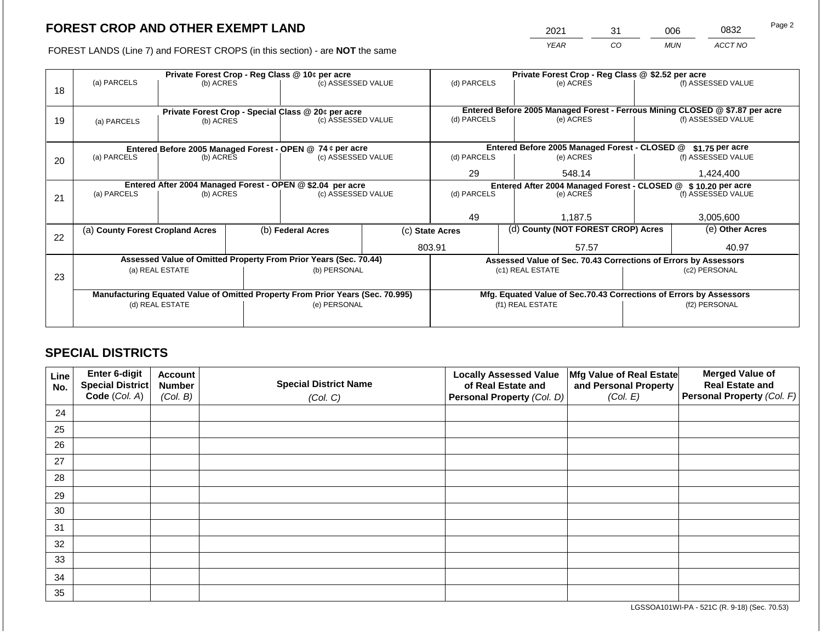2021 31 006 0832

FOREST LANDS (Line 7) and FOREST CROPS (in this section) - are **NOT** the same *YEAR CO MUN ACCT NO*

|    |                                                                                |                 |                                                                    | Private Forest Crop - Reg Class @ 10¢ per acre                   |                    | Private Forest Crop - Reg Class @ \$2.52 per acre                            |                                    |                                                                 |  |                    |
|----|--------------------------------------------------------------------------------|-----------------|--------------------------------------------------------------------|------------------------------------------------------------------|--------------------|------------------------------------------------------------------------------|------------------------------------|-----------------------------------------------------------------|--|--------------------|
| 18 | (a) PARCELS                                                                    | (b) ACRES       |                                                                    |                                                                  | (c) ASSESSED VALUE | (d) PARCELS                                                                  |                                    | (e) ACRES                                                       |  | (f) ASSESSED VALUE |
|    |                                                                                |                 |                                                                    | Private Forest Crop - Special Class @ 20¢ per acre               |                    | Entered Before 2005 Managed Forest - Ferrous Mining CLOSED @ \$7.87 per acre |                                    |                                                                 |  |                    |
| 19 | (a) PARCELS                                                                    | (b) ACRES       |                                                                    | (c) ASSESSED VALUE                                               |                    | (d) PARCELS                                                                  |                                    | (e) ACRES                                                       |  | (f) ASSESSED VALUE |
|    |                                                                                |                 |                                                                    |                                                                  |                    |                                                                              |                                    |                                                                 |  |                    |
|    |                                                                                |                 |                                                                    | Entered Before 2005 Managed Forest - OPEN @ 74 ¢ per acre        |                    |                                                                              |                                    | Entered Before 2005 Managed Forest - CLOSED @                   |  | $$1.75$ per acre   |
| 20 | (a) PARCELS                                                                    | (b) ACRES       |                                                                    | (c) ASSESSED VALUE                                               |                    | (d) PARCELS                                                                  |                                    | (e) ACRES                                                       |  | (f) ASSESSED VALUE |
|    |                                                                                |                 |                                                                    |                                                                  |                    | 29                                                                           |                                    | 548.14                                                          |  | 1,424,400          |
|    | Entered After 2004 Managed Forest - OPEN @ \$2.04 per acre                     |                 |                                                                    |                                                                  |                    |                                                                              |                                    | Entered After 2004 Managed Forest - CLOSED @ \$10.20 per acre   |  |                    |
| 21 | (a) PARCELS                                                                    | (b) ACRES       |                                                                    | (c) ASSESSED VALUE                                               |                    | (d) PARCELS                                                                  |                                    | (e) ACRES                                                       |  | (f) ASSESSED VALUE |
|    |                                                                                |                 |                                                                    |                                                                  |                    |                                                                              |                                    |                                                                 |  |                    |
|    |                                                                                |                 |                                                                    |                                                                  |                    | 49                                                                           |                                    | 1,187.5                                                         |  | 3,005,600          |
| 22 | (a) County Forest Cropland Acres                                               |                 |                                                                    | (b) Federal Acres                                                | (c) State Acres    |                                                                              | (d) County (NOT FOREST CROP) Acres |                                                                 |  | (e) Other Acres    |
|    |                                                                                |                 |                                                                    |                                                                  |                    | 803.91                                                                       |                                    | 57.57                                                           |  | 40.97              |
|    |                                                                                |                 |                                                                    | Assessed Value of Omitted Property From Prior Years (Sec. 70.44) |                    |                                                                              |                                    | Assessed Value of Sec. 70.43 Corrections of Errors by Assessors |  |                    |
| 23 |                                                                                | (a) REAL ESTATE |                                                                    | (b) PERSONAL                                                     |                    |                                                                              |                                    | (c1) REAL ESTATE                                                |  | (c2) PERSONAL      |
|    |                                                                                |                 |                                                                    |                                                                  |                    |                                                                              |                                    |                                                                 |  |                    |
|    | Manufacturing Equated Value of Omitted Property From Prior Years (Sec. 70.995) |                 | Mfg. Equated Value of Sec.70.43 Corrections of Errors by Assessors |                                                                  |                    |                                                                              |                                    |                                                                 |  |                    |
|    | (d) REAL ESTATE                                                                |                 | (e) PERSONAL                                                       |                                                                  | (f1) REAL ESTATE   |                                                                              |                                    | (f2) PERSONAL                                                   |  |                    |
|    |                                                                                |                 |                                                                    |                                                                  |                    |                                                                              |                                    |                                                                 |  |                    |
|    |                                                                                |                 |                                                                    |                                                                  |                    |                                                                              |                                    |                                                                 |  |                    |

## **SPECIAL DISTRICTS**

| Line<br>No. | Enter 6-digit<br>Special District<br>Code (Col. A) | <b>Account</b><br><b>Number</b><br>(Col. B) | <b>Special District Name</b><br>(Col. C) | <b>Locally Assessed Value</b><br>of Real Estate and<br><b>Personal Property (Col. D)</b> | Mfg Value of Real Estate<br>and Personal Property<br>(Col. E) | <b>Merged Value of</b><br><b>Real Estate and</b><br>Personal Property (Col. F) |
|-------------|----------------------------------------------------|---------------------------------------------|------------------------------------------|------------------------------------------------------------------------------------------|---------------------------------------------------------------|--------------------------------------------------------------------------------|
| 24          |                                                    |                                             |                                          |                                                                                          |                                                               |                                                                                |
| 25          |                                                    |                                             |                                          |                                                                                          |                                                               |                                                                                |
| 26          |                                                    |                                             |                                          |                                                                                          |                                                               |                                                                                |
| 27          |                                                    |                                             |                                          |                                                                                          |                                                               |                                                                                |
| 28          |                                                    |                                             |                                          |                                                                                          |                                                               |                                                                                |
| 29          |                                                    |                                             |                                          |                                                                                          |                                                               |                                                                                |
| 30          |                                                    |                                             |                                          |                                                                                          |                                                               |                                                                                |
| 31          |                                                    |                                             |                                          |                                                                                          |                                                               |                                                                                |
| 32          |                                                    |                                             |                                          |                                                                                          |                                                               |                                                                                |
| 33          |                                                    |                                             |                                          |                                                                                          |                                                               |                                                                                |
| 34          |                                                    |                                             |                                          |                                                                                          |                                                               |                                                                                |
| 35          |                                                    |                                             |                                          |                                                                                          |                                                               |                                                                                |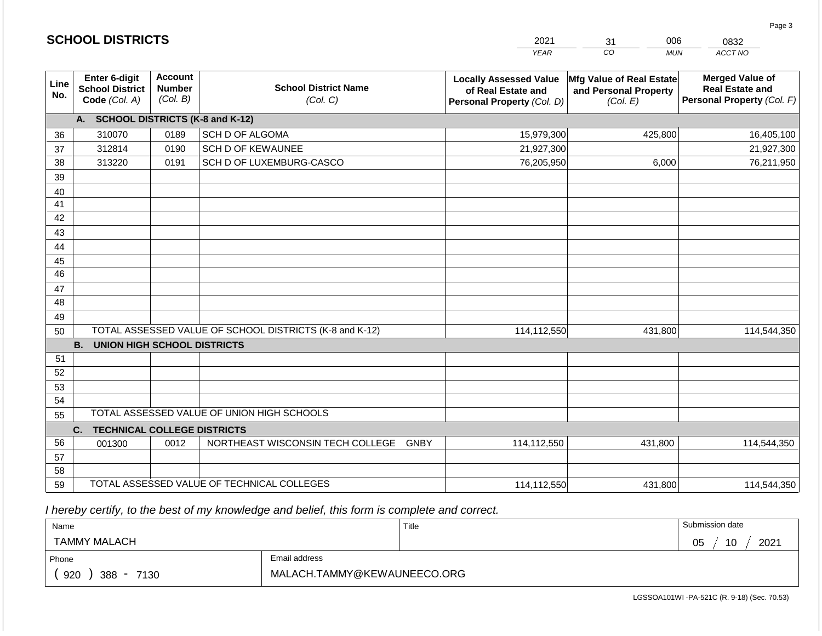|                 | <b>SCHOOL DISTRICTS</b>                                  |                                             |                                                         | 2021                                                                              | 006<br>31                                                     | 0832                                                                           |
|-----------------|----------------------------------------------------------|---------------------------------------------|---------------------------------------------------------|-----------------------------------------------------------------------------------|---------------------------------------------------------------|--------------------------------------------------------------------------------|
|                 |                                                          |                                             |                                                         | <b>YEAR</b>                                                                       | CO<br><b>MUN</b>                                              | ACCT NO                                                                        |
| Line<br>No.     | Enter 6-digit<br><b>School District</b><br>Code (Col. A) | <b>Account</b><br><b>Number</b><br>(Col. B) | <b>School District Name</b><br>(Col. C)                 | <b>Locally Assessed Value</b><br>of Real Estate and<br>Personal Property (Col. D) | Mfg Value of Real Estate<br>and Personal Property<br>(Col. E) | <b>Merged Value of</b><br><b>Real Estate and</b><br>Personal Property (Col. F) |
|                 | <b>SCHOOL DISTRICTS (K-8 and K-12)</b><br>A.             |                                             |                                                         |                                                                                   |                                                               |                                                                                |
| 36              | 310070                                                   | 0189                                        | SCH D OF ALGOMA                                         | 15,979,300                                                                        | 425,800                                                       | 16,405,100                                                                     |
| 37              | 312814                                                   | 0190                                        | <b>SCH D OF KEWAUNEE</b>                                | 21,927,300                                                                        |                                                               | 21,927,300                                                                     |
| 38              | 313220                                                   | 0191                                        | SCH D OF LUXEMBURG-CASCO                                | 76,205,950                                                                        | 6,000                                                         | 76,211,950                                                                     |
| 39              |                                                          |                                             |                                                         |                                                                                   |                                                               |                                                                                |
| 40              |                                                          |                                             |                                                         |                                                                                   |                                                               |                                                                                |
| 41              |                                                          |                                             |                                                         |                                                                                   |                                                               |                                                                                |
| 42              |                                                          |                                             |                                                         |                                                                                   |                                                               |                                                                                |
| 43              |                                                          |                                             |                                                         |                                                                                   |                                                               |                                                                                |
| 44              |                                                          |                                             |                                                         |                                                                                   |                                                               |                                                                                |
| 45              |                                                          |                                             |                                                         |                                                                                   |                                                               |                                                                                |
| $\overline{46}$ |                                                          |                                             |                                                         |                                                                                   |                                                               |                                                                                |
| 47              |                                                          |                                             |                                                         |                                                                                   |                                                               |                                                                                |
| 48              |                                                          |                                             |                                                         |                                                                                   |                                                               |                                                                                |
| 49<br>50        |                                                          |                                             | TOTAL ASSESSED VALUE OF SCHOOL DISTRICTS (K-8 and K-12) | 114,112,550                                                                       | 431,800                                                       | 114,544,350                                                                    |
|                 | <b>B.</b><br><b>UNION HIGH SCHOOL DISTRICTS</b>          |                                             |                                                         |                                                                                   |                                                               |                                                                                |
| 51              |                                                          |                                             |                                                         |                                                                                   |                                                               |                                                                                |
| 52              |                                                          |                                             |                                                         |                                                                                   |                                                               |                                                                                |
| 53              |                                                          |                                             |                                                         |                                                                                   |                                                               |                                                                                |
| 54              |                                                          |                                             |                                                         |                                                                                   |                                                               |                                                                                |
| 55              |                                                          |                                             | TOTAL ASSESSED VALUE OF UNION HIGH SCHOOLS              |                                                                                   |                                                               |                                                                                |
|                 | <b>TECHNICAL COLLEGE DISTRICTS</b><br>C.                 |                                             |                                                         |                                                                                   |                                                               |                                                                                |
| 56              | 001300                                                   | 0012                                        | NORTHEAST WISCONSIN TECH COLLEGE GNBY                   | 114,112,550                                                                       | 431,800                                                       | 114,544,350                                                                    |
| 57              |                                                          |                                             |                                                         |                                                                                   |                                                               |                                                                                |
| 58              |                                                          |                                             |                                                         |                                                                                   |                                                               |                                                                                |
| 59              |                                                          |                                             | TOTAL ASSESSED VALUE OF TECHNICAL COLLEGES              | 114,112,550                                                                       | 431,800                                                       | 114,544,350                                                                    |

 *I hereby certify, to the best of my knowledge and belief, this form is complete and correct.*

**SCHOOL DISTRICTS**

| Name                   |                             | Title | Submission date  |
|------------------------|-----------------------------|-------|------------------|
| TAMMY MALACH           |                             |       | 2021<br>05<br>10 |
| Phone                  | Email address               |       |                  |
| 920<br>$388 -$<br>7130 | MALACH.TAMMY@KEWAUNEECO.ORG |       |                  |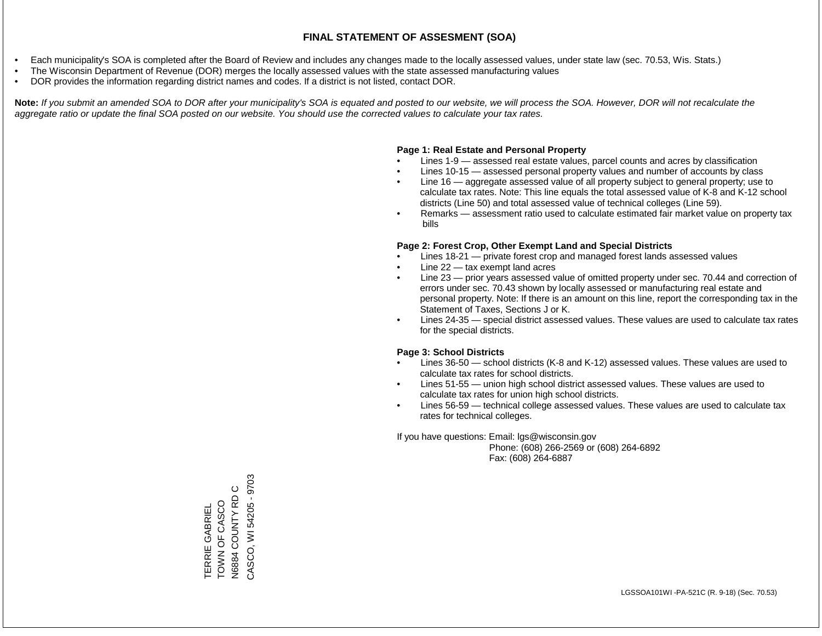- Each municipality's SOA is completed after the Board of Review and includes any changes made to the locally assessed values, under state law (sec. 70.53, Wis. Stats.)
- The Wisconsin Department of Revenue (DOR) merges the locally assessed values with the state assessed manufacturing values
- DOR provides the information regarding district names and codes. If a district is not listed, contact DOR.

Note: If you submit an amended SOA to DOR after your municipality's SOA is equated and posted to our website, we will process the SOA. However, DOR will not recalculate the *aggregate ratio or update the final SOA posted on our website. You should use the corrected values to calculate your tax rates.*

### **Page 1: Real Estate and Personal Property**

- Lines 1-9 assessed real estate values, parcel counts and acres by classification
- Lines 10-15 assessed personal property values and number of accounts by class
- Line 16 aggregate assessed value of all property subject to general property; use to calculate tax rates. Note: This line equals the total assessed value of K-8 and K-12 school districts (Line 50) and total assessed value of technical colleges (Line 59).
- Remarks assessment ratio used to calculate estimated fair market value on property tax bills

#### **Page 2: Forest Crop, Other Exempt Land and Special Districts**

- Lines 18-21 private forest crop and managed forest lands assessed values
- Line  $22 -$  tax exempt land acres
- Line 23 prior years assessed value of omitted property under sec. 70.44 and correction of errors under sec. 70.43 shown by locally assessed or manufacturing real estate and personal property. Note: If there is an amount on this line, report the corresponding tax in the Statement of Taxes, Sections J or K.
- Lines 24-35 special district assessed values. These values are used to calculate tax rates for the special districts.

#### **Page 3: School Districts**

- Lines 36-50 school districts (K-8 and K-12) assessed values. These values are used to calculate tax rates for school districts.
- Lines 51-55 union high school district assessed values. These values are used to calculate tax rates for union high school districts.
- Lines 56-59 technical college assessed values. These values are used to calculate tax rates for technical colleges.

If you have questions: Email: lgs@wisconsin.gov

 Phone: (608) 266-2569 or (608) 264-6892 Fax: (608) 264-6887

CASCO, WI 54205 - 9703 CASCO, WI 54205 - 9703TOWN OF CASCO<br>N6884 COUNTY RD C N6884 COUNTY RD C TOWN OF CASCO **TERRIE GABRIEL** TERRIE GABRIEL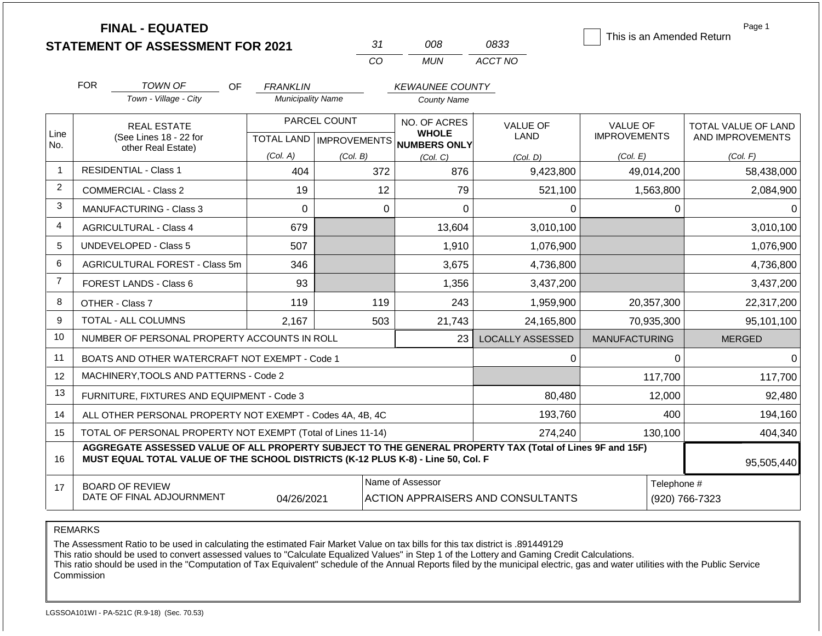|                |                                                                                  | <b>FINAL - EQUATED</b><br><b>STATEMENT OF ASSESSMENT FOR 2021</b>                                        |                                             | CO           | 31       | 008<br><b>MUN</b>                            | 0833<br>ACCT NO                          | This is an Amended Return | Page 1              |  |
|----------------|----------------------------------------------------------------------------------|----------------------------------------------------------------------------------------------------------|---------------------------------------------|--------------|----------|----------------------------------------------|------------------------------------------|---------------------------|---------------------|--|
|                | <b>FOR</b>                                                                       |                                                                                                          |                                             |              |          |                                              |                                          |                           |                     |  |
|                |                                                                                  | <b>TOWN OF</b><br>OF.<br>Town - Village - City                                                           | <b>FRANKLIN</b><br><b>Municipality Name</b> |              |          | <b>KEWAUNEE COUNTY</b><br><b>County Name</b> |                                          |                           |                     |  |
|                |                                                                                  |                                                                                                          |                                             |              |          |                                              |                                          |                           |                     |  |
| Line           |                                                                                  | <b>REAL ESTATE</b>                                                                                       |                                             | PARCEL COUNT |          | NO. OF ACRES<br><b>WHOLE</b>                 | <b>VALUE OF</b>                          | <b>VALUE OF</b>           | TOTAL VALUE OF LAND |  |
| No.            |                                                                                  | (See Lines 18 - 22 for<br>other Real Estate)                                                             |                                             |              |          | TOTAL LAND MPROVEMENTS NUMBERS ONLY          | LAND                                     | <b>IMPROVEMENTS</b>       | AND IMPROVEMENTS    |  |
|                |                                                                                  |                                                                                                          | (Col. A)                                    | (Col. B)     |          | (Col. C)                                     | (Col. D)                                 | (Col. E)                  | (Col. F)            |  |
| $\mathbf{1}$   | <b>RESIDENTIAL - Class 1</b>                                                     |                                                                                                          | 404                                         |              | 372      | 876                                          | 9,423,800                                | 49,014,200                | 58,438,000          |  |
| 2              | <b>COMMERCIAL - Class 2</b>                                                      |                                                                                                          | 19                                          |              | 12       | 79                                           | 521,100                                  | 1,563,800                 | 2,084,900           |  |
| 3              | <b>MANUFACTURING - Class 3</b>                                                   |                                                                                                          | $\Omega$                                    |              | $\Omega$ | 0                                            | 0                                        | 0                         |                     |  |
| 4              |                                                                                  | <b>AGRICULTURAL - Class 4</b>                                                                            | 679                                         |              |          | 13,604                                       | 3,010,100                                |                           | 3,010,100           |  |
| 5              |                                                                                  | <b>UNDEVELOPED - Class 5</b>                                                                             | 507                                         |              |          | 1,910                                        | 1,076,900                                |                           | 1,076,900           |  |
| 6              |                                                                                  | AGRICULTURAL FOREST - Class 5m                                                                           | 346                                         |              |          | 3,675                                        | 4,736,800                                |                           | 4,736,800           |  |
| $\overline{7}$ |                                                                                  | FOREST LANDS - Class 6                                                                                   | 93                                          |              |          | 1,356                                        | 3,437,200                                |                           | 3,437,200           |  |
| 8              |                                                                                  | OTHER - Class 7                                                                                          | 119                                         |              | 119      | 243                                          | 1,959,900                                | 20,357,300                | 22,317,200          |  |
| 9              |                                                                                  | TOTAL - ALL COLUMNS                                                                                      | 2,167                                       |              | 503      | 21,743                                       | 24,165,800                               | 70,935,300                | 95,101,100          |  |
| 10             |                                                                                  | NUMBER OF PERSONAL PROPERTY ACCOUNTS IN ROLL                                                             |                                             |              |          | 23                                           | <b>LOCALLY ASSESSED</b>                  | <b>MANUFACTURING</b>      | <b>MERGED</b>       |  |
| 11             |                                                                                  | BOATS AND OTHER WATERCRAFT NOT EXEMPT - Code 1                                                           |                                             |              |          |                                              | 0                                        | 0                         | 0                   |  |
| 12             |                                                                                  | MACHINERY, TOOLS AND PATTERNS - Code 2                                                                   |                                             |              |          |                                              |                                          | 117,700                   | 117,700             |  |
| 13             |                                                                                  | FURNITURE, FIXTURES AND EQUIPMENT - Code 3                                                               |                                             |              |          |                                              | 80,480                                   | 12,000                    | 92,480              |  |
| 14             |                                                                                  | ALL OTHER PERSONAL PROPERTY NOT EXEMPT - Codes 4A, 4B, 4C                                                |                                             |              |          |                                              | 193,760                                  | 400                       | 194,160             |  |
| 15             |                                                                                  | TOTAL OF PERSONAL PROPERTY NOT EXEMPT (Total of Lines 11-14)                                             |                                             |              |          |                                              | 274,240                                  | 130,100                   | 404,340             |  |
| 16             | MUST EQUAL TOTAL VALUE OF THE SCHOOL DISTRICTS (K-12 PLUS K-8) - Line 50, Col. F | AGGREGATE ASSESSED VALUE OF ALL PROPERTY SUBJECT TO THE GENERAL PROPERTY TAX (Total of Lines 9F and 15F) | 95,505,440                                  |              |          |                                              |                                          |                           |                     |  |
| 17             |                                                                                  | <b>BOARD OF REVIEW</b>                                                                                   |                                             |              |          | Name of Assessor                             |                                          | Telephone #               |                     |  |
|                |                                                                                  | DATE OF FINAL ADJOURNMENT                                                                                | 04/26/2021                                  |              |          |                                              | <b>ACTION APPRAISERS AND CONSULTANTS</b> |                           | (920) 766-7323      |  |

### REMARKS

The Assessment Ratio to be used in calculating the estimated Fair Market Value on tax bills for this tax district is .891449129

This ratio should be used to convert assessed values to "Calculate Equalized Values" in Step 1 of the Lottery and Gaming Credit Calculations.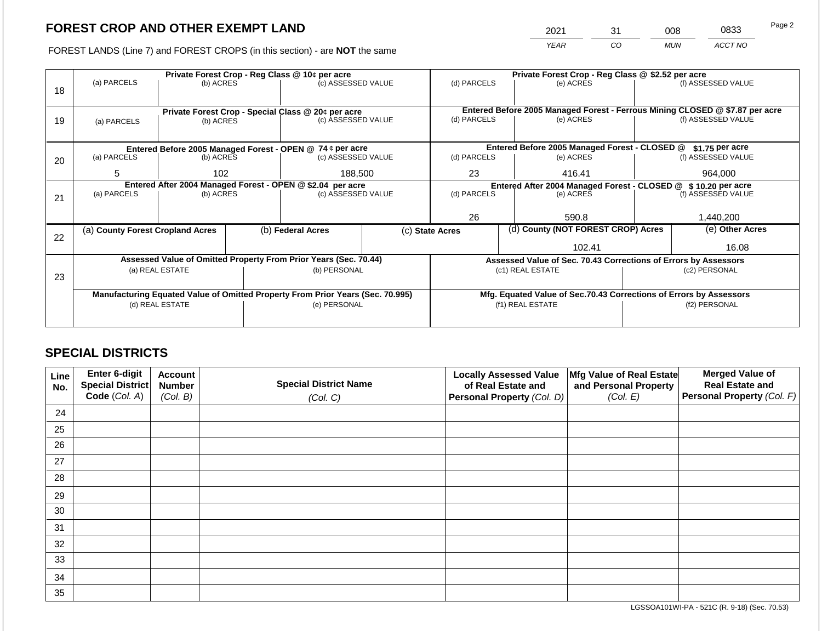2021 31 008 0833

FOREST LANDS (Line 7) and FOREST CROPS (in this section) - are **NOT** the same *YEAR CO MUN ACCT NO*

|    | Private Forest Crop - Reg Class @ 10¢ per acre                                                                                     |                 |  |                                                                                |  | Private Forest Crop - Reg Class @ \$2.52 per acre                            |         |                                                                    |  |                    |
|----|------------------------------------------------------------------------------------------------------------------------------------|-----------------|--|--------------------------------------------------------------------------------|--|------------------------------------------------------------------------------|---------|--------------------------------------------------------------------|--|--------------------|
|    | (a) PARCELS                                                                                                                        | (b) ACRES       |  | (c) ASSESSED VALUE                                                             |  | (d) PARCELS                                                                  |         | (e) ACRES                                                          |  | (f) ASSESSED VALUE |
| 18 |                                                                                                                                    |                 |  |                                                                                |  |                                                                              |         |                                                                    |  |                    |
|    |                                                                                                                                    |                 |  |                                                                                |  |                                                                              |         |                                                                    |  |                    |
|    |                                                                                                                                    |                 |  | Private Forest Crop - Special Class @ 20¢ per acre<br>(c) ASSESSED VALUE       |  | Entered Before 2005 Managed Forest - Ferrous Mining CLOSED @ \$7.87 per acre |         |                                                                    |  |                    |
| 19 | (a) PARCELS                                                                                                                        | (b) ACRES       |  |                                                                                |  | (d) PARCELS                                                                  |         | (e) ACRES                                                          |  | (f) ASSESSED VALUE |
|    |                                                                                                                                    |                 |  |                                                                                |  |                                                                              |         |                                                                    |  |                    |
|    |                                                                                                                                    |                 |  |                                                                                |  | Entered Before 2005 Managed Forest - CLOSED @                                |         |                                                                    |  | $$1.75$ per acre   |
| 20 | Entered Before 2005 Managed Forest - OPEN @ 74 ¢ per acre<br>(a) PARCELS<br>(b) ACRES<br>(c) ASSESSED VALUE<br>5<br>188,500<br>102 |                 |  |                                                                                |  | (d) PARCELS                                                                  |         | (e) ACRES                                                          |  | (f) ASSESSED VALUE |
|    |                                                                                                                                    |                 |  |                                                                                |  |                                                                              |         |                                                                    |  |                    |
|    |                                                                                                                                    |                 |  | 23                                                                             |  | 416.41                                                                       | 964,000 |                                                                    |  |                    |
|    | Entered After 2004 Managed Forest - OPEN @ \$2.04 per acre                                                                         |                 |  |                                                                                |  |                                                                              |         | Entered After 2004 Managed Forest - CLOSED @ \$10.20 per acre      |  |                    |
| 21 | (a) PARCELS                                                                                                                        | (b) ACRES       |  | (c) ASSESSED VALUE                                                             |  | (d) PARCELS                                                                  |         | (e) ACRES                                                          |  | (f) ASSESSED VALUE |
|    |                                                                                                                                    |                 |  |                                                                                |  |                                                                              |         |                                                                    |  |                    |
|    |                                                                                                                                    |                 |  |                                                                                |  | 26                                                                           |         | 590.8                                                              |  | 1,440,200          |
|    | (a) County Forest Cropland Acres                                                                                                   |                 |  | (b) Federal Acres                                                              |  | (c) State Acres                                                              |         | (d) County (NOT FOREST CROP) Acres                                 |  | (e) Other Acres    |
| 22 |                                                                                                                                    |                 |  |                                                                                |  |                                                                              |         |                                                                    |  |                    |
|    |                                                                                                                                    |                 |  |                                                                                |  |                                                                              |         | 102.41                                                             |  | 16.08              |
|    |                                                                                                                                    |                 |  | Assessed Value of Omitted Property From Prior Years (Sec. 70.44)               |  |                                                                              |         | Assessed Value of Sec. 70.43 Corrections of Errors by Assessors    |  |                    |
|    |                                                                                                                                    | (a) REAL ESTATE |  | (b) PERSONAL                                                                   |  |                                                                              |         | (c1) REAL ESTATE                                                   |  | (c2) PERSONAL      |
| 23 |                                                                                                                                    |                 |  |                                                                                |  |                                                                              |         |                                                                    |  |                    |
|    |                                                                                                                                    |                 |  | Manufacturing Equated Value of Omitted Property From Prior Years (Sec. 70.995) |  |                                                                              |         | Mfg. Equated Value of Sec.70.43 Corrections of Errors by Assessors |  |                    |
|    |                                                                                                                                    | (d) REAL ESTATE |  | (e) PERSONAL                                                                   |  |                                                                              |         | (f1) REAL ESTATE                                                   |  | (f2) PERSONAL      |
|    |                                                                                                                                    |                 |  |                                                                                |  |                                                                              |         |                                                                    |  |                    |
|    |                                                                                                                                    |                 |  |                                                                                |  |                                                                              |         |                                                                    |  |                    |

## **SPECIAL DISTRICTS**

| Line<br>No. | Enter 6-digit<br>Special District<br>Code (Col. A) | <b>Account</b><br><b>Number</b><br>(Col. B) | <b>Special District Name</b><br>(Col. C) | <b>Locally Assessed Value</b><br>of Real Estate and<br><b>Personal Property (Col. D)</b> | Mfg Value of Real Estate<br>and Personal Property<br>(Col. E) | <b>Merged Value of</b><br><b>Real Estate and</b><br>Personal Property (Col. F) |
|-------------|----------------------------------------------------|---------------------------------------------|------------------------------------------|------------------------------------------------------------------------------------------|---------------------------------------------------------------|--------------------------------------------------------------------------------|
| 24          |                                                    |                                             |                                          |                                                                                          |                                                               |                                                                                |
| 25          |                                                    |                                             |                                          |                                                                                          |                                                               |                                                                                |
| 26          |                                                    |                                             |                                          |                                                                                          |                                                               |                                                                                |
| 27          |                                                    |                                             |                                          |                                                                                          |                                                               |                                                                                |
| 28          |                                                    |                                             |                                          |                                                                                          |                                                               |                                                                                |
| 29          |                                                    |                                             |                                          |                                                                                          |                                                               |                                                                                |
| 30          |                                                    |                                             |                                          |                                                                                          |                                                               |                                                                                |
| 31          |                                                    |                                             |                                          |                                                                                          |                                                               |                                                                                |
| 32          |                                                    |                                             |                                          |                                                                                          |                                                               |                                                                                |
| 33          |                                                    |                                             |                                          |                                                                                          |                                                               |                                                                                |
| 34          |                                                    |                                             |                                          |                                                                                          |                                                               |                                                                                |
| 35          |                                                    |                                             |                                          |                                                                                          |                                                               |                                                                                |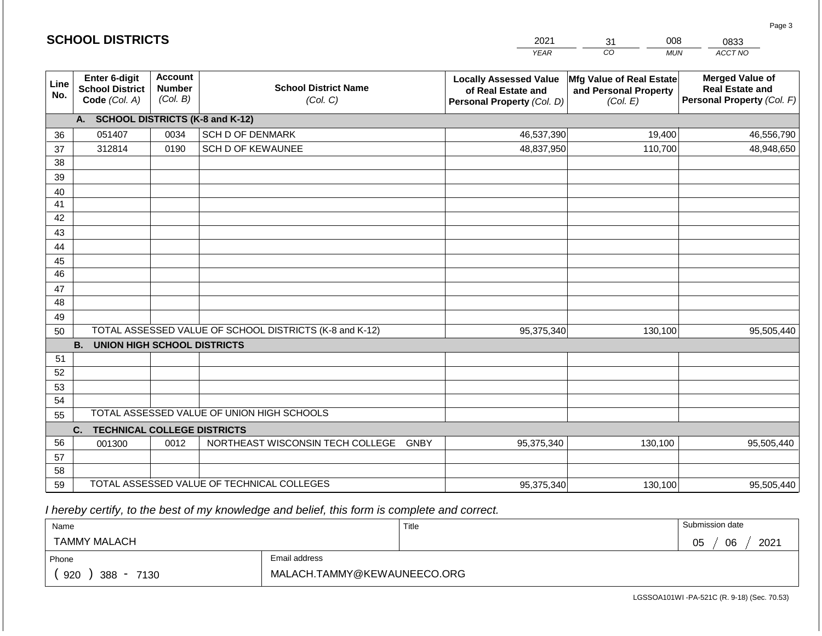|                 | <b>SCHOOL DISTRICTS</b>                                  |                                                                                        |                                                         | 2021                                                                                                                                   | 008<br>31        | 0833                                                                           |  |
|-----------------|----------------------------------------------------------|----------------------------------------------------------------------------------------|---------------------------------------------------------|----------------------------------------------------------------------------------------------------------------------------------------|------------------|--------------------------------------------------------------------------------|--|
|                 |                                                          |                                                                                        |                                                         | <b>YEAR</b>                                                                                                                            | CO<br><b>MUN</b> | ACCT NO                                                                        |  |
| Line<br>No.     | Enter 6-digit<br><b>School District</b><br>Code (Col. A) | <b>Account</b><br><b>School District Name</b><br><b>Number</b><br>(Col. B)<br>(Col. C) |                                                         | Mfg Value of Real Estate<br><b>Locally Assessed Value</b><br>of Real Estate and<br>and Personal Property<br>Personal Property (Col. D) |                  | <b>Merged Value of</b><br><b>Real Estate and</b><br>Personal Property (Col. F) |  |
|                 | A. SCHOOL DISTRICTS (K-8 and K-12)                       |                                                                                        |                                                         |                                                                                                                                        |                  |                                                                                |  |
| 36              | 051407                                                   | 0034                                                                                   | <b>SCH D OF DENMARK</b>                                 | 46,537,390                                                                                                                             | 19,400           | 46,556,790                                                                     |  |
| 37              | 312814                                                   | 0190                                                                                   | <b>SCH D OF KEWAUNEE</b>                                | 48,837,950                                                                                                                             | 110,700          | 48,948,650                                                                     |  |
| 38              |                                                          |                                                                                        |                                                         |                                                                                                                                        |                  |                                                                                |  |
| 39              |                                                          |                                                                                        |                                                         |                                                                                                                                        |                  |                                                                                |  |
| 40              |                                                          |                                                                                        |                                                         |                                                                                                                                        |                  |                                                                                |  |
| 41              |                                                          |                                                                                        |                                                         |                                                                                                                                        |                  |                                                                                |  |
| 42              |                                                          |                                                                                        |                                                         |                                                                                                                                        |                  |                                                                                |  |
| 43              |                                                          |                                                                                        |                                                         |                                                                                                                                        |                  |                                                                                |  |
| 44<br>45        |                                                          |                                                                                        |                                                         |                                                                                                                                        |                  |                                                                                |  |
| $\overline{46}$ |                                                          |                                                                                        |                                                         |                                                                                                                                        |                  |                                                                                |  |
| 47              |                                                          |                                                                                        |                                                         |                                                                                                                                        |                  |                                                                                |  |
| 48              |                                                          |                                                                                        |                                                         |                                                                                                                                        |                  |                                                                                |  |
| 49              |                                                          |                                                                                        |                                                         |                                                                                                                                        |                  |                                                                                |  |
| 50              |                                                          |                                                                                        | TOTAL ASSESSED VALUE OF SCHOOL DISTRICTS (K-8 and K-12) | 95,375,340                                                                                                                             | 130,100          | 95,505,440                                                                     |  |
|                 | <b>B.</b><br><b>UNION HIGH SCHOOL DISTRICTS</b>          |                                                                                        |                                                         |                                                                                                                                        |                  |                                                                                |  |
| 51              |                                                          |                                                                                        |                                                         |                                                                                                                                        |                  |                                                                                |  |
| 52              |                                                          |                                                                                        |                                                         |                                                                                                                                        |                  |                                                                                |  |
| 53              |                                                          |                                                                                        |                                                         |                                                                                                                                        |                  |                                                                                |  |
| 54              |                                                          |                                                                                        |                                                         |                                                                                                                                        |                  |                                                                                |  |
| 55              |                                                          |                                                                                        | TOTAL ASSESSED VALUE OF UNION HIGH SCHOOLS              |                                                                                                                                        |                  |                                                                                |  |
|                 | C.<br><b>TECHNICAL COLLEGE DISTRICTS</b>                 |                                                                                        |                                                         |                                                                                                                                        |                  |                                                                                |  |
| 56              | 001300                                                   | 0012                                                                                   | NORTHEAST WISCONSIN TECH COLLEGE GNBY                   | 95,375,340                                                                                                                             | 130,100          | 95,505,440                                                                     |  |
| 57              |                                                          |                                                                                        |                                                         |                                                                                                                                        |                  |                                                                                |  |
| 58              |                                                          |                                                                                        | TOTAL ASSESSED VALUE OF TECHNICAL COLLEGES              |                                                                                                                                        |                  |                                                                                |  |
| 59              |                                                          |                                                                                        |                                                         | 95,375,340                                                                                                                             | 130,100          | 95,505,440                                                                     |  |

 *I hereby certify, to the best of my knowledge and belief, this form is complete and correct.*

**SCHOOL DISTRICTS**

| Name                                           |                             | Title | Submission date  |
|------------------------------------------------|-----------------------------|-------|------------------|
| <b>TAMMY MALACH</b>                            |                             |       | 2021<br>06<br>05 |
| Phone                                          | Email address               |       |                  |
| 920<br>388<br>7130<br>$\overline{\phantom{a}}$ | MALACH.TAMMY@KEWAUNEECO.ORG |       |                  |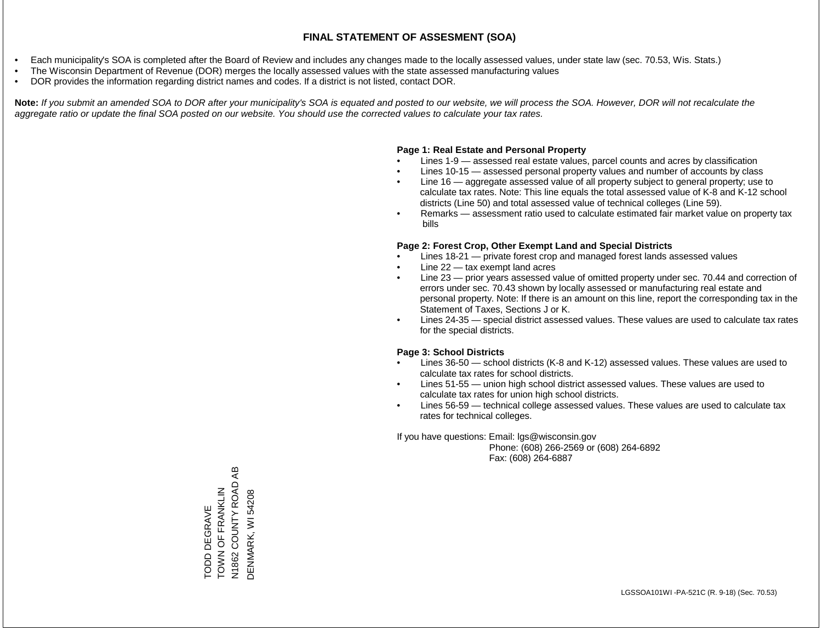- Each municipality's SOA is completed after the Board of Review and includes any changes made to the locally assessed values, under state law (sec. 70.53, Wis. Stats.)
- The Wisconsin Department of Revenue (DOR) merges the locally assessed values with the state assessed manufacturing values
- DOR provides the information regarding district names and codes. If a district is not listed, contact DOR.

Note: If you submit an amended SOA to DOR after your municipality's SOA is equated and posted to our website, we will process the SOA. However, DOR will not recalculate the *aggregate ratio or update the final SOA posted on our website. You should use the corrected values to calculate your tax rates.*

## **Page 1: Real Estate and Personal Property**

- Lines 1-9 assessed real estate values, parcel counts and acres by classification
- Lines 10-15 assessed personal property values and number of accounts by class
- Line 16 aggregate assessed value of all property subject to general property; use to calculate tax rates. Note: This line equals the total assessed value of K-8 and K-12 school districts (Line 50) and total assessed value of technical colleges (Line 59).
- Remarks assessment ratio used to calculate estimated fair market value on property tax bills

## **Page 2: Forest Crop, Other Exempt Land and Special Districts**

- Lines 18-21 private forest crop and managed forest lands assessed values
- Line  $22 -$  tax exempt land acres
- Line 23 prior years assessed value of omitted property under sec. 70.44 and correction of errors under sec. 70.43 shown by locally assessed or manufacturing real estate and personal property. Note: If there is an amount on this line, report the corresponding tax in the Statement of Taxes, Sections J or K.
- Lines 24-35 special district assessed values. These values are used to calculate tax rates for the special districts.

## **Page 3: School Districts**

- Lines 36-50 school districts (K-8 and K-12) assessed values. These values are used to calculate tax rates for school districts.
- Lines 51-55 union high school district assessed values. These values are used to calculate tax rates for union high school districts.
- Lines 56-59 technical college assessed values. These values are used to calculate tax rates for technical colleges.

If you have questions: Email: lgs@wisconsin.gov

 Phone: (608) 266-2569 or (608) 264-6892 Fax: (608) 264-6887

COUNTY ROAD AB N1862 COUNTY ROAD AB TOWN OF FRANKLIN TOWN OF FRANKLIN DENMARK, WI 54208 DENMARK, WI 54208**TODD DEGRAVE** TODD DEGRAVE N1862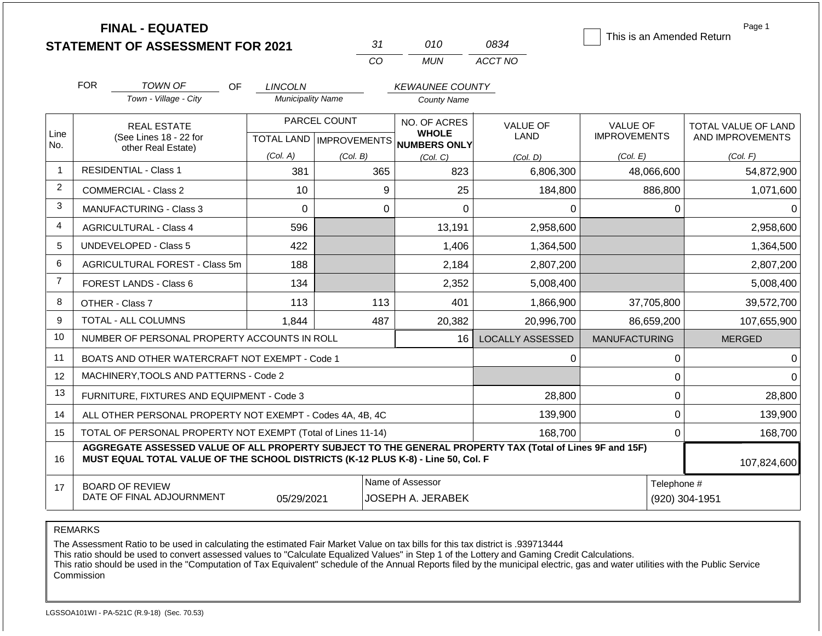|                | <b>FINAL - EQUATED</b><br><b>STATEMENT OF ASSESSMENT FOR 2021</b>                                                                                                                            |                          | 31                        | 010                          | 0834                    | This is an Amended Return | Page 1              |
|----------------|----------------------------------------------------------------------------------------------------------------------------------------------------------------------------------------------|--------------------------|---------------------------|------------------------------|-------------------------|---------------------------|---------------------|
|                |                                                                                                                                                                                              |                          | CO                        | <b>MUN</b>                   | ACCT NO                 |                           |                     |
|                | <b>FOR</b><br><b>TOWN OF</b><br><b>OF</b>                                                                                                                                                    | <b>LINCOLN</b>           |                           | <b>KEWAUNEE COUNTY</b>       |                         |                           |                     |
|                | Town - Village - City                                                                                                                                                                        | <b>Municipality Name</b> |                           | <b>County Name</b>           |                         |                           |                     |
|                | <b>REAL ESTATE</b>                                                                                                                                                                           |                          | PARCEL COUNT              |                              | <b>VALUE OF</b>         | <b>VALUE OF</b>           | TOTAL VALUE OF LAND |
| Line<br>No.    | (See Lines 18 - 22 for<br>other Real Estate)                                                                                                                                                 |                          | TOTAL LAND   IMPROVEMENTS | <b>WHOLE</b><br>NUMBERS ONLY | <b>LAND</b>             | <b>IMPROVEMENTS</b>       | AND IMPROVEMENTS    |
|                |                                                                                                                                                                                              | (Col. A)                 | (Col. B)                  | (Col, C)                     | (Col, D)                | (Col. E)                  | (Col. F)            |
| -1             | <b>RESIDENTIAL - Class 1</b>                                                                                                                                                                 | 381                      | 365                       | 823                          | 6,806,300               | 48,066,600                | 54,872,900          |
| $\overline{c}$ | <b>COMMERCIAL - Class 2</b>                                                                                                                                                                  | 10                       | 9                         | 25                           | 184,800                 | 886,800                   | 1,071,600           |
| 3              | <b>MANUFACTURING - Class 3</b>                                                                                                                                                               | $\Omega$                 | $\mathbf{0}$              | $\mathbf 0$                  | 0                       | 0                         | 0                   |
| 4              | <b>AGRICULTURAL - Class 4</b>                                                                                                                                                                | 596                      |                           | 13,191                       | 2,958,600               |                           | 2,958,600           |
| 5              | <b>UNDEVELOPED - Class 5</b>                                                                                                                                                                 | 422                      |                           | 1,406                        | 1,364,500               |                           | 1,364,500           |
| 6              | AGRICULTURAL FOREST - Class 5m                                                                                                                                                               | 188                      |                           | 2,184                        | 2,807,200               |                           | 2,807,200           |
| $\overline{7}$ | FOREST LANDS - Class 6                                                                                                                                                                       | 134                      |                           | 2,352                        | 5,008,400               |                           | 5,008,400           |
| 8              | OTHER - Class 7                                                                                                                                                                              | 113                      | 113                       | 401                          | 1,866,900               | 37,705,800                | 39,572,700          |
| 9              | <b>TOTAL - ALL COLUMNS</b>                                                                                                                                                                   | 1,844                    | 487                       | 20,382                       | 20,996,700              | 86,659,200                | 107,655,900         |
| 10             | NUMBER OF PERSONAL PROPERTY ACCOUNTS IN ROLL                                                                                                                                                 |                          |                           | 16                           | <b>LOCALLY ASSESSED</b> | <b>MANUFACTURING</b>      | <b>MERGED</b>       |
| 11             | BOATS AND OTHER WATERCRAFT NOT EXEMPT - Code 1                                                                                                                                               |                          |                           |                              | 0                       | 0                         |                     |
| 12             | MACHINERY, TOOLS AND PATTERNS - Code 2                                                                                                                                                       |                          |                           |                              |                         | 0                         |                     |
| 13             | FURNITURE, FIXTURES AND EQUIPMENT - Code 3                                                                                                                                                   |                          |                           |                              | 28,800                  | 0                         | 28,800              |
| 14             | ALL OTHER PERSONAL PROPERTY NOT EXEMPT - Codes 4A, 4B, 4C                                                                                                                                    |                          |                           |                              | 139,900                 | $\mathbf 0$               | 139,900             |
| 15             | TOTAL OF PERSONAL PROPERTY NOT EXEMPT (Total of Lines 11-14)                                                                                                                                 |                          |                           |                              | 168,700                 | $\mathbf 0$               | 168,700             |
| 16             | AGGREGATE ASSESSED VALUE OF ALL PROPERTY SUBJECT TO THE GENERAL PROPERTY TAX (Total of Lines 9F and 15F)<br>MUST EQUAL TOTAL VALUE OF THE SCHOOL DISTRICTS (K-12 PLUS K-8) - Line 50, Col. F |                          |                           |                              |                         |                           | 107,824,600         |
| 17             | <b>BOARD OF REVIEW</b>                                                                                                                                                                       |                          |                           | Name of Assessor             |                         | Telephone #               |                     |
|                | DATE OF FINAL ADJOURNMENT                                                                                                                                                                    | 05/29/2021               |                           | JOSEPH A. JERABEK            |                         |                           | (920) 304-1951      |

REMARKS

The Assessment Ratio to be used in calculating the estimated Fair Market Value on tax bills for this tax district is .939713444

This ratio should be used to convert assessed values to "Calculate Equalized Values" in Step 1 of the Lottery and Gaming Credit Calculations.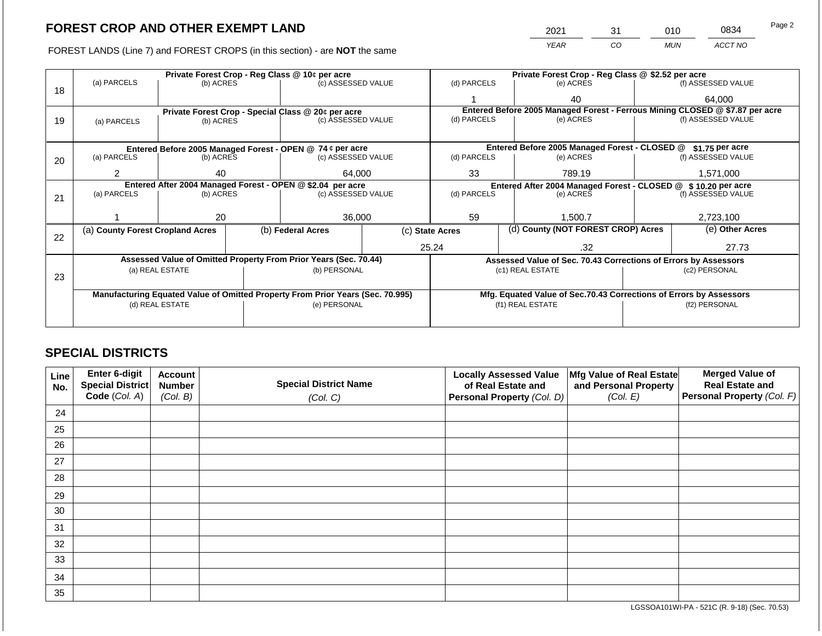FOREST LANDS (Line 7) and FOREST CROPS (in this section) - are **NOT** the same

| 2021 | 31 | 010 | 0834    | Page 2 |
|------|----|-----|---------|--------|
| YFAR | CO | MUN | ACCT NO |        |

|    |                                  |                 |        | Private Forest Crop - Reg Class @ 10¢ per acre                                 |  | Private Forest Crop - Reg Class @ \$2.52 per acre                            |                                                                    |           |                    |
|----|----------------------------------|-----------------|--------|--------------------------------------------------------------------------------|--|------------------------------------------------------------------------------|--------------------------------------------------------------------|-----------|--------------------|
|    | (a) PARCELS                      | (b) ACRES       |        | (c) ASSESSED VALUE                                                             |  | (d) PARCELS                                                                  | (e) ACRES                                                          |           | (f) ASSESSED VALUE |
| 18 |                                  |                 |        |                                                                                |  |                                                                              | 40                                                                 |           | 64,000             |
|    |                                  |                 |        | Private Forest Crop - Special Class @ 20¢ per acre                             |  | Entered Before 2005 Managed Forest - Ferrous Mining CLOSED @ \$7.87 per acre |                                                                    |           |                    |
| 19 | (a) PARCELS                      | (b) ACRES       |        | (c) ASSESSED VALUE                                                             |  | (d) PARCELS                                                                  | (e) ACRES                                                          |           | (f) ASSESSED VALUE |
|    |                                  |                 |        |                                                                                |  |                                                                              |                                                                    |           |                    |
|    |                                  |                 |        | Entered Before 2005 Managed Forest - OPEN @ 74 ¢ per acre                      |  |                                                                              | Entered Before 2005 Managed Forest - CLOSED @                      |           | $$1.75$ per acre   |
| 20 | (a) PARCELS                      | (b) ACRES       |        | (c) ASSESSED VALUE                                                             |  | (d) PARCELS                                                                  | (e) ACRES                                                          |           | (f) ASSESSED VALUE |
|    |                                  |                 |        |                                                                                |  |                                                                              |                                                                    |           |                    |
|    | 40                               |                 | 64,000 | 33                                                                             |  | 789.19                                                                       |                                                                    | 1,571,000 |                    |
|    |                                  |                 |        | Entered After 2004 Managed Forest - OPEN @ \$2.04 per acre                     |  |                                                                              | Entered After 2004 Managed Forest - CLOSED @ \$10.20 per acre      |           |                    |
| 21 | (a) PARCELS                      | (b) ACRES       |        | (c) ASSESSED VALUE                                                             |  | (d) PARCELS                                                                  | (e) ACRES                                                          |           | (f) ASSESSED VALUE |
|    |                                  |                 |        |                                                                                |  |                                                                              |                                                                    |           |                    |
|    |                                  | 20              |        | 36,000                                                                         |  | 59<br>1,500.7                                                                |                                                                    |           | 2,723,100          |
|    | (a) County Forest Cropland Acres |                 |        | (b) Federal Acres                                                              |  | (d) County (NOT FOREST CROP) Acres<br>(c) State Acres                        |                                                                    |           | (e) Other Acres    |
| 22 |                                  |                 |        |                                                                                |  |                                                                              |                                                                    |           |                    |
|    |                                  |                 |        |                                                                                |  | 25.24                                                                        | .32                                                                |           | 27.73              |
|    |                                  |                 |        | Assessed Value of Omitted Property From Prior Years (Sec. 70.44)               |  |                                                                              | Assessed Value of Sec. 70.43 Corrections of Errors by Assessors    |           |                    |
|    |                                  | (a) REAL ESTATE |        | (b) PERSONAL                                                                   |  |                                                                              | (c1) REAL ESTATE                                                   |           | (c2) PERSONAL      |
| 23 |                                  |                 |        |                                                                                |  |                                                                              |                                                                    |           |                    |
|    |                                  |                 |        |                                                                                |  |                                                                              |                                                                    |           |                    |
|    |                                  |                 |        | Manufacturing Equated Value of Omitted Property From Prior Years (Sec. 70.995) |  |                                                                              | Mfg. Equated Value of Sec.70.43 Corrections of Errors by Assessors |           |                    |
|    |                                  | (d) REAL ESTATE |        | (e) PERSONAL                                                                   |  |                                                                              | (f1) REAL ESTATE                                                   |           | (f2) PERSONAL      |
|    |                                  |                 |        |                                                                                |  |                                                                              |                                                                    |           |                    |
|    |                                  |                 |        |                                                                                |  |                                                                              |                                                                    |           |                    |

## **SPECIAL DISTRICTS**

| <b>Line</b><br>No. | Enter 6-digit<br>Special District | <b>Account</b><br><b>Number</b> | <b>Special District Name</b> | <b>Locally Assessed Value</b><br>of Real Estate and | Mfg Value of Real Estate<br>and Personal Property | <b>Merged Value of</b><br><b>Real Estate and</b> |
|--------------------|-----------------------------------|---------------------------------|------------------------------|-----------------------------------------------------|---------------------------------------------------|--------------------------------------------------|
|                    | Code (Col. A)                     | (Col. B)                        | (Col. C)                     | Personal Property (Col. D)                          | (Col. E)                                          | Personal Property (Col. F)                       |
| 24                 |                                   |                                 |                              |                                                     |                                                   |                                                  |
| 25                 |                                   |                                 |                              |                                                     |                                                   |                                                  |
| 26                 |                                   |                                 |                              |                                                     |                                                   |                                                  |
| 27                 |                                   |                                 |                              |                                                     |                                                   |                                                  |
| 28                 |                                   |                                 |                              |                                                     |                                                   |                                                  |
| 29                 |                                   |                                 |                              |                                                     |                                                   |                                                  |
| 30                 |                                   |                                 |                              |                                                     |                                                   |                                                  |
| 31                 |                                   |                                 |                              |                                                     |                                                   |                                                  |
| 32                 |                                   |                                 |                              |                                                     |                                                   |                                                  |
| 33                 |                                   |                                 |                              |                                                     |                                                   |                                                  |
| 34                 |                                   |                                 |                              |                                                     |                                                   |                                                  |
| 35                 |                                   |                                 |                              |                                                     |                                                   |                                                  |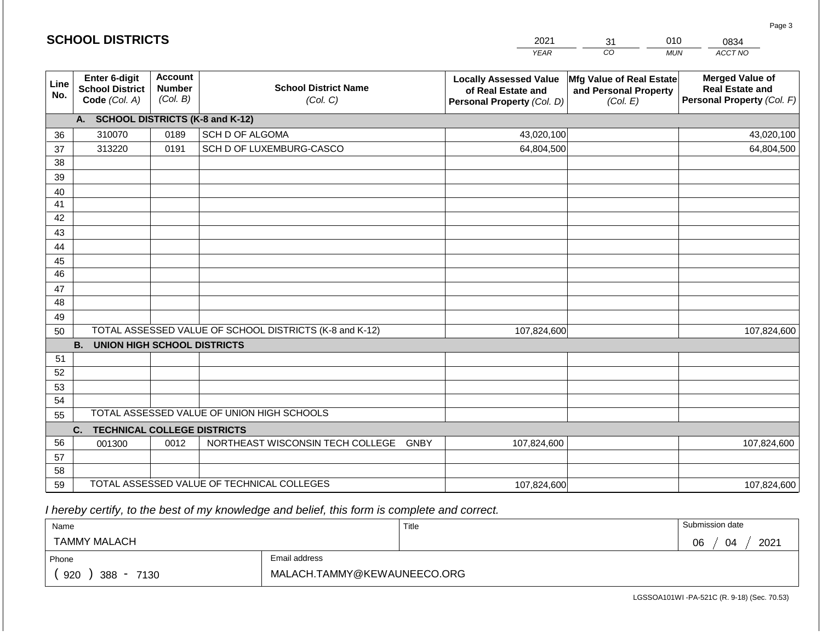|             | <b>SCHOOL DISTRICTS</b>                                  |                                             |                                                         | 2021                                                                              | 31                                                            | 010<br>0834                                                                    |
|-------------|----------------------------------------------------------|---------------------------------------------|---------------------------------------------------------|-----------------------------------------------------------------------------------|---------------------------------------------------------------|--------------------------------------------------------------------------------|
|             |                                                          |                                             |                                                         | <b>YEAR</b>                                                                       | CO                                                            | ACCT NO<br><b>MUN</b>                                                          |
| Line<br>No. | Enter 6-digit<br><b>School District</b><br>Code (Col. A) | <b>Account</b><br><b>Number</b><br>(Col. B) | <b>School District Name</b><br>(Col. C)                 | <b>Locally Assessed Value</b><br>of Real Estate and<br>Personal Property (Col. D) | Mfg Value of Real Estate<br>and Personal Property<br>(Col. E) | <b>Merged Value of</b><br><b>Real Estate and</b><br>Personal Property (Col. F) |
|             | A. SCHOOL DISTRICTS (K-8 and K-12)                       |                                             |                                                         |                                                                                   |                                                               |                                                                                |
| 36          | 310070                                                   | 0189                                        | SCH D OF ALGOMA                                         | 43,020,100                                                                        |                                                               | 43,020,100                                                                     |
| 37          | 313220                                                   | 0191                                        | SCH D OF LUXEMBURG-CASCO                                | 64,804,500                                                                        |                                                               | 64,804,500                                                                     |
| 38          |                                                          |                                             |                                                         |                                                                                   |                                                               |                                                                                |
| 39          |                                                          |                                             |                                                         |                                                                                   |                                                               |                                                                                |
| 40          |                                                          |                                             |                                                         |                                                                                   |                                                               |                                                                                |
| 41          |                                                          |                                             |                                                         |                                                                                   |                                                               |                                                                                |
| 42          |                                                          |                                             |                                                         |                                                                                   |                                                               |                                                                                |
| 43          |                                                          |                                             |                                                         |                                                                                   |                                                               |                                                                                |
| 44          |                                                          |                                             |                                                         |                                                                                   |                                                               |                                                                                |
| 45<br>46    |                                                          |                                             |                                                         |                                                                                   |                                                               |                                                                                |
| 47          |                                                          |                                             |                                                         |                                                                                   |                                                               |                                                                                |
| 48          |                                                          |                                             |                                                         |                                                                                   |                                                               |                                                                                |
| 49          |                                                          |                                             |                                                         |                                                                                   |                                                               |                                                                                |
| 50          |                                                          |                                             | TOTAL ASSESSED VALUE OF SCHOOL DISTRICTS (K-8 and K-12) | 107,824,600                                                                       |                                                               | 107,824,600                                                                    |
|             | <b>B.</b><br><b>UNION HIGH SCHOOL DISTRICTS</b>          |                                             |                                                         |                                                                                   |                                                               |                                                                                |
| 51          |                                                          |                                             |                                                         |                                                                                   |                                                               |                                                                                |
| 52          |                                                          |                                             |                                                         |                                                                                   |                                                               |                                                                                |
| 53          |                                                          |                                             |                                                         |                                                                                   |                                                               |                                                                                |
| 54          |                                                          |                                             |                                                         |                                                                                   |                                                               |                                                                                |
| 55          |                                                          |                                             | TOTAL ASSESSED VALUE OF UNION HIGH SCHOOLS              |                                                                                   |                                                               |                                                                                |
|             | C.<br><b>TECHNICAL COLLEGE DISTRICTS</b>                 |                                             |                                                         |                                                                                   |                                                               |                                                                                |
| 56          | 001300                                                   | 0012                                        | NORTHEAST WISCONSIN TECH COLLEGE GNBY                   | 107,824,600                                                                       |                                                               | 107,824,600                                                                    |
| 57          |                                                          |                                             |                                                         |                                                                                   |                                                               |                                                                                |
| 58          |                                                          |                                             |                                                         |                                                                                   |                                                               |                                                                                |
| 59          |                                                          |                                             | TOTAL ASSESSED VALUE OF TECHNICAL COLLEGES              | 107,824,600                                                                       |                                                               | 107,824,600                                                                    |

 *I hereby certify, to the best of my knowledge and belief, this form is complete and correct.*

| Name                   |                             | Title | Submission date  |
|------------------------|-----------------------------|-------|------------------|
| <b>TAMMY MALACH</b>    |                             |       | 2021<br>06<br>04 |
| Phone                  | Email address               |       |                  |
| 920<br>$388 -$<br>7130 | MALACH.TAMMY@KEWAUNEECO.ORG |       |                  |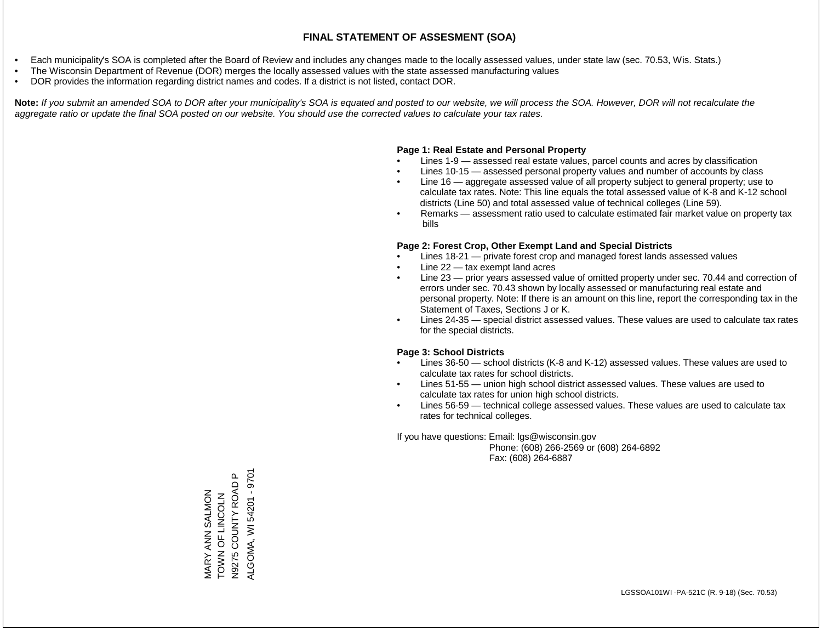- Each municipality's SOA is completed after the Board of Review and includes any changes made to the locally assessed values, under state law (sec. 70.53, Wis. Stats.)
- The Wisconsin Department of Revenue (DOR) merges the locally assessed values with the state assessed manufacturing values
- DOR provides the information regarding district names and codes. If a district is not listed, contact DOR.

Note: If you submit an amended SOA to DOR after your municipality's SOA is equated and posted to our website, we will process the SOA. However, DOR will not recalculate the *aggregate ratio or update the final SOA posted on our website. You should use the corrected values to calculate your tax rates.*

## **Page 1: Real Estate and Personal Property**

- Lines 1-9 assessed real estate values, parcel counts and acres by classification
- Lines 10-15 assessed personal property values and number of accounts by class
- Line 16 aggregate assessed value of all property subject to general property; use to calculate tax rates. Note: This line equals the total assessed value of K-8 and K-12 school districts (Line 50) and total assessed value of technical colleges (Line 59).
- Remarks assessment ratio used to calculate estimated fair market value on property tax bills

## **Page 2: Forest Crop, Other Exempt Land and Special Districts**

- Lines 18-21 private forest crop and managed forest lands assessed values
- Line  $22 -$  tax exempt land acres
- Line 23 prior years assessed value of omitted property under sec. 70.44 and correction of errors under sec. 70.43 shown by locally assessed or manufacturing real estate and personal property. Note: If there is an amount on this line, report the corresponding tax in the Statement of Taxes, Sections J or K.
- Lines 24-35 special district assessed values. These values are used to calculate tax rates for the special districts.

## **Page 3: School Districts**

- Lines 36-50 school districts (K-8 and K-12) assessed values. These values are used to calculate tax rates for school districts.
- Lines 51-55 union high school district assessed values. These values are used to calculate tax rates for union high school districts.
- Lines 56-59 technical college assessed values. These values are used to calculate tax rates for technical colleges.

If you have questions: Email: lgs@wisconsin.gov

 Phone: (608) 266-2569 or (608) 264-6892 Fax: (608) 264-6887

 $\mathtt{a}$ ALGOMA, WI 54201 - 9701 ALGOMA, WI 54201 - 9701MARY ANN SALMON<br>TOWN OF LINCOLN<br>N9275 COUNTY ROAD P N9275 COUNTY ROAD P MARY ANN SALMON ZJOOZIJ LO Z NOL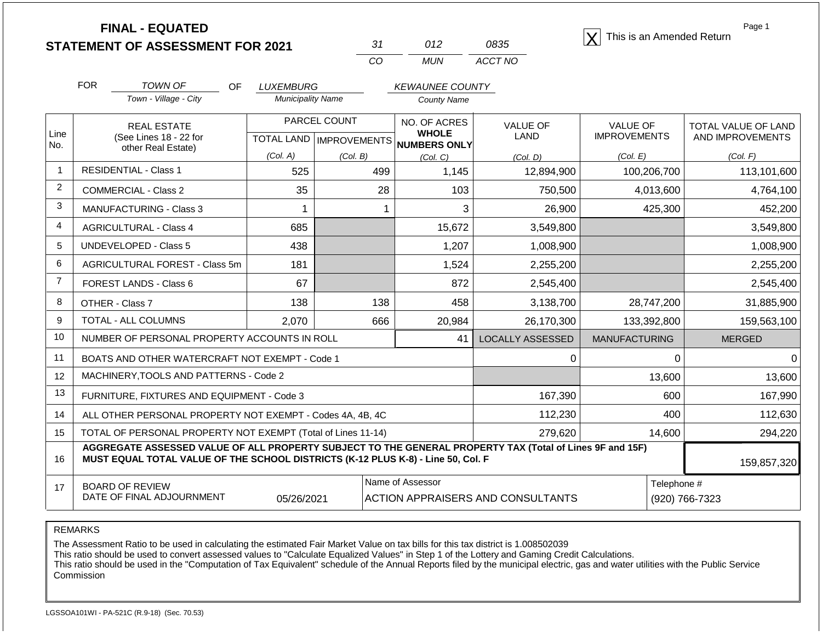**STATEMENT OF ASSESSMENT FOR 2021** 31 012 0835 **X** This is an Amended Return<br> **STATEMENT OF ASSESSMENT FOR 2021** 31 012 0835

| 31 | 012  | 0835    |
|----|------|---------|
| m  | MUN. | ACCT NO |

Page 1

|                | <b>FOR</b><br><b>TOWN OF</b>                                                                                                                                                                 | OF | <b>LUXEMBURG</b>         |                     | <b>KEWAUNEE COUNTY</b>       |                         |                      |                            |  |
|----------------|----------------------------------------------------------------------------------------------------------------------------------------------------------------------------------------------|----|--------------------------|---------------------|------------------------------|-------------------------|----------------------|----------------------------|--|
|                | Town - Village - City                                                                                                                                                                        |    | <b>Municipality Name</b> |                     | <b>County Name</b>           |                         |                      |                            |  |
|                | <b>REAL ESTATE</b>                                                                                                                                                                           |    |                          | PARCEL COUNT        | NO. OF ACRES                 | <b>VALUE OF</b>         | <b>VALUE OF</b>      | <b>TOTAL VALUE OF LAND</b> |  |
| Line<br>No.    | (See Lines 18 - 22 for<br>other Real Estate)                                                                                                                                                 |    | <b>TOTAL LAND</b>        | <b>IMPROVEMENTS</b> | <b>WHOLE</b><br>NUMBERS ONLY | LAND                    | <b>IMPROVEMENTS</b>  | AND IMPROVEMENTS           |  |
|                |                                                                                                                                                                                              |    | (Col. A)                 | (Col. B)            | (Col, C)                     | (Col, D)                | (Col. E)             | (Col. F)                   |  |
| 1              | <b>RESIDENTIAL - Class 1</b>                                                                                                                                                                 |    | 525                      | 499                 | 1,145                        | 12,894,900              | 100,206,700          | 113,101,600                |  |
| $\overline{2}$ | <b>COMMERCIAL - Class 2</b>                                                                                                                                                                  |    | 35                       | 28                  | 103                          | 750,500                 | 4,013,600            | 4,764,100                  |  |
| 3              | <b>MANUFACTURING - Class 3</b>                                                                                                                                                               |    | 1                        |                     | 3                            | 26,900                  | 425,300              | 452,200                    |  |
| $\overline{4}$ | <b>AGRICULTURAL - Class 4</b>                                                                                                                                                                |    | 685                      |                     | 15,672                       | 3,549,800               |                      | 3,549,800                  |  |
| 5              | <b>UNDEVELOPED - Class 5</b>                                                                                                                                                                 |    | 438                      |                     | 1,207                        | 1,008,900               |                      | 1,008,900                  |  |
| 6              | AGRICULTURAL FOREST - Class 5m                                                                                                                                                               |    | 181                      |                     | 1,524                        | 2,255,200               |                      | 2,255,200                  |  |
| $\overline{7}$ | FOREST LANDS - Class 6                                                                                                                                                                       |    | 67                       |                     | 872                          | 2,545,400               |                      | 2,545,400                  |  |
| 8              | OTHER - Class 7                                                                                                                                                                              |    | 138                      | 138                 | 458                          | 3,138,700               | 28,747,200           | 31,885,900                 |  |
| 9              | <b>TOTAL - ALL COLUMNS</b>                                                                                                                                                                   |    | 2,070                    | 666                 | 20,984                       | 26,170,300              | 133,392,800          | 159,563,100                |  |
| 10             | NUMBER OF PERSONAL PROPERTY ACCOUNTS IN ROLL                                                                                                                                                 |    |                          |                     | 41                           | <b>LOCALLY ASSESSED</b> | <b>MANUFACTURING</b> | <b>MERGED</b>              |  |
| 11             | BOATS AND OTHER WATERCRAFT NOT EXEMPT - Code 1                                                                                                                                               |    |                          |                     |                              | 0                       | $\Omega$             | 0                          |  |
| 12             | MACHINERY, TOOLS AND PATTERNS - Code 2                                                                                                                                                       |    |                          |                     |                              |                         | 13,600               | 13,600                     |  |
| 13             | FURNITURE, FIXTURES AND EQUIPMENT - Code 3                                                                                                                                                   |    |                          |                     |                              | 167,390                 | 600                  | 167,990                    |  |
| 14             | ALL OTHER PERSONAL PROPERTY NOT EXEMPT - Codes 4A, 4B, 4C                                                                                                                                    |    |                          | 112,230             | 400                          | 112,630                 |                      |                            |  |
| 15             | TOTAL OF PERSONAL PROPERTY NOT EXEMPT (Total of Lines 11-14)                                                                                                                                 |    |                          |                     |                              | 279,620                 | 14,600               | 294,220                    |  |
| 16             | AGGREGATE ASSESSED VALUE OF ALL PROPERTY SUBJECT TO THE GENERAL PROPERTY TAX (Total of Lines 9F and 15F)<br>MUST EQUAL TOTAL VALUE OF THE SCHOOL DISTRICTS (K-12 PLUS K-8) - Line 50, Col. F |    |                          |                     |                              |                         |                      |                            |  |

17 BOARD OF REVIEW DATE OF FINAL ADJOURNMENT Name of Assessor **Name of Assessor** Telephone # 05/26/2021 | ACTION APPRAISERS AND CONSULTANTS | (920) 766-7323

REMARKS

The Assessment Ratio to be used in calculating the estimated Fair Market Value on tax bills for this tax district is 1.008502039

This ratio should be used to convert assessed values to "Calculate Equalized Values" in Step 1 of the Lottery and Gaming Credit Calculations.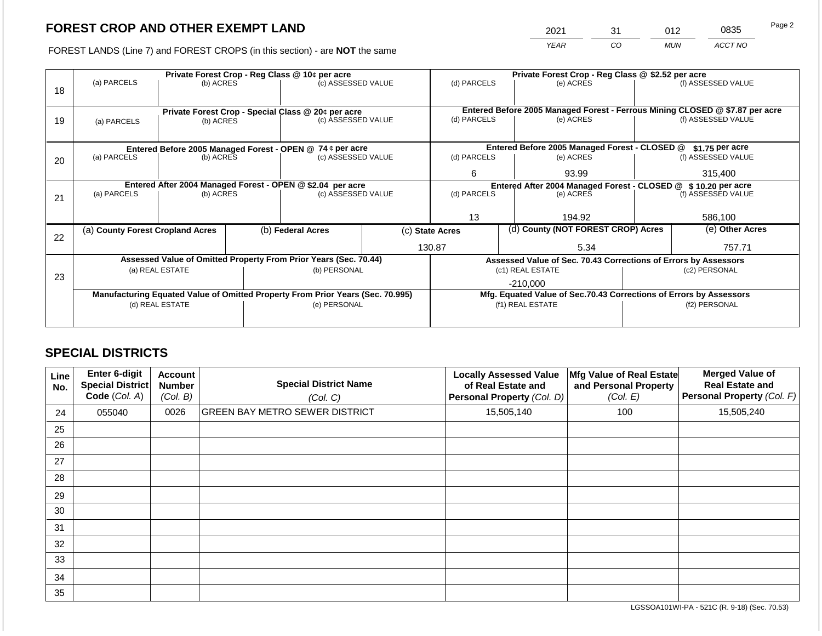2021 31 012 0835

FOREST LANDS (Line 7) and FOREST CROPS (in this section) - are **NOT** the same *YEAR CO MUN ACCT NO*

|    |                                                           |                 | Private Forest Crop - Reg Class @ \$2.52 per acre |                                                                                |                 |                                                                              |  |                                                                    |                    |                    |
|----|-----------------------------------------------------------|-----------------|---------------------------------------------------|--------------------------------------------------------------------------------|-----------------|------------------------------------------------------------------------------|--|--------------------------------------------------------------------|--------------------|--------------------|
| 18 | (a) PARCELS                                               | (b) ACRES       |                                                   | Private Forest Crop - Reg Class @ 10¢ per acre<br>(c) ASSESSED VALUE           |                 | (d) PARCELS                                                                  |  | (e) ACRES                                                          |                    | (f) ASSESSED VALUE |
|    |                                                           |                 |                                                   |                                                                                |                 |                                                                              |  |                                                                    |                    |                    |
|    | Private Forest Crop - Special Class @ 20¢ per acre        |                 |                                                   |                                                                                |                 | Entered Before 2005 Managed Forest - Ferrous Mining CLOSED @ \$7.87 per acre |  |                                                                    |                    |                    |
| 19 | (b) ACRES<br>(a) PARCELS                                  |                 |                                                   | (c) ASSESSED VALUE                                                             |                 | (d) PARCELS                                                                  |  | (e) ACRES                                                          |                    | (f) ASSESSED VALUE |
|    |                                                           |                 |                                                   |                                                                                |                 |                                                                              |  |                                                                    |                    |                    |
|    | Entered Before 2005 Managed Forest - OPEN @ 74 ¢ per acre |                 |                                                   |                                                                                |                 |                                                                              |  | Entered Before 2005 Managed Forest - CLOSED @                      |                    | $$1.75$ per acre   |
| 20 | (a) PARCELS                                               | (b) ACRES       |                                                   | (c) ASSESSED VALUE                                                             |                 | (d) PARCELS                                                                  |  | (e) ACRES                                                          |                    | (f) ASSESSED VALUE |
|    |                                                           |                 |                                                   |                                                                                |                 | 6                                                                            |  | 93.99                                                              |                    | 315,400            |
|    |                                                           |                 |                                                   | Entered After 2004 Managed Forest - OPEN @ \$2.04 per acre                     |                 |                                                                              |  | Entered After 2004 Managed Forest - CLOSED @ \$10.20 per acre      |                    |                    |
| 21 | (a) PARCELS                                               | (b) ACRES       |                                                   | (c) ASSESSED VALUE                                                             |                 | (d) PARCELS<br>(e) ACRES                                                     |  |                                                                    | (f) ASSESSED VALUE |                    |
|    |                                                           |                 |                                                   |                                                                                |                 |                                                                              |  |                                                                    |                    |                    |
|    |                                                           |                 |                                                   |                                                                                |                 | 13                                                                           |  | 194.92                                                             |                    | 586,100            |
| 22 | (a) County Forest Cropland Acres                          |                 |                                                   | (b) Federal Acres                                                              | (c) State Acres |                                                                              |  | (d) County (NOT FOREST CROP) Acres                                 |                    | (e) Other Acres    |
|    |                                                           |                 |                                                   |                                                                                |                 | 130.87                                                                       |  | 5.34                                                               |                    | 757.71             |
|    |                                                           |                 |                                                   | Assessed Value of Omitted Property From Prior Years (Sec. 70.44)               |                 |                                                                              |  | Assessed Value of Sec. 70.43 Corrections of Errors by Assessors    |                    |                    |
|    |                                                           | (a) REAL ESTATE |                                                   | (b) PERSONAL                                                                   |                 |                                                                              |  | (c1) REAL ESTATE                                                   |                    | (c2) PERSONAL      |
| 23 |                                                           |                 |                                                   |                                                                                |                 |                                                                              |  | $-210,000$                                                         |                    |                    |
|    |                                                           |                 |                                                   | Manufacturing Equated Value of Omitted Property From Prior Years (Sec. 70.995) |                 |                                                                              |  | Mfg. Equated Value of Sec.70.43 Corrections of Errors by Assessors |                    |                    |
|    |                                                           | (d) REAL ESTATE |                                                   | (e) PERSONAL                                                                   |                 |                                                                              |  | (f1) REAL ESTATE                                                   |                    | (f2) PERSONAL      |
|    |                                                           |                 |                                                   |                                                                                |                 |                                                                              |  |                                                                    |                    |                    |
|    |                                                           |                 |                                                   |                                                                                |                 |                                                                              |  |                                                                    |                    |                    |

## **SPECIAL DISTRICTS**

| Line<br>No. | <b>Enter 6-digit</b><br>Special District<br>Code (Col. A) | <b>Account</b><br><b>Number</b><br>(Col. B) | <b>Special District Name</b><br>(Col. C) | <b>Locally Assessed Value</b><br>of Real Estate and<br>Personal Property (Col. D) | Mfg Value of Real Estate<br>and Personal Property<br>(Col. E) | <b>Merged Value of</b><br><b>Real Estate and</b><br>Personal Property (Col. F) |
|-------------|-----------------------------------------------------------|---------------------------------------------|------------------------------------------|-----------------------------------------------------------------------------------|---------------------------------------------------------------|--------------------------------------------------------------------------------|
| 24          | 055040                                                    | 0026                                        | <b>GREEN BAY METRO SEWER DISTRICT</b>    | 15,505,140                                                                        | 100                                                           | 15,505,240                                                                     |
| 25          |                                                           |                                             |                                          |                                                                                   |                                                               |                                                                                |
| 26          |                                                           |                                             |                                          |                                                                                   |                                                               |                                                                                |
| 27          |                                                           |                                             |                                          |                                                                                   |                                                               |                                                                                |
| 28          |                                                           |                                             |                                          |                                                                                   |                                                               |                                                                                |
| 29          |                                                           |                                             |                                          |                                                                                   |                                                               |                                                                                |
| 30          |                                                           |                                             |                                          |                                                                                   |                                                               |                                                                                |
| 31          |                                                           |                                             |                                          |                                                                                   |                                                               |                                                                                |
| 32          |                                                           |                                             |                                          |                                                                                   |                                                               |                                                                                |
| 33          |                                                           |                                             |                                          |                                                                                   |                                                               |                                                                                |
| 34          |                                                           |                                             |                                          |                                                                                   |                                                               |                                                                                |
| 35          |                                                           |                                             |                                          |                                                                                   |                                                               |                                                                                |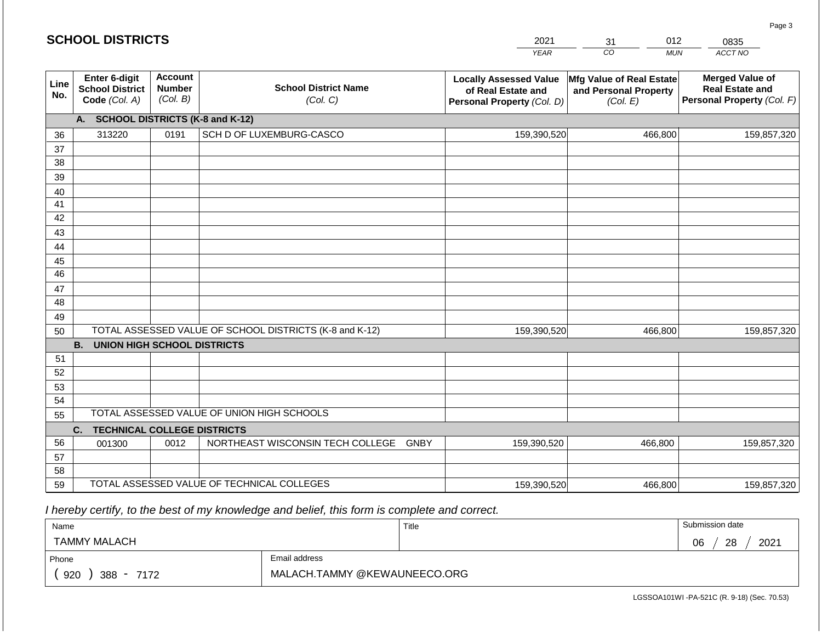|             | <b>SCHOOL DISTRICTS</b>                                                                                |                                             |                                         | 2021<br><b>YEAR</b>                                                               | 012<br>31<br>CO<br><b>MUN</b>                                 | 0835<br>ACCT NO                                                                |  |  |  |  |  |  |
|-------------|--------------------------------------------------------------------------------------------------------|---------------------------------------------|-----------------------------------------|-----------------------------------------------------------------------------------|---------------------------------------------------------------|--------------------------------------------------------------------------------|--|--|--|--|--|--|
| Line<br>No. | Enter 6-digit<br><b>School District</b><br>Code (Col. A)                                               | <b>Account</b><br><b>Number</b><br>(Col. B) | <b>School District Name</b><br>(Col. C) | <b>Locally Assessed Value</b><br>of Real Estate and<br>Personal Property (Col. D) | Mfg Value of Real Estate<br>and Personal Property<br>(Col. E) | <b>Merged Value of</b><br><b>Real Estate and</b><br>Personal Property (Col. F) |  |  |  |  |  |  |
|             | <b>SCHOOL DISTRICTS (K-8 and K-12)</b><br>А.                                                           |                                             |                                         |                                                                                   |                                                               |                                                                                |  |  |  |  |  |  |
| 36          | 313220                                                                                                 | 0191                                        | SCH D OF LUXEMBURG-CASCO                | 159,390,520                                                                       | 466,800                                                       | 159,857,320                                                                    |  |  |  |  |  |  |
| 37          |                                                                                                        |                                             |                                         |                                                                                   |                                                               |                                                                                |  |  |  |  |  |  |
| 38          |                                                                                                        |                                             |                                         |                                                                                   |                                                               |                                                                                |  |  |  |  |  |  |
| 39          |                                                                                                        |                                             |                                         |                                                                                   |                                                               |                                                                                |  |  |  |  |  |  |
| 40          |                                                                                                        |                                             |                                         |                                                                                   |                                                               |                                                                                |  |  |  |  |  |  |
| 41          |                                                                                                        |                                             |                                         |                                                                                   |                                                               |                                                                                |  |  |  |  |  |  |
| 42          |                                                                                                        |                                             |                                         |                                                                                   |                                                               |                                                                                |  |  |  |  |  |  |
| 43          |                                                                                                        |                                             |                                         |                                                                                   |                                                               |                                                                                |  |  |  |  |  |  |
| 44          |                                                                                                        |                                             |                                         |                                                                                   |                                                               |                                                                                |  |  |  |  |  |  |
| 45          |                                                                                                        |                                             |                                         |                                                                                   |                                                               |                                                                                |  |  |  |  |  |  |
| 46          |                                                                                                        |                                             |                                         |                                                                                   |                                                               |                                                                                |  |  |  |  |  |  |
| 47          |                                                                                                        |                                             |                                         |                                                                                   |                                                               |                                                                                |  |  |  |  |  |  |
| 48          |                                                                                                        |                                             |                                         |                                                                                   |                                                               |                                                                                |  |  |  |  |  |  |
| 49          |                                                                                                        |                                             |                                         |                                                                                   |                                                               |                                                                                |  |  |  |  |  |  |
|             | TOTAL ASSESSED VALUE OF SCHOOL DISTRICTS (K-8 and K-12)<br>159,390,520<br>466,800<br>159,857,320<br>50 |                                             |                                         |                                                                                   |                                                               |                                                                                |  |  |  |  |  |  |
|             | <b>UNION HIGH SCHOOL DISTRICTS</b><br><b>B.</b>                                                        |                                             |                                         |                                                                                   |                                                               |                                                                                |  |  |  |  |  |  |
| 51          |                                                                                                        |                                             |                                         |                                                                                   |                                                               |                                                                                |  |  |  |  |  |  |
| 52          |                                                                                                        |                                             |                                         |                                                                                   |                                                               |                                                                                |  |  |  |  |  |  |
| 53          |                                                                                                        |                                             |                                         |                                                                                   |                                                               |                                                                                |  |  |  |  |  |  |

 *I hereby certify, to the best of my knowledge and belief, this form is complete and correct.*

001300 | 0012 | NORTHEAST WISCONSIN TECH COLLEGE GNBY

54 55

56 57 58

**C. TECHNICAL COLLEGE DISTRICTS**

59 TOTAL ASSESSED VALUE OF TECHNICAL COLLEGES

TOTAL ASSESSED VALUE OF UNION HIGH SCHOOLS

| Name                |                              | Title | Submission date  |
|---------------------|------------------------------|-------|------------------|
| <b>TAMMY MALACH</b> |                              |       | 2021<br>06<br>28 |
| Phone               | Email address                |       |                  |
| 920<br>388 - 7172   | MALACH.TAMMY @KEWAUNEECO.ORG |       |                  |

159,390,520

Page 3

LGSSOA101WI -PA-521C (R. 9-18) (Sec. 70.53)

466,800 159,857,320

159,390,520 466,800 159,857,320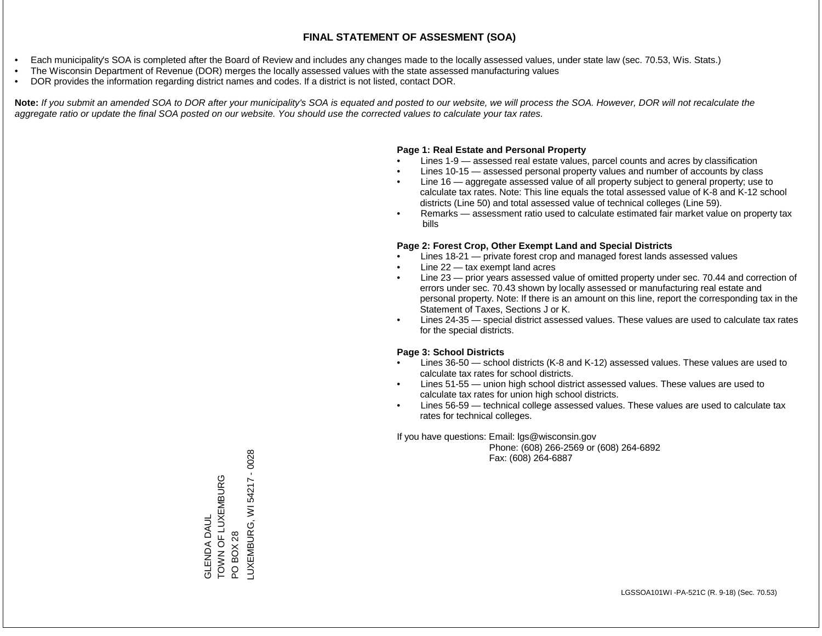- Each municipality's SOA is completed after the Board of Review and includes any changes made to the locally assessed values, under state law (sec. 70.53, Wis. Stats.)
- The Wisconsin Department of Revenue (DOR) merges the locally assessed values with the state assessed manufacturing values
- DOR provides the information regarding district names and codes. If a district is not listed, contact DOR.

Note: If you submit an amended SOA to DOR after your municipality's SOA is equated and posted to our website, we will process the SOA. However, DOR will not recalculate the *aggregate ratio or update the final SOA posted on our website. You should use the corrected values to calculate your tax rates.*

## **Page 1: Real Estate and Personal Property**

- Lines 1-9 assessed real estate values, parcel counts and acres by classification
- Lines 10-15 assessed personal property values and number of accounts by class
- Line 16 aggregate assessed value of all property subject to general property; use to calculate tax rates. Note: This line equals the total assessed value of K-8 and K-12 school districts (Line 50) and total assessed value of technical colleges (Line 59).
- Remarks assessment ratio used to calculate estimated fair market value on property tax bills

## **Page 2: Forest Crop, Other Exempt Land and Special Districts**

- Lines 18-21 private forest crop and managed forest lands assessed values
- Line  $22 -$  tax exempt land acres
- Line 23 prior years assessed value of omitted property under sec. 70.44 and correction of errors under sec. 70.43 shown by locally assessed or manufacturing real estate and personal property. Note: If there is an amount on this line, report the corresponding tax in the Statement of Taxes, Sections J or K.
- Lines 24-35 special district assessed values. These values are used to calculate tax rates for the special districts.

## **Page 3: School Districts**

- Lines 36-50 school districts (K-8 and K-12) assessed values. These values are used to calculate tax rates for school districts.
- Lines 51-55 union high school district assessed values. These values are used to calculate tax rates for union high school districts.
- Lines 56-59 technical college assessed values. These values are used to calculate tax rates for technical colleges.

If you have questions: Email: lgs@wisconsin.gov

 Phone: (608) 266-2569 or (608) 264-6892 Fax: (608) 264-6887

TOWN OF LUXEMBURG<br>PO BOX 28<br>\_UXEMBURG, WI 54217 - 0028 LUXEMBURG, WI 54217 - 0028TOWN OF LUXEMBURG **GLENDA DAUL** GLENDA DAUL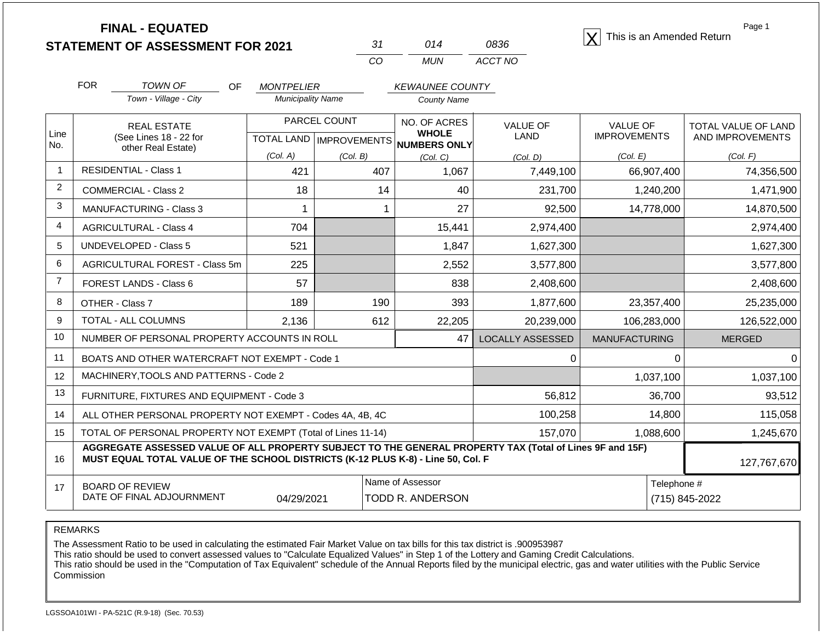**STATEMENT OF ASSESSMENT FOR 2021** 31 014 0836 **X** This is an Amended Return<br> **STATEMENT OF ASSESSMENT FOR 2021** 31 014 0836

| 31  | N14 | 0836    |
|-----|-----|---------|
| CO. | MUN | ACCT NO |

Page 1

|                | <b>FOR</b>                                                                                                                                                                                   | <b>TOWN OF</b>                                               | <b>OF</b><br><b>MONTPELIER</b> |                                  | <b>KEWAUNEE COUNTY</b>       |                         |                                        |                                         |
|----------------|----------------------------------------------------------------------------------------------------------------------------------------------------------------------------------------------|--------------------------------------------------------------|--------------------------------|----------------------------------|------------------------------|-------------------------|----------------------------------------|-----------------------------------------|
|                |                                                                                                                                                                                              | Town - Village - City                                        | <b>Municipality Name</b>       |                                  | County Name                  |                         |                                        |                                         |
| Line           |                                                                                                                                                                                              | <b>REAL ESTATE</b><br>(See Lines 18 - 22 for                 |                                | PARCEL COUNT                     | NO. OF ACRES<br><b>WHOLE</b> | <b>VALUE OF</b><br>LAND | <b>VALUE OF</b><br><b>IMPROVEMENTS</b> | TOTAL VALUE OF LAND<br>AND IMPROVEMENTS |
| No.            |                                                                                                                                                                                              | other Real Estate)                                           |                                | <b>TOTAL LAND   IMPROVEMENTS</b> | <b>NUMBERS ONLY</b>          |                         |                                        |                                         |
|                |                                                                                                                                                                                              | <b>RESIDENTIAL - Class 1</b>                                 | (Col. A)<br>421                | (Col, B)<br>407                  | (Col, C)<br>1,067            | (Col, D)                | (Col. E)                               | (Col. F)                                |
| $\overline{2}$ |                                                                                                                                                                                              |                                                              |                                |                                  |                              | 7,449,100               | 66,907,400                             | 74,356,500                              |
|                |                                                                                                                                                                                              | <b>COMMERCIAL - Class 2</b>                                  | 18                             | 14                               | 40                           | 231,700                 | 1,240,200                              | 1,471,900                               |
| 3              |                                                                                                                                                                                              | <b>MANUFACTURING - Class 3</b>                               |                                |                                  | 27                           | 92,500                  | 14,778,000                             | 14,870,500                              |
| $\overline{4}$ |                                                                                                                                                                                              | <b>AGRICULTURAL - Class 4</b>                                | 704                            |                                  | 15,441                       | 2,974,400               |                                        | 2,974,400                               |
| 5              |                                                                                                                                                                                              | <b>UNDEVELOPED - Class 5</b>                                 | 521                            |                                  | 1,847                        | 1,627,300               |                                        | 1,627,300                               |
| 6              |                                                                                                                                                                                              | AGRICULTURAL FOREST - Class 5m                               | 225                            |                                  | 2,552                        | 3,577,800               |                                        | 3,577,800                               |
| $\overline{7}$ |                                                                                                                                                                                              | FOREST LANDS - Class 6                                       | 57                             |                                  | 838                          | 2,408,600               |                                        | 2,408,600                               |
| 8              |                                                                                                                                                                                              | OTHER - Class 7                                              | 189                            | 190                              | 393                          | 1,877,600               | 23,357,400                             | 25,235,000                              |
| 9              |                                                                                                                                                                                              | <b>TOTAL - ALL COLUMNS</b>                                   | 2,136                          | 612                              | 22,205                       | 20,239,000              | 106,283,000                            | 126,522,000                             |
| 10             |                                                                                                                                                                                              | NUMBER OF PERSONAL PROPERTY ACCOUNTS IN ROLL                 |                                |                                  | 47                           | <b>LOCALLY ASSESSED</b> | <b>MANUFACTURING</b>                   | <b>MERGED</b>                           |
| 11             |                                                                                                                                                                                              | BOATS AND OTHER WATERCRAFT NOT EXEMPT - Code 1               |                                |                                  |                              | 0                       |                                        | 0<br>$\Omega$                           |
| 12             |                                                                                                                                                                                              | MACHINERY, TOOLS AND PATTERNS - Code 2                       |                                |                                  |                              |                         | 1,037,100                              | 1,037,100                               |
| 13             |                                                                                                                                                                                              | FURNITURE, FIXTURES AND EQUIPMENT - Code 3                   |                                |                                  |                              | 56,812                  | 36,700                                 | 93,512                                  |
| 14             |                                                                                                                                                                                              | ALL OTHER PERSONAL PROPERTY NOT EXEMPT - Codes 4A, 4B, 4C    |                                |                                  |                              | 100,258                 | 14,800                                 | 115,058                                 |
| 15             |                                                                                                                                                                                              | TOTAL OF PERSONAL PROPERTY NOT EXEMPT (Total of Lines 11-14) |                                |                                  | 157,070                      | 1,088,600               | 1,245,670                              |                                         |
| 16             | AGGREGATE ASSESSED VALUE OF ALL PROPERTY SUBJECT TO THE GENERAL PROPERTY TAX (Total of Lines 9F and 15F)<br>MUST EQUAL TOTAL VALUE OF THE SCHOOL DISTRICTS (K-12 PLUS K-8) - Line 50, Col. F |                                                              |                                |                                  |                              |                         |                                        |                                         |
| 17             |                                                                                                                                                                                              | <b>BOARD OF REVIEW</b>                                       |                                |                                  | Name of Assessor             |                         |                                        | Telephone #                             |
|                |                                                                                                                                                                                              | DATE OF FINAL ADJOURNMENT                                    | 04/29/2021                     |                                  | TODD R. ANDERSON             |                         |                                        | (715) 845-2022                          |

REMARKS

The Assessment Ratio to be used in calculating the estimated Fair Market Value on tax bills for this tax district is .900953987

This ratio should be used to convert assessed values to "Calculate Equalized Values" in Step 1 of the Lottery and Gaming Credit Calculations.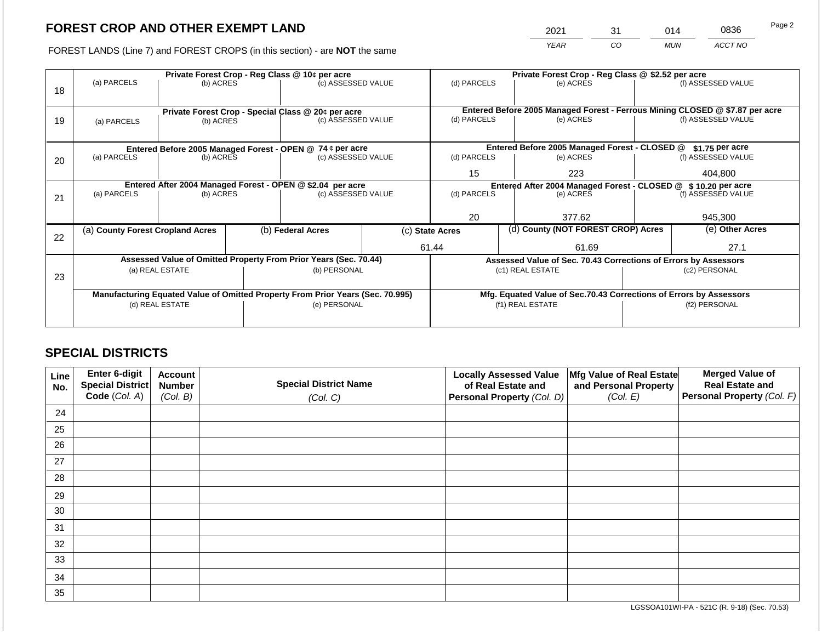2021 31 014 0836

FOREST LANDS (Line 7) and FOREST CROPS (in this section) - are **NOT** the same *YEAR CO MUN ACCT NO*

|    | Private Forest Crop - Reg Class @ 10¢ per acre |                 |  |                                                                                                |  | Private Forest Crop - Reg Class @ \$2.52 per acre |       |                                                                    |  |                                                                                                                                                                                                                                                                                                                                                     |  |
|----|------------------------------------------------|-----------------|--|------------------------------------------------------------------------------------------------|--|---------------------------------------------------|-------|--------------------------------------------------------------------|--|-----------------------------------------------------------------------------------------------------------------------------------------------------------------------------------------------------------------------------------------------------------------------------------------------------------------------------------------------------|--|
| 18 | (a) PARCELS                                    | (b) ACRES       |  | (c) ASSESSED VALUE                                                                             |  | (d) PARCELS                                       |       | (e) ACRES                                                          |  | (f) ASSESSED VALUE                                                                                                                                                                                                                                                                                                                                  |  |
|    |                                                |                 |  |                                                                                                |  |                                                   |       |                                                                    |  |                                                                                                                                                                                                                                                                                                                                                     |  |
|    |                                                |                 |  | Private Forest Crop - Special Class @ 20¢ per acre                                             |  |                                                   |       |                                                                    |  |                                                                                                                                                                                                                                                                                                                                                     |  |
| 19 | (a) PARCELS                                    | (b) ACRES       |  | (c) ASSESSED VALUE                                                                             |  | (d) PARCELS                                       |       | (e) ACRES                                                          |  | (f) ASSESSED VALUE                                                                                                                                                                                                                                                                                                                                  |  |
|    |                                                |                 |  |                                                                                                |  |                                                   |       |                                                                    |  |                                                                                                                                                                                                                                                                                                                                                     |  |
|    |                                                |                 |  | Entered Before 2005 Managed Forest - OPEN @ 74 ¢ per acre                                      |  |                                                   |       | Entered Before 2005 Managed Forest - CLOSED @                      |  | Entered Before 2005 Managed Forest - Ferrous Mining CLOSED @ \$7.87 per acre<br>$$1.75$ per acre<br>(f) ASSESSED VALUE<br>404,800<br>Entered After 2004 Managed Forest - CLOSED @ \$ 10.20 per acre<br>(f) ASSESSED VALUE<br>945.300<br>(e) Other Acres<br>27.1<br>Assessed Value of Sec. 70.43 Corrections of Errors by Assessors<br>(c2) PERSONAL |  |
| 20 | (a) PARCELS                                    | (b) ACRES       |  | (c) ASSESSED VALUE                                                                             |  | (d) PARCELS                                       |       | (e) ACRES                                                          |  |                                                                                                                                                                                                                                                                                                                                                     |  |
|    |                                                |                 |  |                                                                                                |  | 15<br>223                                         |       |                                                                    |  |                                                                                                                                                                                                                                                                                                                                                     |  |
|    |                                                |                 |  | Entered After 2004 Managed Forest - OPEN @ \$2.04 per acre                                     |  |                                                   |       |                                                                    |  |                                                                                                                                                                                                                                                                                                                                                     |  |
| 21 | (a) PARCELS                                    | (b) ACRES       |  | (c) ASSESSED VALUE                                                                             |  | (d) PARCELS                                       |       | (e) ACRES                                                          |  |                                                                                                                                                                                                                                                                                                                                                     |  |
|    |                                                |                 |  |                                                                                                |  |                                                   |       |                                                                    |  |                                                                                                                                                                                                                                                                                                                                                     |  |
|    |                                                |                 |  |                                                                                                |  | 20                                                |       | 377.62                                                             |  |                                                                                                                                                                                                                                                                                                                                                     |  |
| 22 | (a) County Forest Cropland Acres               |                 |  | (b) Federal Acres<br>(c) State Acres                                                           |  | (d) County (NOT FOREST CROP) Acres                |       |                                                                    |  |                                                                                                                                                                                                                                                                                                                                                     |  |
|    |                                                |                 |  |                                                                                                |  | 61.44                                             | 61.69 |                                                                    |  |                                                                                                                                                                                                                                                                                                                                                     |  |
|    |                                                |                 |  | Assessed Value of Omitted Property From Prior Years (Sec. 70.44)                               |  |                                                   |       |                                                                    |  |                                                                                                                                                                                                                                                                                                                                                     |  |
|    |                                                | (a) REAL ESTATE |  | (b) PERSONAL                                                                                   |  |                                                   |       | (c1) REAL ESTATE                                                   |  |                                                                                                                                                                                                                                                                                                                                                     |  |
| 23 |                                                |                 |  |                                                                                                |  |                                                   |       |                                                                    |  |                                                                                                                                                                                                                                                                                                                                                     |  |
|    |                                                |                 |  |                                                                                                |  |                                                   |       |                                                                    |  |                                                                                                                                                                                                                                                                                                                                                     |  |
|    |                                                |                 |  | Manufacturing Equated Value of Omitted Property From Prior Years (Sec. 70.995)<br>(e) PERSONAL |  |                                                   |       | Mfg. Equated Value of Sec.70.43 Corrections of Errors by Assessors |  | (f2) PERSONAL                                                                                                                                                                                                                                                                                                                                       |  |
|    |                                                | (d) REAL ESTATE |  |                                                                                                |  |                                                   |       | (f1) REAL ESTATE                                                   |  |                                                                                                                                                                                                                                                                                                                                                     |  |
|    |                                                |                 |  |                                                                                                |  |                                                   |       |                                                                    |  |                                                                                                                                                                                                                                                                                                                                                     |  |

## **SPECIAL DISTRICTS**

| Line<br>No. | Enter 6-digit<br><b>Special District</b><br>Code (Col. A) | <b>Account</b><br><b>Number</b><br>(Col. B) | <b>Special District Name</b><br>(Col. C) | <b>Locally Assessed Value</b><br>of Real Estate and<br>Personal Property (Col. D) | Mfg Value of Real Estate<br>and Personal Property<br>(Col. E) | <b>Merged Value of</b><br><b>Real Estate and</b><br>Personal Property (Col. F) |
|-------------|-----------------------------------------------------------|---------------------------------------------|------------------------------------------|-----------------------------------------------------------------------------------|---------------------------------------------------------------|--------------------------------------------------------------------------------|
| 24          |                                                           |                                             |                                          |                                                                                   |                                                               |                                                                                |
|             |                                                           |                                             |                                          |                                                                                   |                                                               |                                                                                |
| 25          |                                                           |                                             |                                          |                                                                                   |                                                               |                                                                                |
| 26          |                                                           |                                             |                                          |                                                                                   |                                                               |                                                                                |
| 27          |                                                           |                                             |                                          |                                                                                   |                                                               |                                                                                |
| 28          |                                                           |                                             |                                          |                                                                                   |                                                               |                                                                                |
| 29          |                                                           |                                             |                                          |                                                                                   |                                                               |                                                                                |
| 30          |                                                           |                                             |                                          |                                                                                   |                                                               |                                                                                |
| 31          |                                                           |                                             |                                          |                                                                                   |                                                               |                                                                                |
| 32          |                                                           |                                             |                                          |                                                                                   |                                                               |                                                                                |
| 33          |                                                           |                                             |                                          |                                                                                   |                                                               |                                                                                |
| 34          |                                                           |                                             |                                          |                                                                                   |                                                               |                                                                                |
| 35          |                                                           |                                             |                                          |                                                                                   |                                                               |                                                                                |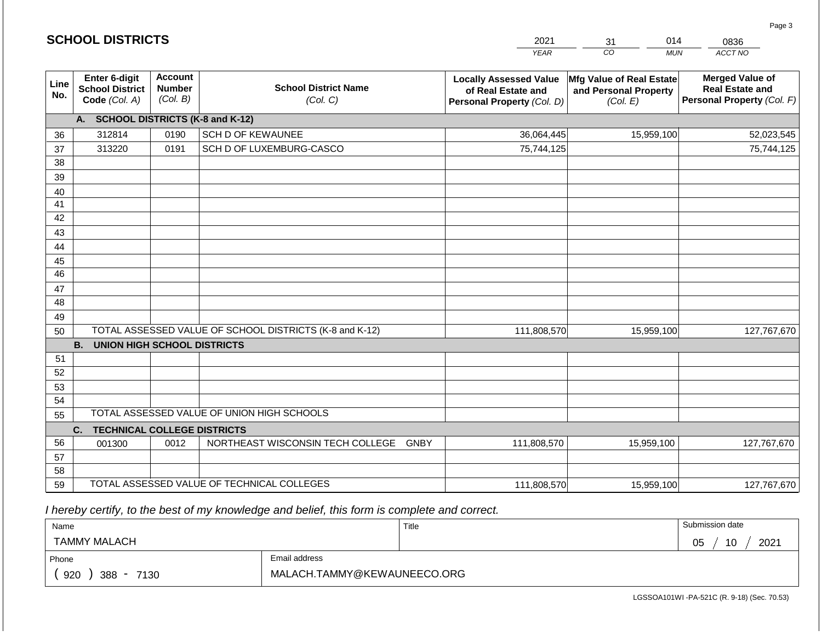|             | <b>SCHOOL DISTRICTS</b>                                         |                                                                                                                                                                                                                                              |                                                         | 2021                                                                           | 014<br>31        | 0836        |  |  |  |  |  |  |
|-------------|-----------------------------------------------------------------|----------------------------------------------------------------------------------------------------------------------------------------------------------------------------------------------------------------------------------------------|---------------------------------------------------------|--------------------------------------------------------------------------------|------------------|-------------|--|--|--|--|--|--|
|             |                                                                 |                                                                                                                                                                                                                                              |                                                         | <b>YEAR</b>                                                                    | CO<br><b>MUN</b> | ACCT NO     |  |  |  |  |  |  |
| Line<br>No. | <b>Enter 6-digit</b><br><b>School District</b><br>Code (Col. A) | <b>Account</b><br>Mfg Value of Real Estate<br><b>Locally Assessed Value</b><br><b>School District Name</b><br><b>Number</b><br>of Real Estate and<br>and Personal Property<br>(Col. B)<br>(Col. C)<br>Personal Property (Col. D)<br>(Col. E) |                                                         | <b>Merged Value of</b><br><b>Real Estate and</b><br>Personal Property (Col. F) |                  |             |  |  |  |  |  |  |
|             | A. SCHOOL DISTRICTS (K-8 and K-12)                              |                                                                                                                                                                                                                                              |                                                         |                                                                                |                  |             |  |  |  |  |  |  |
| 36          | 312814                                                          | 0190                                                                                                                                                                                                                                         | <b>SCH D OF KEWAUNEE</b>                                | 36,064,445                                                                     | 15,959,100       | 52,023,545  |  |  |  |  |  |  |
| 37          | 313220                                                          | 0191                                                                                                                                                                                                                                         | SCH D OF LUXEMBURG-CASCO                                | 75,744,125                                                                     |                  | 75,744,125  |  |  |  |  |  |  |
| 38          |                                                                 |                                                                                                                                                                                                                                              |                                                         |                                                                                |                  |             |  |  |  |  |  |  |
| 39          |                                                                 |                                                                                                                                                                                                                                              |                                                         |                                                                                |                  |             |  |  |  |  |  |  |
| 40          |                                                                 |                                                                                                                                                                                                                                              |                                                         |                                                                                |                  |             |  |  |  |  |  |  |
| 41          |                                                                 |                                                                                                                                                                                                                                              |                                                         |                                                                                |                  |             |  |  |  |  |  |  |
| 42          |                                                                 |                                                                                                                                                                                                                                              |                                                         |                                                                                |                  |             |  |  |  |  |  |  |
| 43          |                                                                 |                                                                                                                                                                                                                                              |                                                         |                                                                                |                  |             |  |  |  |  |  |  |
| 44<br>45    |                                                                 |                                                                                                                                                                                                                                              |                                                         |                                                                                |                  |             |  |  |  |  |  |  |
| 46          |                                                                 |                                                                                                                                                                                                                                              |                                                         |                                                                                |                  |             |  |  |  |  |  |  |
| 47          |                                                                 |                                                                                                                                                                                                                                              |                                                         |                                                                                |                  |             |  |  |  |  |  |  |
| 48          |                                                                 |                                                                                                                                                                                                                                              |                                                         |                                                                                |                  |             |  |  |  |  |  |  |
| 49          |                                                                 |                                                                                                                                                                                                                                              |                                                         |                                                                                |                  |             |  |  |  |  |  |  |
| 50          |                                                                 |                                                                                                                                                                                                                                              | TOTAL ASSESSED VALUE OF SCHOOL DISTRICTS (K-8 and K-12) | 111,808,570                                                                    | 15,959,100       | 127,767,670 |  |  |  |  |  |  |
|             | <b>B. UNION HIGH SCHOOL DISTRICTS</b>                           |                                                                                                                                                                                                                                              |                                                         |                                                                                |                  |             |  |  |  |  |  |  |
| 51          |                                                                 |                                                                                                                                                                                                                                              |                                                         |                                                                                |                  |             |  |  |  |  |  |  |
| 52          |                                                                 |                                                                                                                                                                                                                                              |                                                         |                                                                                |                  |             |  |  |  |  |  |  |
| 53          |                                                                 |                                                                                                                                                                                                                                              |                                                         |                                                                                |                  |             |  |  |  |  |  |  |
| 54          |                                                                 |                                                                                                                                                                                                                                              |                                                         |                                                                                |                  |             |  |  |  |  |  |  |
| 55          |                                                                 |                                                                                                                                                                                                                                              | TOTAL ASSESSED VALUE OF UNION HIGH SCHOOLS              |                                                                                |                  |             |  |  |  |  |  |  |
|             | C.<br><b>TECHNICAL COLLEGE DISTRICTS</b>                        |                                                                                                                                                                                                                                              |                                                         |                                                                                |                  |             |  |  |  |  |  |  |
| 56          | 001300                                                          | 0012                                                                                                                                                                                                                                         | NORTHEAST WISCONSIN TECH COLLEGE GNBY                   | 111,808,570                                                                    | 15,959,100       | 127,767,670 |  |  |  |  |  |  |
| 57          |                                                                 |                                                                                                                                                                                                                                              |                                                         |                                                                                |                  |             |  |  |  |  |  |  |
| 58          |                                                                 |                                                                                                                                                                                                                                              | TOTAL ASSESSED VALUE OF TECHNICAL COLLEGES              |                                                                                |                  |             |  |  |  |  |  |  |
| 59          |                                                                 |                                                                                                                                                                                                                                              |                                                         | 111,808,570                                                                    | 15,959,100       | 127,767,670 |  |  |  |  |  |  |

 *I hereby certify, to the best of my knowledge and belief, this form is complete and correct.*

| Name                   |               | Title | Submission date  |
|------------------------|---------------|-------|------------------|
| TAMMY MALACH           |               |       | 2021<br>05<br>10 |
| Phone                  | Email address |       |                  |
| 920<br>$388 -$<br>7130 |               |       |                  |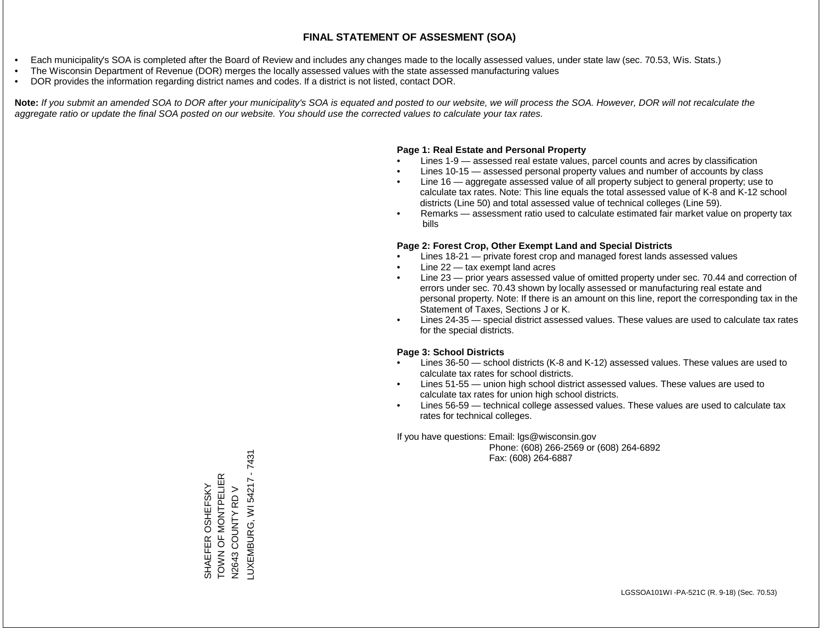- Each municipality's SOA is completed after the Board of Review and includes any changes made to the locally assessed values, under state law (sec. 70.53, Wis. Stats.)
- The Wisconsin Department of Revenue (DOR) merges the locally assessed values with the state assessed manufacturing values
- DOR provides the information regarding district names and codes. If a district is not listed, contact DOR.

Note: If you submit an amended SOA to DOR after your municipality's SOA is equated and posted to our website, we will process the SOA. However, DOR will not recalculate the *aggregate ratio or update the final SOA posted on our website. You should use the corrected values to calculate your tax rates.*

## **Page 1: Real Estate and Personal Property**

- Lines 1-9 assessed real estate values, parcel counts and acres by classification
- Lines 10-15 assessed personal property values and number of accounts by class
- Line 16 aggregate assessed value of all property subject to general property; use to calculate tax rates. Note: This line equals the total assessed value of K-8 and K-12 school districts (Line 50) and total assessed value of technical colleges (Line 59).
- Remarks assessment ratio used to calculate estimated fair market value on property tax bills

## **Page 2: Forest Crop, Other Exempt Land and Special Districts**

- Lines 18-21 private forest crop and managed forest lands assessed values
- Line  $22 -$  tax exempt land acres
- Line 23 prior years assessed value of omitted property under sec. 70.44 and correction of errors under sec. 70.43 shown by locally assessed or manufacturing real estate and personal property. Note: If there is an amount on this line, report the corresponding tax in the Statement of Taxes, Sections J or K.
- Lines 24-35 special district assessed values. These values are used to calculate tax rates for the special districts.

## **Page 3: School Districts**

- Lines 36-50 school districts (K-8 and K-12) assessed values. These values are used to calculate tax rates for school districts.
- Lines 51-55 union high school district assessed values. These values are used to calculate tax rates for union high school districts.
- Lines 56-59 technical college assessed values. These values are used to calculate tax rates for technical colleges.

If you have questions: Email: lgs@wisconsin.gov

 Phone: (608) 266-2569 or (608) 264-6892 Fax: (608) 264-6887

 $-7431$ LUXEMBURG, WI 54217 - 7431SHAEFER OSHEFSKY<br>TOWN OF MONTPELIER<br>N2643 COUNTY RD V TOWN OF MONTPELIER LUXEMBURG, WI54217 SHAEFER OSHEFSKY N2643 COUNTY RD V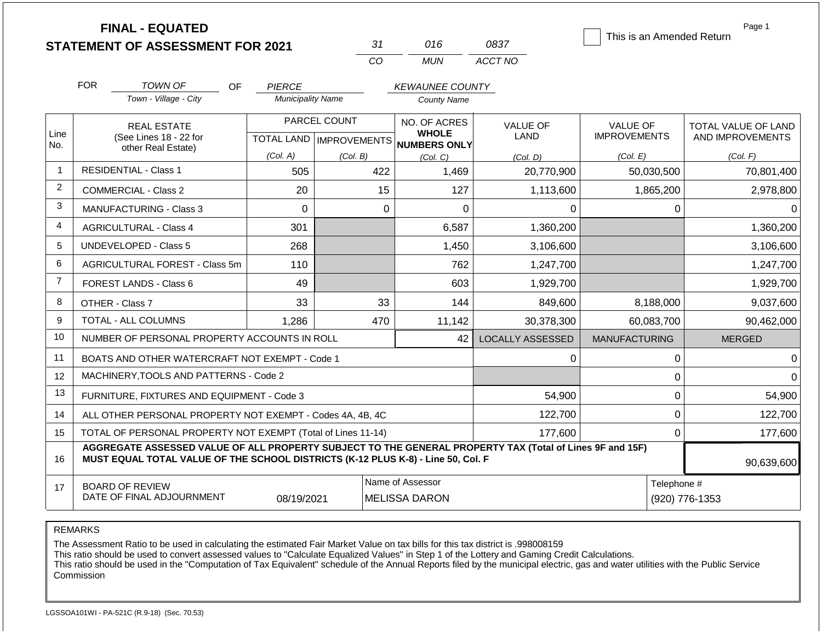|                | <b>FINAL - EQUATED</b><br><b>STATEMENT OF ASSESSMENT FOR 2021</b>                                                                                                                            |                                           | 31                        | 016                                          | 0837                           | This is an Amended Return              | Page 1                                  |
|----------------|----------------------------------------------------------------------------------------------------------------------------------------------------------------------------------------------|-------------------------------------------|---------------------------|----------------------------------------------|--------------------------------|----------------------------------------|-----------------------------------------|
|                |                                                                                                                                                                                              |                                           | CO                        | <b>MUN</b>                                   | ACCT NO                        |                                        |                                         |
|                | <b>FOR</b>                                                                                                                                                                                   |                                           |                           |                                              |                                |                                        |                                         |
|                | <b>TOWN OF</b><br>OF<br>Town - Village - City                                                                                                                                                | <b>PIERCE</b><br><b>Municipality Name</b> |                           | <b>KEWAUNEE COUNTY</b><br><b>County Name</b> |                                |                                        |                                         |
|                |                                                                                                                                                                                              |                                           |                           |                                              |                                |                                        |                                         |
| Line           | <b>REAL ESTATE</b>                                                                                                                                                                           |                                           | PARCEL COUNT              | NO. OF ACRES<br><b>WHOLE</b>                 | <b>VALUE OF</b><br><b>LAND</b> | <b>VALUE OF</b><br><b>IMPROVEMENTS</b> | TOTAL VALUE OF LAND<br>AND IMPROVEMENTS |
| No.            | (See Lines 18 - 22 for<br>other Real Estate)                                                                                                                                                 |                                           | TOTAL LAND   IMPROVEMENTS | <b>NUMBERS ONLY</b>                          |                                |                                        |                                         |
| -1             | <b>RESIDENTIAL - Class 1</b>                                                                                                                                                                 | (Col. A)                                  | (Col. B)                  | (Col, C)                                     | (Col, D)                       | (Col. E)                               | (Col. F)                                |
|                | 505<br>422<br>1,469<br>20,770,900                                                                                                                                                            |                                           | 50,030,500                | 70,801,400                                   |                                |                                        |                                         |
| $\overline{c}$ | <b>COMMERCIAL - Class 2</b>                                                                                                                                                                  | 20                                        | 15                        | 127                                          | 1,113,600                      | 1,865,200                              | 2,978,800                               |
| 3              | <b>MANUFACTURING - Class 3</b>                                                                                                                                                               | $\Omega$                                  | $\Omega$                  | 0                                            | 0                              | 0                                      | $\Omega$                                |
| 4              | <b>AGRICULTURAL - Class 4</b>                                                                                                                                                                | 301                                       |                           | 6,587                                        | 1,360,200                      |                                        | 1,360,200                               |
| 5              | <b>UNDEVELOPED - Class 5</b>                                                                                                                                                                 | 268                                       |                           | 1,450                                        | 3,106,600                      |                                        | 3,106,600                               |
| 6              | AGRICULTURAL FOREST - Class 5m                                                                                                                                                               | 110                                       |                           | 762                                          | 1,247,700                      |                                        | 1,247,700                               |
| $\overline{7}$ | FOREST LANDS - Class 6                                                                                                                                                                       | 49                                        |                           | 603                                          | 1,929,700                      |                                        | 1,929,700                               |
| 8              | OTHER - Class 7                                                                                                                                                                              | 33                                        | 33                        | 144                                          | 849,600                        | 8,188,000                              | 9,037,600                               |
| 9              | TOTAL - ALL COLUMNS                                                                                                                                                                          | 1,286                                     | 470                       | 11,142                                       | 30,378,300                     | 60,083,700                             | 90,462,000                              |
| 10             | NUMBER OF PERSONAL PROPERTY ACCOUNTS IN ROLL                                                                                                                                                 |                                           |                           | 42                                           | <b>LOCALLY ASSESSED</b>        | <b>MANUFACTURING</b>                   | <b>MERGED</b>                           |
| 11             | BOATS AND OTHER WATERCRAFT NOT EXEMPT - Code 1                                                                                                                                               |                                           |                           |                                              | 0                              | 0                                      | $\Omega$                                |
| 12             | MACHINERY, TOOLS AND PATTERNS - Code 2                                                                                                                                                       |                                           |                           |                                              |                                | 0                                      | 0                                       |
| 13             | FURNITURE, FIXTURES AND EQUIPMENT - Code 3                                                                                                                                                   |                                           |                           |                                              | 54,900                         | 0                                      | 54,900                                  |
| 14             | ALL OTHER PERSONAL PROPERTY NOT EXEMPT - Codes 4A, 4B, 4C                                                                                                                                    |                                           |                           |                                              | 122,700                        | 0                                      | 122,700                                 |
| 15             | TOTAL OF PERSONAL PROPERTY NOT EXEMPT (Total of Lines 11-14)                                                                                                                                 |                                           |                           |                                              | 177,600                        | $\overline{0}$                         | 177,600                                 |
| 16             | AGGREGATE ASSESSED VALUE OF ALL PROPERTY SUBJECT TO THE GENERAL PROPERTY TAX (Total of Lines 9F and 15F)<br>MUST EQUAL TOTAL VALUE OF THE SCHOOL DISTRICTS (K-12 PLUS K-8) - Line 50, Col. F |                                           |                           |                                              |                                |                                        | 90,639,600                              |
| 17             | <b>BOARD OF REVIEW</b>                                                                                                                                                                       |                                           |                           | Name of Assessor                             |                                | Telephone #                            |                                         |
|                | DATE OF FINAL ADJOURNMENT                                                                                                                                                                    | 08/19/2021                                | MELISSA DARON             |                                              |                                | (920) 776-1353                         |                                         |

REMARKS

The Assessment Ratio to be used in calculating the estimated Fair Market Value on tax bills for this tax district is .998008159

This ratio should be used to convert assessed values to "Calculate Equalized Values" in Step 1 of the Lottery and Gaming Credit Calculations.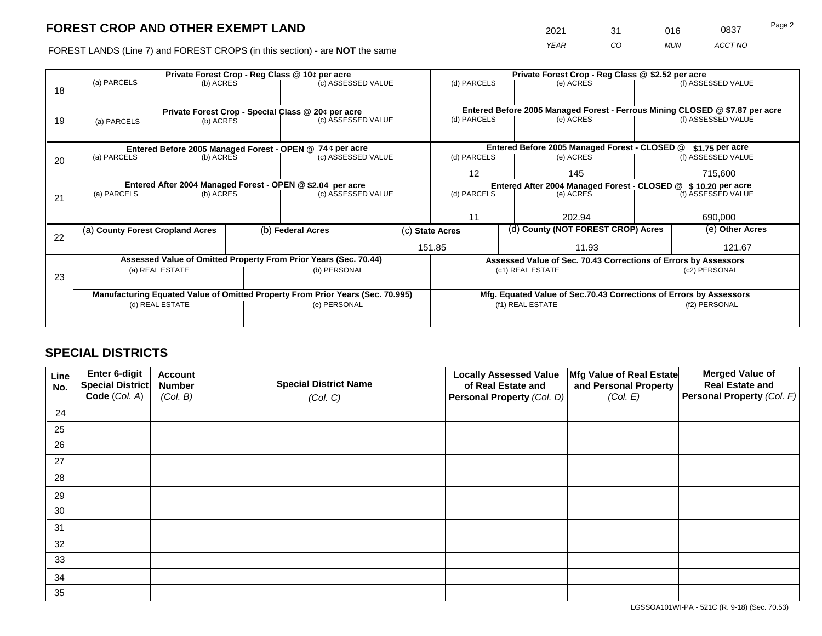2021 31 016 0837

FOREST LANDS (Line 7) and FOREST CROPS (in this section) - are **NOT** the same *YEAR CO MUN ACCT NO*

|    | Private Forest Crop - Reg Class @ 10¢ per acre                                        |                 |                    |                                                                                |                 | Private Forest Crop - Reg Class @ \$2.52 per acre                |           |                                                                    |                                                                                                    |                    |
|----|---------------------------------------------------------------------------------------|-----------------|--------------------|--------------------------------------------------------------------------------|-----------------|------------------------------------------------------------------|-----------|--------------------------------------------------------------------|----------------------------------------------------------------------------------------------------|--------------------|
|    | (a) PARCELS                                                                           | (b) ACRES       |                    | (c) ASSESSED VALUE                                                             |                 | (d) PARCELS                                                      |           | (e) ACRES                                                          |                                                                                                    | (f) ASSESSED VALUE |
| 18 |                                                                                       |                 |                    |                                                                                |                 |                                                                  |           |                                                                    |                                                                                                    |                    |
|    |                                                                                       |                 |                    |                                                                                |                 |                                                                  |           |                                                                    |                                                                                                    |                    |
|    |                                                                                       |                 |                    | Private Forest Crop - Special Class @ 20¢ per acre                             |                 | (d) PARCELS                                                      |           | (e) ACRES                                                          | Entered Before 2005 Managed Forest - Ferrous Mining CLOSED @ \$7.87 per acre<br>(f) ASSESSED VALUE |                    |
| 19 | (c) ASSESSED VALUE<br>(b) ACRES<br>(a) PARCELS                                        |                 |                    |                                                                                |                 |                                                                  |           |                                                                    |                                                                                                    |                    |
|    |                                                                                       |                 |                    |                                                                                |                 |                                                                  |           |                                                                    |                                                                                                    |                    |
|    |                                                                                       |                 |                    |                                                                                |                 | Entered Before 2005 Managed Forest - CLOSED @<br>\$1.75 per acre |           |                                                                    |                                                                                                    |                    |
| 20 | Entered Before 2005 Managed Forest - OPEN @ 74 ¢ per acre<br>(a) PARCELS<br>(b) ACRES |                 | (c) ASSESSED VALUE |                                                                                | (d) PARCELS     |                                                                  | (e) ACRES |                                                                    | (f) ASSESSED VALUE                                                                                 |                    |
|    |                                                                                       |                 |                    |                                                                                |                 |                                                                  |           |                                                                    |                                                                                                    |                    |
|    |                                                                                       |                 |                    |                                                                                | 12              |                                                                  | 145       | 715,600                                                            |                                                                                                    |                    |
|    | Entered After 2004 Managed Forest - OPEN @ \$2.04 per acre<br>(c) ASSESSED VALUE      |                 |                    |                                                                                |                 |                                                                  |           | Entered After 2004 Managed Forest - CLOSED @ \$10.20 per acre      |                                                                                                    |                    |
| 21 | (a) PARCELS                                                                           | (b) ACRES       |                    |                                                                                |                 | (d) PARCELS                                                      |           | (e) ACRES                                                          |                                                                                                    | (f) ASSESSED VALUE |
|    |                                                                                       |                 |                    |                                                                                |                 |                                                                  |           |                                                                    |                                                                                                    |                    |
|    |                                                                                       |                 |                    |                                                                                |                 | 11                                                               |           | 202.94                                                             |                                                                                                    | 690,000            |
|    | (a) County Forest Cropland Acres                                                      |                 |                    | (b) Federal Acres                                                              | (c) State Acres |                                                                  |           | (d) County (NOT FOREST CROP) Acres                                 |                                                                                                    | (e) Other Acres    |
| 22 |                                                                                       |                 |                    |                                                                                |                 |                                                                  |           |                                                                    |                                                                                                    |                    |
|    |                                                                                       |                 |                    |                                                                                |                 | 151.85                                                           |           | 11.93                                                              |                                                                                                    | 121.67             |
|    |                                                                                       |                 |                    | Assessed Value of Omitted Property From Prior Years (Sec. 70.44)               |                 |                                                                  |           | Assessed Value of Sec. 70.43 Corrections of Errors by Assessors    |                                                                                                    |                    |
| 23 |                                                                                       | (a) REAL ESTATE |                    | (b) PERSONAL                                                                   |                 |                                                                  |           | (c1) REAL ESTATE                                                   |                                                                                                    | (c2) PERSONAL      |
|    |                                                                                       |                 |                    |                                                                                |                 |                                                                  |           |                                                                    |                                                                                                    |                    |
|    |                                                                                       |                 |                    | Manufacturing Equated Value of Omitted Property From Prior Years (Sec. 70.995) |                 |                                                                  |           | Mfg. Equated Value of Sec.70.43 Corrections of Errors by Assessors |                                                                                                    |                    |
|    |                                                                                       | (d) REAL ESTATE |                    | (e) PERSONAL                                                                   |                 |                                                                  |           | (f1) REAL ESTATE                                                   |                                                                                                    | (f2) PERSONAL      |
|    |                                                                                       |                 |                    |                                                                                |                 |                                                                  |           |                                                                    |                                                                                                    |                    |
|    |                                                                                       |                 |                    |                                                                                |                 |                                                                  |           |                                                                    |                                                                                                    |                    |

## **SPECIAL DISTRICTS**

| Line<br>No. | Enter 6-digit<br>Special District<br>Code (Col. A) | <b>Account</b><br><b>Number</b><br>(Col. B) | <b>Special District Name</b><br>(Col. C) | <b>Locally Assessed Value</b><br>of Real Estate and<br><b>Personal Property (Col. D)</b> | Mfg Value of Real Estate<br>and Personal Property<br>(Col. E) | <b>Merged Value of</b><br><b>Real Estate and</b><br>Personal Property (Col. F) |
|-------------|----------------------------------------------------|---------------------------------------------|------------------------------------------|------------------------------------------------------------------------------------------|---------------------------------------------------------------|--------------------------------------------------------------------------------|
| 24          |                                                    |                                             |                                          |                                                                                          |                                                               |                                                                                |
| 25          |                                                    |                                             |                                          |                                                                                          |                                                               |                                                                                |
| 26          |                                                    |                                             |                                          |                                                                                          |                                                               |                                                                                |
| 27          |                                                    |                                             |                                          |                                                                                          |                                                               |                                                                                |
| 28          |                                                    |                                             |                                          |                                                                                          |                                                               |                                                                                |
| 29          |                                                    |                                             |                                          |                                                                                          |                                                               |                                                                                |
| 30          |                                                    |                                             |                                          |                                                                                          |                                                               |                                                                                |
| 31          |                                                    |                                             |                                          |                                                                                          |                                                               |                                                                                |
| 32          |                                                    |                                             |                                          |                                                                                          |                                                               |                                                                                |
| 33          |                                                    |                                             |                                          |                                                                                          |                                                               |                                                                                |
| 34          |                                                    |                                             |                                          |                                                                                          |                                                               |                                                                                |
| 35          |                                                    |                                             |                                          |                                                                                          |                                                               |                                                                                |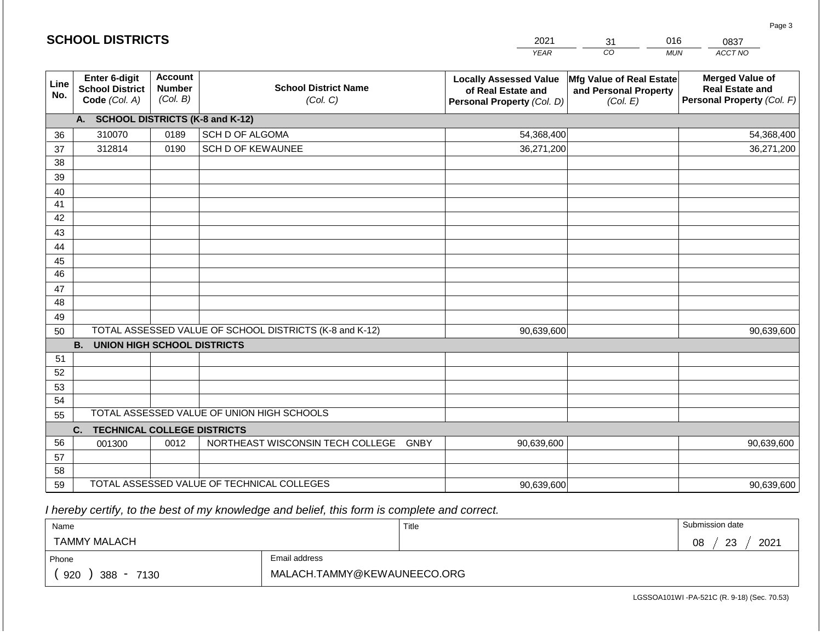|                       | <b>SCHOOL DISTRICTS</b>                                  |                                                                                        |                                                         | 2021                                                                              | 016<br>31<br>0837                                             |                                                                                |  |
|-----------------------|----------------------------------------------------------|----------------------------------------------------------------------------------------|---------------------------------------------------------|-----------------------------------------------------------------------------------|---------------------------------------------------------------|--------------------------------------------------------------------------------|--|
|                       |                                                          |                                                                                        |                                                         | <b>YEAR</b>                                                                       | CO                                                            | ACCT NO<br><b>MUN</b>                                                          |  |
| Line<br>No.           | Enter 6-digit<br><b>School District</b><br>Code (Col. A) | <b>Account</b><br><b>School District Name</b><br><b>Number</b><br>(Col. B)<br>(Col. C) |                                                         | <b>Locally Assessed Value</b><br>of Real Estate and<br>Personal Property (Col. D) | Mfg Value of Real Estate<br>and Personal Property<br>(Col. E) | <b>Merged Value of</b><br><b>Real Estate and</b><br>Personal Property (Col. F) |  |
|                       | A. SCHOOL DISTRICTS (K-8 and K-12)                       |                                                                                        |                                                         |                                                                                   |                                                               |                                                                                |  |
| 36                    | 310070                                                   | 0189                                                                                   | SCH D OF ALGOMA                                         | 54,368,400                                                                        |                                                               | 54,368,400                                                                     |  |
| 37                    | 312814                                                   | 0190                                                                                   | <b>SCH D OF KEWAUNEE</b>                                | 36,271,200                                                                        |                                                               | 36,271,200                                                                     |  |
| 38                    |                                                          |                                                                                        |                                                         |                                                                                   |                                                               |                                                                                |  |
| 39                    |                                                          |                                                                                        |                                                         |                                                                                   |                                                               |                                                                                |  |
| 40                    |                                                          |                                                                                        |                                                         |                                                                                   |                                                               |                                                                                |  |
| 41                    |                                                          |                                                                                        |                                                         |                                                                                   |                                                               |                                                                                |  |
| 42                    |                                                          |                                                                                        |                                                         |                                                                                   |                                                               |                                                                                |  |
| 43                    |                                                          |                                                                                        |                                                         |                                                                                   |                                                               |                                                                                |  |
| 44                    |                                                          |                                                                                        |                                                         |                                                                                   |                                                               |                                                                                |  |
| 45<br>$\overline{46}$ |                                                          |                                                                                        |                                                         |                                                                                   |                                                               |                                                                                |  |
| 47                    |                                                          |                                                                                        |                                                         |                                                                                   |                                                               |                                                                                |  |
| 48                    |                                                          |                                                                                        |                                                         |                                                                                   |                                                               |                                                                                |  |
| 49                    |                                                          |                                                                                        |                                                         |                                                                                   |                                                               |                                                                                |  |
| 50                    |                                                          |                                                                                        | TOTAL ASSESSED VALUE OF SCHOOL DISTRICTS (K-8 and K-12) | 90,639,600                                                                        |                                                               | 90,639,600                                                                     |  |
|                       | <b>B. UNION HIGH SCHOOL DISTRICTS</b>                    |                                                                                        |                                                         |                                                                                   |                                                               |                                                                                |  |
| 51                    |                                                          |                                                                                        |                                                         |                                                                                   |                                                               |                                                                                |  |
| 52                    |                                                          |                                                                                        |                                                         |                                                                                   |                                                               |                                                                                |  |
| 53                    |                                                          |                                                                                        |                                                         |                                                                                   |                                                               |                                                                                |  |
| 54                    |                                                          |                                                                                        |                                                         |                                                                                   |                                                               |                                                                                |  |
| 55                    |                                                          |                                                                                        | TOTAL ASSESSED VALUE OF UNION HIGH SCHOOLS              |                                                                                   |                                                               |                                                                                |  |
|                       | C.<br><b>TECHNICAL COLLEGE DISTRICTS</b>                 |                                                                                        |                                                         |                                                                                   |                                                               |                                                                                |  |
| 56                    | 001300                                                   | 0012                                                                                   | NORTHEAST WISCONSIN TECH COLLEGE GNBY                   | 90,639,600                                                                        |                                                               | 90,639,600                                                                     |  |
| 57                    |                                                          |                                                                                        |                                                         |                                                                                   |                                                               |                                                                                |  |
| 58                    |                                                          |                                                                                        |                                                         |                                                                                   |                                                               |                                                                                |  |
| 59                    |                                                          |                                                                                        | TOTAL ASSESSED VALUE OF TECHNICAL COLLEGES              | 90,639,600                                                                        |                                                               | 90,639,600                                                                     |  |

 *I hereby certify, to the best of my knowledge and belief, this form is complete and correct.*

**SCHOOL DISTRICTS**

| Name                         |                             | Title | Submission date  |  |  |
|------------------------------|-----------------------------|-------|------------------|--|--|
| <b>TAMMY MALACH</b>          |                             |       | 2021<br>08<br>23 |  |  |
| Phone                        | Email address               |       |                  |  |  |
| 920<br>388<br>7130<br>$\sim$ | MALACH.TAMMY@KEWAUNEECO.ORG |       |                  |  |  |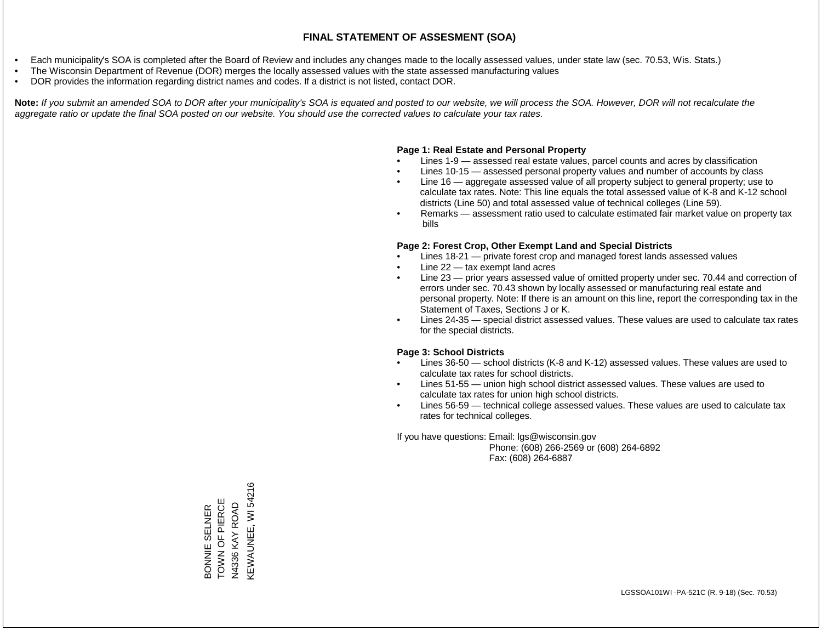- Each municipality's SOA is completed after the Board of Review and includes any changes made to the locally assessed values, under state law (sec. 70.53, Wis. Stats.)
- The Wisconsin Department of Revenue (DOR) merges the locally assessed values with the state assessed manufacturing values
- DOR provides the information regarding district names and codes. If a district is not listed, contact DOR.

Note: If you submit an amended SOA to DOR after your municipality's SOA is equated and posted to our website, we will process the SOA. However, DOR will not recalculate the *aggregate ratio or update the final SOA posted on our website. You should use the corrected values to calculate your tax rates.*

### **Page 1: Real Estate and Personal Property**

- Lines 1-9 assessed real estate values, parcel counts and acres by classification
- Lines 10-15 assessed personal property values and number of accounts by class
- Line 16 aggregate assessed value of all property subject to general property; use to calculate tax rates. Note: This line equals the total assessed value of K-8 and K-12 school districts (Line 50) and total assessed value of technical colleges (Line 59).
- Remarks assessment ratio used to calculate estimated fair market value on property tax bills

#### **Page 2: Forest Crop, Other Exempt Land and Special Districts**

- Lines 18-21 private forest crop and managed forest lands assessed values
- Line  $22 -$  tax exempt land acres
- Line 23 prior years assessed value of omitted property under sec. 70.44 and correction of errors under sec. 70.43 shown by locally assessed or manufacturing real estate and personal property. Note: If there is an amount on this line, report the corresponding tax in the Statement of Taxes, Sections J or K.
- Lines 24-35 special district assessed values. These values are used to calculate tax rates for the special districts.

#### **Page 3: School Districts**

- Lines 36-50 school districts (K-8 and K-12) assessed values. These values are used to calculate tax rates for school districts.
- Lines 51-55 union high school district assessed values. These values are used to calculate tax rates for union high school districts.
- Lines 56-59 technical college assessed values. These values are used to calculate tax rates for technical colleges.

If you have questions: Email: lgs@wisconsin.gov

 Phone: (608) 266-2569 or (608) 264-6892 Fax: (608) 264-6887

KEWAUNEE, WI 54216 KEWAUNEE, WI 54216BONNIE SELNER<br>TOWN OF PIERCE TOWN OF PIERCE N4336 KAY ROAD N4336 KAY ROAD BONNIE SELNER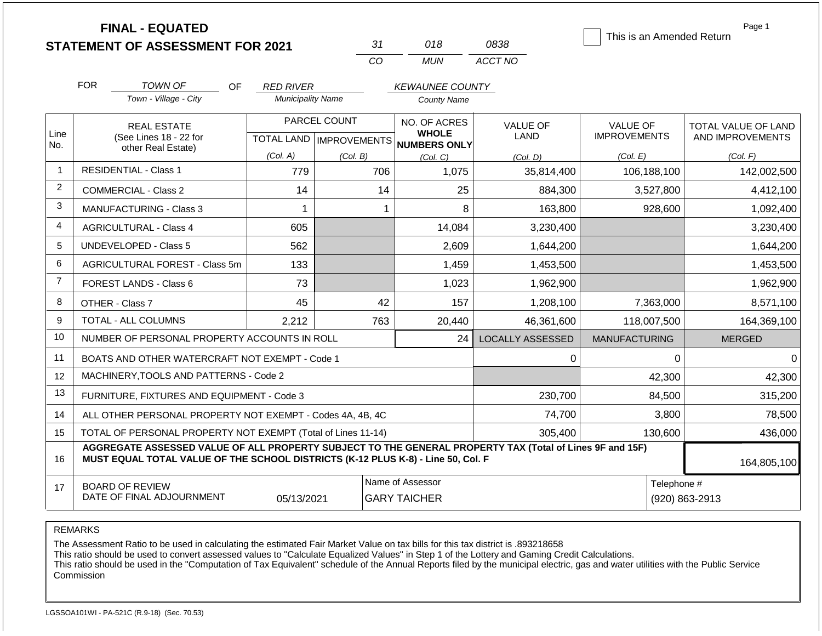|                |                                | <b>FINAL - EQUATED</b><br><b>STATEMENT OF ASSESSMENT FOR 2021</b>                                                                                                                            |                          | 31                                  | 018                                     | 0838                    | This is an Amended Return              | Page 1                                  |  |
|----------------|--------------------------------|----------------------------------------------------------------------------------------------------------------------------------------------------------------------------------------------|--------------------------|-------------------------------------|-----------------------------------------|-------------------------|----------------------------------------|-----------------------------------------|--|
|                |                                |                                                                                                                                                                                              |                          | CO                                  | <b>MUN</b>                              | ACCT NO                 |                                        |                                         |  |
|                | <b>FOR</b>                     | <b>TOWN OF</b><br><b>OF</b>                                                                                                                                                                  | <b>RED RIVER</b>         |                                     | <b>KEWAUNEE COUNTY</b>                  |                         |                                        |                                         |  |
|                |                                | Town - Village - City                                                                                                                                                                        | <b>Municipality Name</b> |                                     | <b>County Name</b>                      |                         |                                        |                                         |  |
| Line           |                                | <b>REAL ESTATE</b><br>(See Lines 18 - 22 for                                                                                                                                                 | <b>TOTAL LAND</b>        | PARCEL COUNT<br><b>IMPROVEMENTS</b> | NO. OF ACRES<br><b>WHOLE</b>            | <b>VALUE OF</b><br>LAND | <b>VALUE OF</b><br><b>IMPROVEMENTS</b> | TOTAL VALUE OF LAND<br>AND IMPROVEMENTS |  |
| No.            |                                | other Real Estate)                                                                                                                                                                           | (Col. A)                 | (Col. B)                            | NUMBERS ONLY<br>(Col, C)                | (Col, D)                | (Col. E)                               | (Col. F)                                |  |
| -1             |                                | <b>RESIDENTIAL - Class 1</b>                                                                                                                                                                 | 779                      | 706                                 | 1,075                                   | 35,814,400              | 106,188,100                            | 142,002,500                             |  |
| 2              |                                | <b>COMMERCIAL - Class 2</b>                                                                                                                                                                  | 14                       | 14                                  | 25                                      | 884,300                 | 3,527,800                              | 4,412,100                               |  |
| 3              | <b>MANUFACTURING - Class 3</b> |                                                                                                                                                                                              | $\mathbf 1$              |                                     | 8                                       | 163,800                 | 928,600                                | 1,092,400                               |  |
| 4              | <b>AGRICULTURAL - Class 4</b>  |                                                                                                                                                                                              | 605                      |                                     | 14,084                                  | 3,230,400               |                                        | 3,230,400                               |  |
| 5              |                                | <b>UNDEVELOPED - Class 5</b>                                                                                                                                                                 | 562                      |                                     | 2,609                                   | 1,644,200               |                                        | 1,644,200                               |  |
| 6              |                                | AGRICULTURAL FOREST - Class 5m                                                                                                                                                               | 133                      |                                     | 1,459                                   | 1,453,500               |                                        | 1,453,500                               |  |
| $\overline{7}$ |                                | FOREST LANDS - Class 6                                                                                                                                                                       | 73                       |                                     | 1,023                                   | 1,962,900               |                                        | 1,962,900                               |  |
| 8              |                                | OTHER - Class 7                                                                                                                                                                              | 45                       | 42                                  | 157                                     | 1,208,100               | 7,363,000                              | 8,571,100                               |  |
| 9              |                                | <b>TOTAL - ALL COLUMNS</b>                                                                                                                                                                   | 2,212                    | 763                                 | 20,440                                  | 46,361,600              | 118,007,500                            | 164,369,100                             |  |
| 10             |                                | NUMBER OF PERSONAL PROPERTY ACCOUNTS IN ROLL                                                                                                                                                 |                          |                                     | 24                                      | <b>LOCALLY ASSESSED</b> | <b>MANUFACTURING</b>                   | <b>MERGED</b>                           |  |
| 11             |                                | BOATS AND OTHER WATERCRAFT NOT EXEMPT - Code 1                                                                                                                                               |                          |                                     |                                         | 0                       | 0                                      | $\Omega$                                |  |
| 12             |                                | MACHINERY, TOOLS AND PATTERNS - Code 2                                                                                                                                                       |                          |                                     |                                         |                         | 42,300                                 | 42,300                                  |  |
| 13             |                                | FURNITURE, FIXTURES AND EQUIPMENT - Code 3                                                                                                                                                   |                          |                                     |                                         | 230,700                 | 84,500                                 | 315,200                                 |  |
| 14             |                                | ALL OTHER PERSONAL PROPERTY NOT EXEMPT - Codes 4A, 4B, 4C                                                                                                                                    |                          |                                     |                                         | 74,700                  | 3,800                                  | 78,500                                  |  |
| 15             |                                | TOTAL OF PERSONAL PROPERTY NOT EXEMPT (Total of Lines 11-14)                                                                                                                                 |                          |                                     |                                         | 305,400                 | 130,600                                | 436,000                                 |  |
| 16             |                                | AGGREGATE ASSESSED VALUE OF ALL PROPERTY SUBJECT TO THE GENERAL PROPERTY TAX (Total of Lines 9F and 15F)<br>MUST EQUAL TOTAL VALUE OF THE SCHOOL DISTRICTS (K-12 PLUS K-8) - Line 50, Col. F |                          |                                     |                                         |                         |                                        |                                         |  |
| 17             |                                | <b>BOARD OF REVIEW</b><br>DATE OF FINAL ADJOURNMENT                                                                                                                                          | 05/13/2021               |                                     | Name of Assessor<br><b>GARY TAICHER</b> |                         | Telephone #<br>(920) 863-2913          |                                         |  |

REMARKS

The Assessment Ratio to be used in calculating the estimated Fair Market Value on tax bills for this tax district is .893218658

This ratio should be used to convert assessed values to "Calculate Equalized Values" in Step 1 of the Lottery and Gaming Credit Calculations.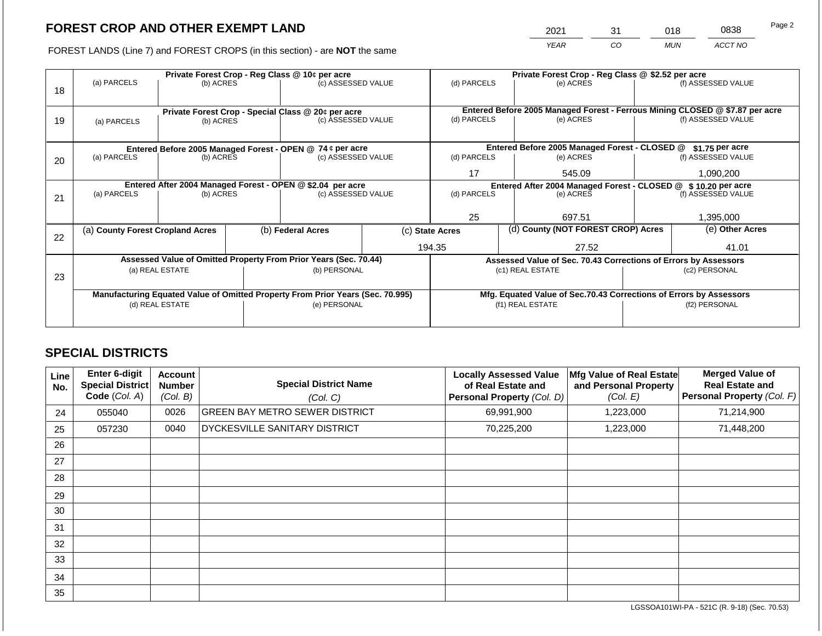2021 31 018 0838

FOREST LANDS (Line 7) and FOREST CROPS (in this section) - are **NOT** the same *YEAR CO MUN ACCT NO*

|    |                                                            | Private Forest Crop - Reg Class @ 10¢ per acre |  |                                                                                |                 |                                                                                                          | Private Forest Crop - Reg Class @ \$2.52 per acre             |                                                                    |                    |                    |
|----|------------------------------------------------------------|------------------------------------------------|--|--------------------------------------------------------------------------------|-----------------|----------------------------------------------------------------------------------------------------------|---------------------------------------------------------------|--------------------------------------------------------------------|--------------------|--------------------|
| 18 | (a) PARCELS                                                | (b) ACRES                                      |  | (c) ASSESSED VALUE                                                             |                 | (d) PARCELS                                                                                              |                                                               | (e) ACRES                                                          |                    | (f) ASSESSED VALUE |
|    |                                                            |                                                |  |                                                                                |                 |                                                                                                          |                                                               |                                                                    |                    |                    |
|    |                                                            |                                                |  |                                                                                |                 |                                                                                                          |                                                               |                                                                    |                    |                    |
|    |                                                            |                                                |  | Private Forest Crop - Special Class @ 20¢ per acre                             |                 | Entered Before 2005 Managed Forest - Ferrous Mining CLOSED @ \$7.87 per acre<br>(d) PARCELS<br>(e) ACRES |                                                               |                                                                    | (f) ASSESSED VALUE |                    |
| 19 | (a) PARCELS                                                | (c) ASSESSED VALUE<br>(b) ACRES                |  |                                                                                |                 |                                                                                                          |                                                               |                                                                    |                    |                    |
|    |                                                            |                                                |  |                                                                                |                 |                                                                                                          |                                                               |                                                                    |                    |                    |
|    |                                                            |                                                |  | Entered Before 2005 Managed Forest - OPEN @ 74 ¢ per acre                      |                 | Entered Before 2005 Managed Forest - CLOSED @<br>$$1.75$ per acre                                        |                                                               |                                                                    |                    |                    |
| 20 | (a) PARCELS                                                | (c) ASSESSED VALUE<br>(b) ACRES                |  | (d) PARCELS                                                                    |                 | (e) ACRES                                                                                                |                                                               | (f) ASSESSED VALUE                                                 |                    |                    |
|    |                                                            |                                                |  |                                                                                |                 |                                                                                                          |                                                               |                                                                    |                    |                    |
|    |                                                            |                                                |  |                                                                                |                 | 17                                                                                                       |                                                               | 545.09                                                             | 1,090,200          |                    |
|    | Entered After 2004 Managed Forest - OPEN @ \$2.04 per acre |                                                |  |                                                                                |                 |                                                                                                          | Entered After 2004 Managed Forest - CLOSED @ \$10.20 per acre |                                                                    |                    |                    |
| 21 | (a) PARCELS                                                | (b) ACRES                                      |  | (c) ASSESSED VALUE                                                             |                 | (d) PARCELS                                                                                              |                                                               | (e) ACRES                                                          |                    | (f) ASSESSED VALUE |
|    |                                                            |                                                |  |                                                                                |                 |                                                                                                          |                                                               |                                                                    |                    |                    |
|    |                                                            |                                                |  |                                                                                |                 | 25                                                                                                       |                                                               | 697.51                                                             |                    | 1,395,000          |
|    | (a) County Forest Cropland Acres                           |                                                |  | (b) Federal Acres                                                              | (c) State Acres |                                                                                                          |                                                               | (d) County (NOT FOREST CROP) Acres                                 |                    | (e) Other Acres    |
| 22 |                                                            |                                                |  |                                                                                |                 |                                                                                                          |                                                               |                                                                    |                    |                    |
|    |                                                            |                                                |  |                                                                                |                 | 194.35                                                                                                   |                                                               | 27.52                                                              |                    | 41.01              |
|    |                                                            |                                                |  | Assessed Value of Omitted Property From Prior Years (Sec. 70.44)               |                 |                                                                                                          |                                                               | Assessed Value of Sec. 70.43 Corrections of Errors by Assessors    |                    |                    |
|    |                                                            | (a) REAL ESTATE                                |  | (b) PERSONAL                                                                   |                 |                                                                                                          |                                                               | (c1) REAL ESTATE                                                   |                    | (c2) PERSONAL      |
| 23 |                                                            |                                                |  |                                                                                |                 |                                                                                                          |                                                               |                                                                    |                    |                    |
|    |                                                            |                                                |  | Manufacturing Equated Value of Omitted Property From Prior Years (Sec. 70.995) |                 |                                                                                                          |                                                               | Mfg. Equated Value of Sec.70.43 Corrections of Errors by Assessors |                    |                    |
|    |                                                            | (d) REAL ESTATE                                |  | (e) PERSONAL                                                                   |                 |                                                                                                          |                                                               | (f1) REAL ESTATE                                                   |                    | (f2) PERSONAL      |
|    |                                                            |                                                |  |                                                                                |                 |                                                                                                          |                                                               |                                                                    |                    |                    |
|    |                                                            |                                                |  |                                                                                |                 |                                                                                                          |                                                               |                                                                    |                    |                    |

## **SPECIAL DISTRICTS**

| Line<br>No. | <b>Enter 6-digit</b><br>Special District<br>Code (Col. A) | <b>Account</b><br><b>Number</b><br>(Col. B) | <b>Special District Name</b><br>(Col. C) | <b>Locally Assessed Value</b><br>of Real Estate and<br>Personal Property (Col. D) | Mfg Value of Real Estate<br>and Personal Property<br>(Col. E) | <b>Merged Value of</b><br><b>Real Estate and</b><br>Personal Property (Col. F) |
|-------------|-----------------------------------------------------------|---------------------------------------------|------------------------------------------|-----------------------------------------------------------------------------------|---------------------------------------------------------------|--------------------------------------------------------------------------------|
| 24          | 055040                                                    | 0026                                        | <b>GREEN BAY METRO SEWER DISTRICT</b>    | 69,991,900                                                                        | 1,223,000                                                     | 71,214,900                                                                     |
| 25          | 057230                                                    | 0040                                        | DYCKESVILLE SANITARY DISTRICT            | 70,225,200                                                                        | 1,223,000                                                     | 71,448,200                                                                     |
| 26          |                                                           |                                             |                                          |                                                                                   |                                                               |                                                                                |
| 27          |                                                           |                                             |                                          |                                                                                   |                                                               |                                                                                |
| 28          |                                                           |                                             |                                          |                                                                                   |                                                               |                                                                                |
| 29          |                                                           |                                             |                                          |                                                                                   |                                                               |                                                                                |
| 30          |                                                           |                                             |                                          |                                                                                   |                                                               |                                                                                |
| 31          |                                                           |                                             |                                          |                                                                                   |                                                               |                                                                                |
| 32          |                                                           |                                             |                                          |                                                                                   |                                                               |                                                                                |
| 33          |                                                           |                                             |                                          |                                                                                   |                                                               |                                                                                |
| 34          |                                                           |                                             |                                          |                                                                                   |                                                               |                                                                                |
| 35          |                                                           |                                             |                                          |                                                                                   |                                                               |                                                                                |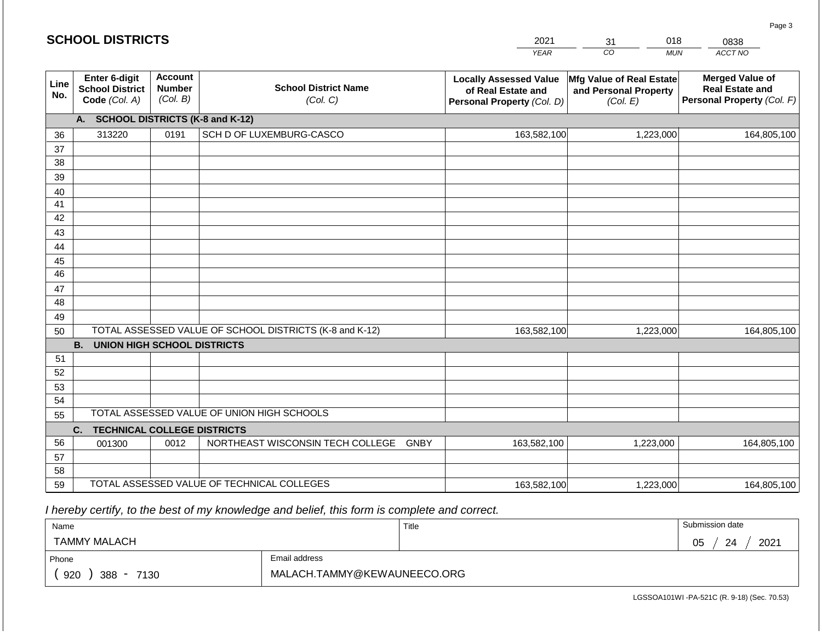|             | <b>SCHOOL DISTRICTS</b>                                         |                                             | 018<br>31                                               | 0838                                                                                                                                                                             |                               |             |  |  |  |  |  |  |  |
|-------------|-----------------------------------------------------------------|---------------------------------------------|---------------------------------------------------------|----------------------------------------------------------------------------------------------------------------------------------------------------------------------------------|-------------------------------|-------------|--|--|--|--|--|--|--|
|             |                                                                 |                                             |                                                         | <b>YEAR</b>                                                                                                                                                                      | $\overline{co}$<br><b>MUN</b> | ACCT NO     |  |  |  |  |  |  |  |
| Line<br>No. | <b>Enter 6-digit</b><br><b>School District</b><br>Code (Col. A) | <b>Account</b><br><b>Number</b><br>(Col. B) | <b>School District Name</b><br>(Col. C)                 | <b>Locally Assessed Value</b><br>Mfg Value of Real Estate<br>and Personal Property<br>of Real Estate and<br>Personal Property (Col. F)<br>(Col. E)<br>Personal Property (Col. D) |                               |             |  |  |  |  |  |  |  |
|             | <b>SCHOOL DISTRICTS (K-8 and K-12)</b><br>A.                    |                                             |                                                         |                                                                                                                                                                                  |                               |             |  |  |  |  |  |  |  |
| 36          | 313220                                                          | 0191                                        | SCH D OF LUXEMBURG-CASCO                                | 163,582,100                                                                                                                                                                      | 1,223,000                     | 164,805,100 |  |  |  |  |  |  |  |
| 37          |                                                                 |                                             |                                                         |                                                                                                                                                                                  |                               |             |  |  |  |  |  |  |  |
| 38          |                                                                 |                                             |                                                         |                                                                                                                                                                                  |                               |             |  |  |  |  |  |  |  |
| 39          |                                                                 |                                             |                                                         |                                                                                                                                                                                  |                               |             |  |  |  |  |  |  |  |
| 40          |                                                                 |                                             |                                                         |                                                                                                                                                                                  |                               |             |  |  |  |  |  |  |  |
| 41          |                                                                 |                                             |                                                         |                                                                                                                                                                                  |                               |             |  |  |  |  |  |  |  |
| 42          |                                                                 |                                             |                                                         |                                                                                                                                                                                  |                               |             |  |  |  |  |  |  |  |
| 43          |                                                                 |                                             |                                                         |                                                                                                                                                                                  |                               |             |  |  |  |  |  |  |  |
| 44          |                                                                 |                                             |                                                         |                                                                                                                                                                                  |                               |             |  |  |  |  |  |  |  |
| 45<br>46    |                                                                 |                                             |                                                         |                                                                                                                                                                                  |                               |             |  |  |  |  |  |  |  |
| 47          |                                                                 |                                             |                                                         |                                                                                                                                                                                  |                               |             |  |  |  |  |  |  |  |
| 48          |                                                                 |                                             |                                                         |                                                                                                                                                                                  |                               |             |  |  |  |  |  |  |  |
| 49          |                                                                 |                                             |                                                         |                                                                                                                                                                                  |                               |             |  |  |  |  |  |  |  |
| 50          |                                                                 |                                             | TOTAL ASSESSED VALUE OF SCHOOL DISTRICTS (K-8 and K-12) | 163,582,100                                                                                                                                                                      | 1,223,000                     | 164,805,100 |  |  |  |  |  |  |  |
|             | <b>B.</b><br><b>UNION HIGH SCHOOL DISTRICTS</b>                 |                                             |                                                         |                                                                                                                                                                                  |                               |             |  |  |  |  |  |  |  |
| 51          |                                                                 |                                             |                                                         |                                                                                                                                                                                  |                               |             |  |  |  |  |  |  |  |
| 52          |                                                                 |                                             |                                                         |                                                                                                                                                                                  |                               |             |  |  |  |  |  |  |  |
| 53          |                                                                 |                                             |                                                         |                                                                                                                                                                                  |                               |             |  |  |  |  |  |  |  |
| 54          |                                                                 |                                             |                                                         |                                                                                                                                                                                  |                               |             |  |  |  |  |  |  |  |
| 55          |                                                                 |                                             | TOTAL ASSESSED VALUE OF UNION HIGH SCHOOLS              |                                                                                                                                                                                  |                               |             |  |  |  |  |  |  |  |
|             | <b>TECHNICAL COLLEGE DISTRICTS</b><br>C.                        |                                             |                                                         |                                                                                                                                                                                  |                               |             |  |  |  |  |  |  |  |
| 56          | 001300                                                          | 0012                                        | NORTHEAST WISCONSIN TECH COLLEGE<br><b>GNBY</b>         | 163,582,100                                                                                                                                                                      | 1,223,000                     | 164,805,100 |  |  |  |  |  |  |  |
| 57          |                                                                 |                                             |                                                         |                                                                                                                                                                                  |                               |             |  |  |  |  |  |  |  |

 *I hereby certify, to the best of my knowledge and belief, this form is complete and correct.*

59 TOTAL ASSESSED VALUE OF TECHNICAL COLLEGES

| Name                                           |               | Title | Submission date   |
|------------------------------------------------|---------------|-------|-------------------|
| TAMMY MALACH                                   |               |       | 2021<br>05<br>-24 |
| Phone                                          | Email address |       |                   |
| 920<br>388<br>7130<br>$\overline{\phantom{a}}$ |               |       |                   |

163,582,100

LGSSOA101WI -PA-521C (R. 9-18) (Sec. 70.53)

1,223,000 164,805,100

Page 3

| <b>SCHOOL DISTRICTS</b> |  |  |
|-------------------------|--|--|
|-------------------------|--|--|

58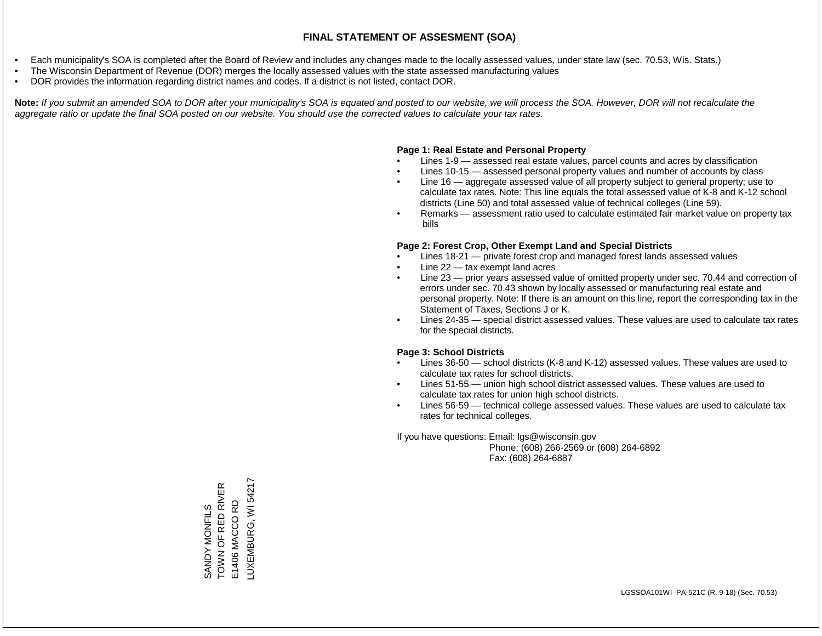- Each municipality's SOA is completed after the Board of Review and includes any changes made to the locally assessed values, under state law (sec. 70.53, Wis. Stats.)
- The Wisconsin Department of Revenue (DOR) merges the locally assessed values with the state assessed manufacturing values
- DOR provides the information regarding district names and codes. If a district is not listed, contact DOR.

Note: If you submit an amended SOA to DOR after your municipality's SOA is equated and posted to our website, we will process the SOA. However, DOR will not recalculate the *aggregate ratio or update the final SOA posted on our website. You should use the corrected values to calculate your tax rates.*

### **Page 1: Real Estate and Personal Property**

- Lines 1-9 assessed real estate values, parcel counts and acres by classification
- Lines 10-15 assessed personal property values and number of accounts by class
- Line 16 aggregate assessed value of all property subject to general property; use to calculate tax rates. Note: This line equals the total assessed value of K-8 and K-12 school districts (Line 50) and total assessed value of technical colleges (Line 59).
- Remarks assessment ratio used to calculate estimated fair market value on property tax bills

#### **Page 2: Forest Crop, Other Exempt Land and Special Districts**

- Lines 18-21 private forest crop and managed forest lands assessed values
- Line  $22 -$  tax exempt land acres
- Line 23 prior years assessed value of omitted property under sec. 70.44 and correction of errors under sec. 70.43 shown by locally assessed or manufacturing real estate and personal property. Note: If there is an amount on this line, report the corresponding tax in the Statement of Taxes, Sections J or K.
- Lines 24-35 special district assessed values. These values are used to calculate tax rates for the special districts.

#### **Page 3: School Districts**

- Lines 36-50 school districts (K-8 and K-12) assessed values. These values are used to calculate tax rates for school districts.
- Lines 51-55 union high school district assessed values. These values are used to calculate tax rates for union high school districts.
- Lines 56-59 technical college assessed values. These values are used to calculate tax rates for technical colleges.

If you have questions: Email: lgs@wisconsin.gov

 Phone: (608) 266-2569 or (608) 264-6892 Fax: (608) 264-6887

LUXEMBURG, WI54217 LUXEMBURG, WI 54217TOWN OF RED RIVER SANDY MONFILS<br>TOWN OF RED RIVER E1406 MACCO RD E1406 MACCO RD SANDY MONFILS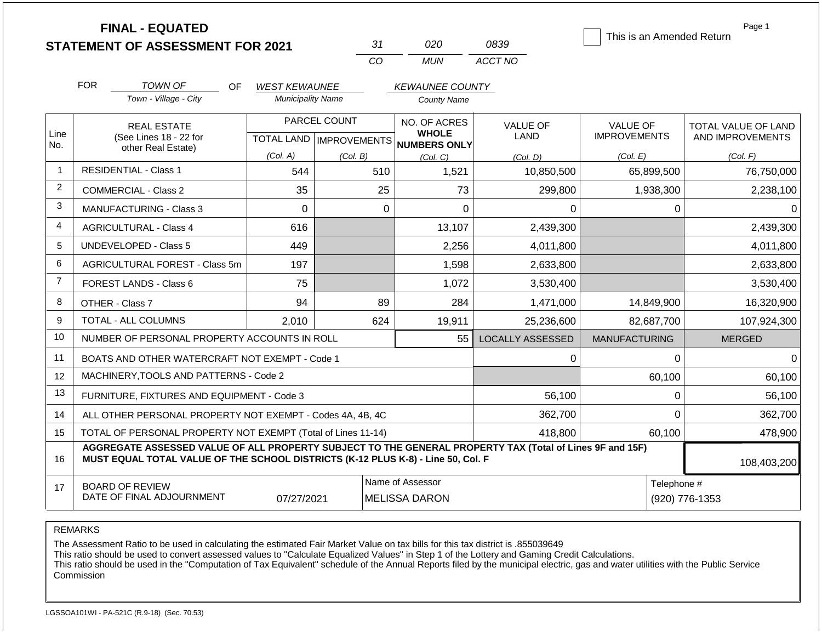|                |                                                                                                               | <b>FINAL - EQUATED</b><br><b>STATEMENT OF ASSESSMENT FOR 2021</b>                                                                                                                            |                          |              | 31<br>CO | 020<br><b>MUN</b>                                   | 0839<br>ACCT NO               | This is an Amended Return | Page 1               |
|----------------|---------------------------------------------------------------------------------------------------------------|----------------------------------------------------------------------------------------------------------------------------------------------------------------------------------------------|--------------------------|--------------|----------|-----------------------------------------------------|-------------------------------|---------------------------|----------------------|
|                | <b>FOR</b>                                                                                                    | TOWN OF<br>OF.                                                                                                                                                                               | <b>WEST KEWAUNEE</b>     |              |          | <b>KEWAUNEE COUNTY</b>                              |                               |                           |                      |
|                |                                                                                                               | Town - Village - City                                                                                                                                                                        | <b>Municipality Name</b> |              |          | <b>County Name</b>                                  |                               |                           |                      |
|                |                                                                                                               | <b>REAL ESTATE</b>                                                                                                                                                                           |                          | PARCEL COUNT |          | NO. OF ACRES                                        | <b>VALUE OF</b>               | <b>VALUE OF</b>           | TOTAL VALUE OF LAND  |
| Line<br>No.    |                                                                                                               | (See Lines 18 - 22 for                                                                                                                                                                       |                          |              |          | <b>WHOLE</b><br>TOTAL LAND MPROVEMENTS NUMBERS ONLY | LAND                          | <b>IMPROVEMENTS</b>       | AND IMPROVEMENTS     |
|                |                                                                                                               | other Real Estate)                                                                                                                                                                           | (Col. A)                 | (Col. B)     |          | (Col, C)<br>(Col, D)                                |                               | (Col. E)                  | (Col. F)             |
| 1              |                                                                                                               | <b>RESIDENTIAL - Class 1</b>                                                                                                                                                                 | 544                      |              | 510      | 1,521                                               | 10,850,500                    | 65,899,500                | 76,750,000           |
| $\overline{c}$ |                                                                                                               | <b>COMMERCIAL - Class 2</b>                                                                                                                                                                  | 35                       |              | 25       | 73                                                  | 299,800                       | 1,938,300                 | 2,238,100            |
| 3              |                                                                                                               | <b>MANUFACTURING - Class 3</b>                                                                                                                                                               | 0                        |              | $\Omega$ | $\Omega$                                            | 0                             |                           | 0<br>0               |
| 4              |                                                                                                               | <b>AGRICULTURAL - Class 4</b><br>616                                                                                                                                                         |                          |              |          | 13,107                                              | 2,439,300                     |                           | 2,439,300            |
| 5              |                                                                                                               | <b>UNDEVELOPED - Class 5</b><br>449                                                                                                                                                          |                          |              |          | 2,256                                               | 4,011,800                     |                           | 4,011,800            |
| 6              |                                                                                                               | <b>AGRICULTURAL FOREST - Class 5m</b>                                                                                                                                                        | 197                      |              |          | 1,598                                               | 2,633,800                     |                           | 2,633,800            |
| $\overline{7}$ |                                                                                                               | FOREST LANDS - Class 6                                                                                                                                                                       | 75                       |              |          | 1,072                                               | 3,530,400                     |                           | 3,530,400            |
| 8              |                                                                                                               | OTHER - Class 7                                                                                                                                                                              | 94                       |              | 89       | 284                                                 | 1,471,000                     | 14,849,900                | 16,320,900           |
| 9              |                                                                                                               | TOTAL - ALL COLUMNS                                                                                                                                                                          | 2,010                    |              | 624      | 19,911                                              | 25,236,600                    | 82,687,700                | 107,924,300          |
| 10             |                                                                                                               | NUMBER OF PERSONAL PROPERTY ACCOUNTS IN ROLL                                                                                                                                                 |                          |              |          | 55                                                  | <b>LOCALLY ASSESSED</b>       | <b>MANUFACTURING</b>      | <b>MERGED</b>        |
| 11             |                                                                                                               | BOATS AND OTHER WATERCRAFT NOT EXEMPT - Code 1                                                                                                                                               |                          |              |          |                                                     | 0                             |                           | $\Omega$<br>$\Omega$ |
| 12             |                                                                                                               | MACHINERY, TOOLS AND PATTERNS - Code 2                                                                                                                                                       |                          |              |          |                                                     |                               | 60,100                    | 60,100               |
| 13             |                                                                                                               | FURNITURE, FIXTURES AND EQUIPMENT - Code 3                                                                                                                                                   |                          |              |          |                                                     | 56,100                        |                           | 56,100<br>0          |
| 14             |                                                                                                               | ALL OTHER PERSONAL PROPERTY NOT EXEMPT - Codes 4A, 4B, 4C                                                                                                                                    |                          |              |          |                                                     | 362,700                       |                           | $\Omega$<br>362,700  |
| 15             |                                                                                                               | TOTAL OF PERSONAL PROPERTY NOT EXEMPT (Total of Lines 11-14)                                                                                                                                 |                          |              |          |                                                     | 418,800                       | 60,100                    | 478,900              |
| 16             |                                                                                                               | AGGREGATE ASSESSED VALUE OF ALL PROPERTY SUBJECT TO THE GENERAL PROPERTY TAX (Total of Lines 9F and 15F)<br>MUST EQUAL TOTAL VALUE OF THE SCHOOL DISTRICTS (K-12 PLUS K-8) - Line 50, Col. F |                          |              |          |                                                     |                               |                           | 108,403,200          |
| 17             | Name of Assessor<br><b>BOARD OF REVIEW</b><br>DATE OF FINAL ADJOURNMENT<br>07/27/2021<br><b>MELISSA DARON</b> |                                                                                                                                                                                              |                          |              |          |                                                     | Telephone #<br>(920) 776-1353 |                           |                      |

REMARKS

The Assessment Ratio to be used in calculating the estimated Fair Market Value on tax bills for this tax district is .855039649

This ratio should be used to convert assessed values to "Calculate Equalized Values" in Step 1 of the Lottery and Gaming Credit Calculations.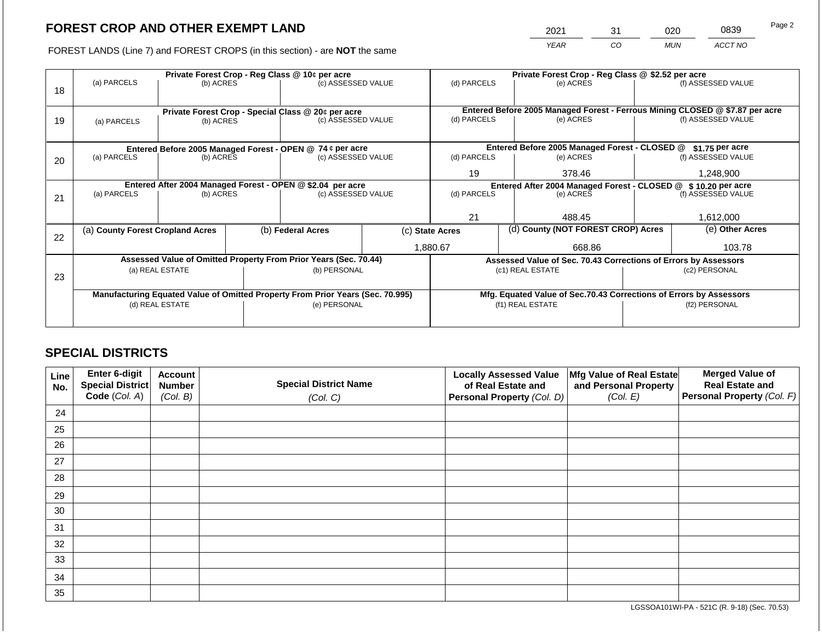2021 31 020 0839 Page 2

FOREST LANDS (Line 7) and FOREST CROPS (in this section) - are **NOT** the same *YEAR CO MUN ACCT NO*

|    | Private Forest Crop - Reg Class @ 10¢ per acre             |                 |                    |                                                                                |             | Private Forest Crop - Reg Class @ \$2.52 per acre                |                  |                                                                    |                                                                              |                    |
|----|------------------------------------------------------------|-----------------|--------------------|--------------------------------------------------------------------------------|-------------|------------------------------------------------------------------|------------------|--------------------------------------------------------------------|------------------------------------------------------------------------------|--------------------|
| 18 | (a) PARCELS                                                | (b) ACRES       |                    | (c) ASSESSED VALUE                                                             |             | (d) PARCELS                                                      |                  | (e) ACRES                                                          |                                                                              | (f) ASSESSED VALUE |
|    |                                                            |                 |                    |                                                                                |             |                                                                  |                  |                                                                    |                                                                              |                    |
|    |                                                            |                 |                    | Private Forest Crop - Special Class @ 20¢ per acre                             |             |                                                                  |                  |                                                                    | Entered Before 2005 Managed Forest - Ferrous Mining CLOSED @ \$7.87 per acre |                    |
| 19 | (a) PARCELS                                                | (b) ACRES       |                    | (c) ASSESSED VALUE                                                             |             | (d) PARCELS                                                      |                  | (e) ACRES                                                          |                                                                              | (f) ASSESSED VALUE |
|    |                                                            |                 |                    |                                                                                |             |                                                                  |                  |                                                                    |                                                                              |                    |
|    |                                                            |                 |                    | Entered Before 2005 Managed Forest - OPEN @ 74 ¢ per acre                      |             | Entered Before 2005 Managed Forest - CLOSED @<br>\$1.75 per acre |                  |                                                                    |                                                                              |                    |
| 20 | (a) PARCELS                                                | (b) ACRES       | (c) ASSESSED VALUE |                                                                                | (d) PARCELS |                                                                  | (e) ACRES        |                                                                    | (f) ASSESSED VALUE                                                           |                    |
|    |                                                            |                 |                    |                                                                                |             | 19                                                               |                  | 378.46                                                             |                                                                              | 1,248,900          |
|    | Entered After 2004 Managed Forest - OPEN @ \$2.04 per acre |                 |                    |                                                                                |             |                                                                  |                  | Entered After 2004 Managed Forest - CLOSED @ \$10.20 per acre      |                                                                              |                    |
| 21 | (a) PARCELS                                                | (b) ACRES       |                    | (c) ASSESSED VALUE                                                             |             | (d) PARCELS<br>(e) ACRES                                         |                  |                                                                    | (f) ASSESSED VALUE                                                           |                    |
|    |                                                            |                 |                    |                                                                                |             |                                                                  |                  |                                                                    |                                                                              |                    |
|    |                                                            |                 |                    |                                                                                |             | 21                                                               |                  | 488.45                                                             |                                                                              | 1,612,000          |
| 22 | (a) County Forest Cropland Acres                           |                 |                    | (b) Federal Acres                                                              |             | (c) State Acres                                                  |                  | (d) County (NOT FOREST CROP) Acres                                 |                                                                              | (e) Other Acres    |
|    |                                                            |                 |                    |                                                                                |             | 1,880.67<br>668.86                                               |                  |                                                                    |                                                                              | 103.78             |
|    |                                                            |                 |                    | Assessed Value of Omitted Property From Prior Years (Sec. 70.44)               |             |                                                                  |                  | Assessed Value of Sec. 70.43 Corrections of Errors by Assessors    |                                                                              |                    |
|    |                                                            | (a) REAL ESTATE |                    | (b) PERSONAL                                                                   |             |                                                                  |                  | (c1) REAL ESTATE                                                   |                                                                              | (c2) PERSONAL      |
| 23 |                                                            |                 |                    |                                                                                |             |                                                                  |                  |                                                                    |                                                                              |                    |
|    |                                                            |                 |                    | Manufacturing Equated Value of Omitted Property From Prior Years (Sec. 70.995) |             |                                                                  |                  | Mfg. Equated Value of Sec.70.43 Corrections of Errors by Assessors |                                                                              |                    |
|    | (d) REAL ESTATE                                            |                 | (e) PERSONAL       |                                                                                |             |                                                                  | (f1) REAL ESTATE |                                                                    | (f2) PERSONAL                                                                |                    |
|    |                                                            |                 |                    |                                                                                |             |                                                                  |                  |                                                                    |                                                                              |                    |
|    |                                                            |                 |                    |                                                                                |             |                                                                  |                  |                                                                    |                                                                              |                    |

## **SPECIAL DISTRICTS**

| Line<br>No. | Enter 6-digit<br><b>Special District</b> | <b>Account</b><br><b>Number</b> | <b>Special District Name</b> | <b>Locally Assessed Value</b><br>of Real Estate and | Mfg Value of Real Estate<br>and Personal Property | <b>Merged Value of</b><br><b>Real Estate and</b> |
|-------------|------------------------------------------|---------------------------------|------------------------------|-----------------------------------------------------|---------------------------------------------------|--------------------------------------------------|
|             | Code (Col. A)                            | (Col. B)                        | (Col. C)                     | Personal Property (Col. D)                          | (Col. E)                                          | Personal Property (Col. F)                       |
| 24          |                                          |                                 |                              |                                                     |                                                   |                                                  |
| 25          |                                          |                                 |                              |                                                     |                                                   |                                                  |
| 26          |                                          |                                 |                              |                                                     |                                                   |                                                  |
| 27          |                                          |                                 |                              |                                                     |                                                   |                                                  |
| 28          |                                          |                                 |                              |                                                     |                                                   |                                                  |
| 29          |                                          |                                 |                              |                                                     |                                                   |                                                  |
| 30          |                                          |                                 |                              |                                                     |                                                   |                                                  |
| 31          |                                          |                                 |                              |                                                     |                                                   |                                                  |
| 32          |                                          |                                 |                              |                                                     |                                                   |                                                  |
| 33          |                                          |                                 |                              |                                                     |                                                   |                                                  |
| 34          |                                          |                                 |                              |                                                     |                                                   |                                                  |
| 35          |                                          |                                 |                              |                                                     |                                                   |                                                  |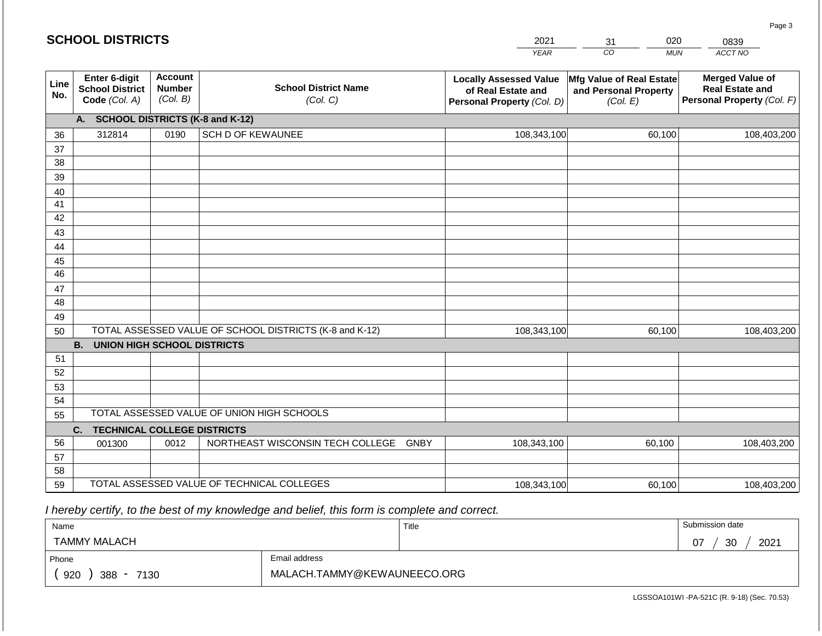| <b>SCHOOL DISTRICTS</b> |                                                          |                                             |                                                         | 2021                                                                              | 020<br>31                                                     | 0839                                                                           |
|-------------------------|----------------------------------------------------------|---------------------------------------------|---------------------------------------------------------|-----------------------------------------------------------------------------------|---------------------------------------------------------------|--------------------------------------------------------------------------------|
|                         |                                                          |                                             |                                                         | <b>YEAR</b>                                                                       | CO<br><b>MUN</b>                                              | ACCT NO                                                                        |
| Line<br>No.             | Enter 6-digit<br><b>School District</b><br>Code (Col. A) | <b>Account</b><br><b>Number</b><br>(Col. B) | <b>School District Name</b><br>(Col. C)                 | <b>Locally Assessed Value</b><br>of Real Estate and<br>Personal Property (Col. D) | Mfg Value of Real Estate<br>and Personal Property<br>(Col. E) | <b>Merged Value of</b><br><b>Real Estate and</b><br>Personal Property (Col. F) |
|                         | A. SCHOOL DISTRICTS (K-8 and K-12)                       |                                             |                                                         |                                                                                   |                                                               |                                                                                |
| 36                      | 312814                                                   | 0190                                        | <b>SCH D OF KEWAUNEE</b>                                | 108,343,100                                                                       | 60,100                                                        | 108,403,200                                                                    |
| 37                      |                                                          |                                             |                                                         |                                                                                   |                                                               |                                                                                |
| 38                      |                                                          |                                             |                                                         |                                                                                   |                                                               |                                                                                |
| 39                      |                                                          |                                             |                                                         |                                                                                   |                                                               |                                                                                |
| 40<br>41                |                                                          |                                             |                                                         |                                                                                   |                                                               |                                                                                |
| 42                      |                                                          |                                             |                                                         |                                                                                   |                                                               |                                                                                |
| 43                      |                                                          |                                             |                                                         |                                                                                   |                                                               |                                                                                |
| 44                      |                                                          |                                             |                                                         |                                                                                   |                                                               |                                                                                |
| 45                      |                                                          |                                             |                                                         |                                                                                   |                                                               |                                                                                |
| 46                      |                                                          |                                             |                                                         |                                                                                   |                                                               |                                                                                |
| 47                      |                                                          |                                             |                                                         |                                                                                   |                                                               |                                                                                |
| 48                      |                                                          |                                             |                                                         |                                                                                   |                                                               |                                                                                |
| 49                      |                                                          |                                             |                                                         |                                                                                   |                                                               |                                                                                |
| 50                      |                                                          |                                             | TOTAL ASSESSED VALUE OF SCHOOL DISTRICTS (K-8 and K-12) | 108,343,100                                                                       | 60,100                                                        | 108,403,200                                                                    |
|                         | <b>B.</b><br><b>UNION HIGH SCHOOL DISTRICTS</b>          |                                             |                                                         |                                                                                   |                                                               |                                                                                |
| 51<br>52                |                                                          |                                             |                                                         |                                                                                   |                                                               |                                                                                |
| 53                      |                                                          |                                             |                                                         |                                                                                   |                                                               |                                                                                |
| 54                      |                                                          |                                             |                                                         |                                                                                   |                                                               |                                                                                |
| 55                      |                                                          |                                             | TOTAL ASSESSED VALUE OF UNION HIGH SCHOOLS              |                                                                                   |                                                               |                                                                                |
|                         | <b>TECHNICAL COLLEGE DISTRICTS</b><br>C.                 |                                             |                                                         |                                                                                   |                                                               |                                                                                |
| 56                      | 001300                                                   | 0012                                        | NORTHEAST WISCONSIN TECH COLLEGE GNBY                   | 108,343,100                                                                       | 60,100                                                        | 108,403,200                                                                    |
| 57                      |                                                          |                                             |                                                         |                                                                                   |                                                               |                                                                                |
| 58                      |                                                          |                                             |                                                         |                                                                                   |                                                               |                                                                                |
| 59                      |                                                          |                                             | TOTAL ASSESSED VALUE OF TECHNICAL COLLEGES              | 108,343,100                                                                       | 60,100                                                        | 108,403,200                                                                    |

 *I hereby certify, to the best of my knowledge and belief, this form is complete and correct.*

| Name                   |                             | Title | Submission date  |  |
|------------------------|-----------------------------|-------|------------------|--|
| <b>TAMMY MALACH</b>    |                             |       | 2021<br>30<br>07 |  |
| Phone                  | Email address               |       |                  |  |
| 920<br>$388 -$<br>7130 | MALACH.TAMMY@KEWAUNEECO.ORG |       |                  |  |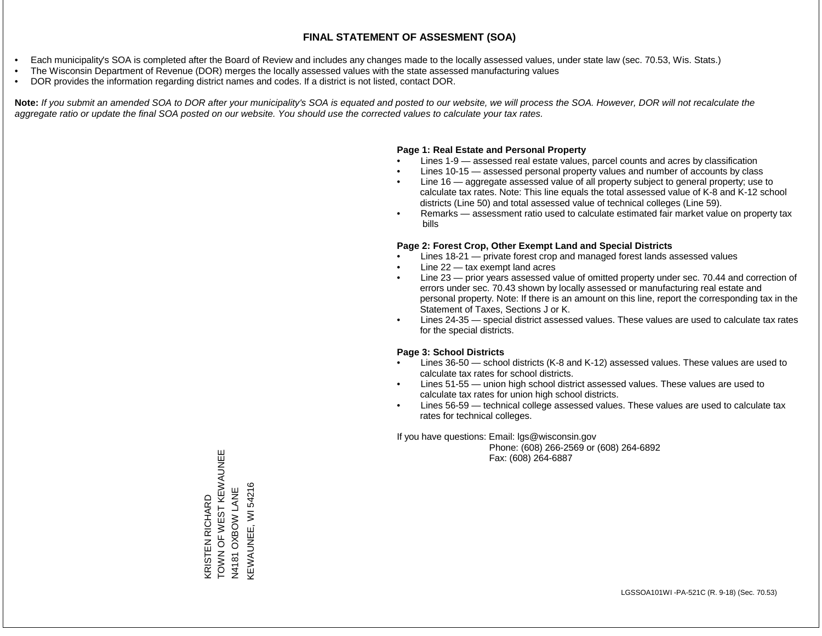- Each municipality's SOA is completed after the Board of Review and includes any changes made to the locally assessed values, under state law (sec. 70.53, Wis. Stats.)
- The Wisconsin Department of Revenue (DOR) merges the locally assessed values with the state assessed manufacturing values
- DOR provides the information regarding district names and codes. If a district is not listed, contact DOR.

Note: If you submit an amended SOA to DOR after your municipality's SOA is equated and posted to our website, we will process the SOA. However, DOR will not recalculate the *aggregate ratio or update the final SOA posted on our website. You should use the corrected values to calculate your tax rates.*

### **Page 1: Real Estate and Personal Property**

- Lines 1-9 assessed real estate values, parcel counts and acres by classification
- Lines 10-15 assessed personal property values and number of accounts by class
- Line 16 aggregate assessed value of all property subject to general property; use to calculate tax rates. Note: This line equals the total assessed value of K-8 and K-12 school districts (Line 50) and total assessed value of technical colleges (Line 59).
- Remarks assessment ratio used to calculate estimated fair market value on property tax bills

#### **Page 2: Forest Crop, Other Exempt Land and Special Districts**

- Lines 18-21 private forest crop and managed forest lands assessed values
- Line  $22 -$  tax exempt land acres
- Line 23 prior years assessed value of omitted property under sec. 70.44 and correction of errors under sec. 70.43 shown by locally assessed or manufacturing real estate and personal property. Note: If there is an amount on this line, report the corresponding tax in the Statement of Taxes, Sections J or K.
- Lines 24-35 special district assessed values. These values are used to calculate tax rates for the special districts.

#### **Page 3: School Districts**

- Lines 36-50 school districts (K-8 and K-12) assessed values. These values are used to calculate tax rates for school districts.
- Lines 51-55 union high school district assessed values. These values are used to calculate tax rates for union high school districts.
- Lines 56-59 technical college assessed values. These values are used to calculate tax rates for technical colleges.

If you have questions: Email: lgs@wisconsin.gov

 Phone: (608) 266-2569 or (608) 264-6892 Fax: (608) 264-6887

TOWN OF WEST KEWAUNEE KRISTEN RICHARD<br>TOWN OF WEST KEWAUNEE<br>N4181 OXBOW LANE KEWAUNEE, WI 54216 KEWAUNEE, WI 54216N4181 OXBOW LANE KRISTEN RICHARD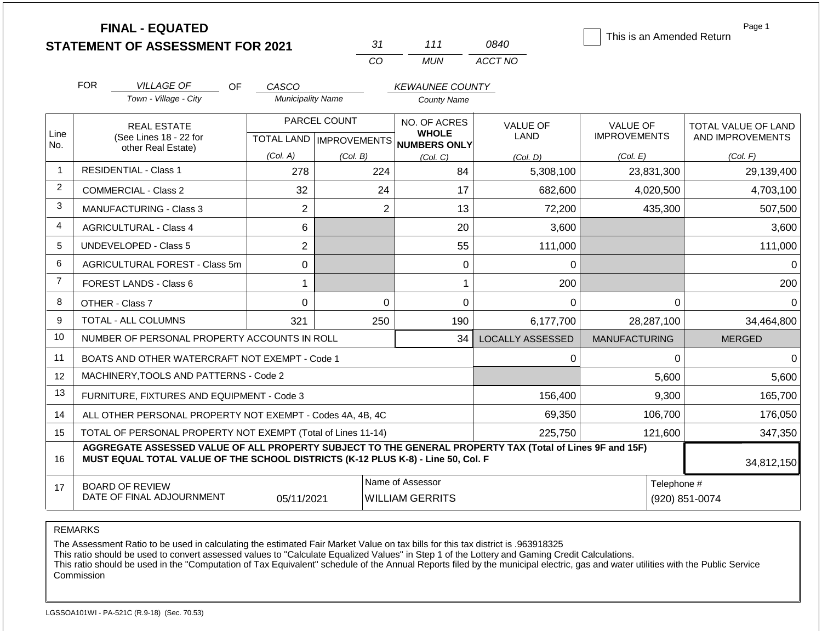|                |                                                       | <b>FINAL - EQUATED</b>                                                                                                                                                                       |                          | 31                        | 111                                 | 0840                    | This is an Amended Return | Page 1              |
|----------------|-------------------------------------------------------|----------------------------------------------------------------------------------------------------------------------------------------------------------------------------------------------|--------------------------|---------------------------|-------------------------------------|-------------------------|---------------------------|---------------------|
|                |                                                       | <b>STATEMENT OF ASSESSMENT FOR 2021</b>                                                                                                                                                      |                          | CO                        | <b>MUN</b>                          | ACCT NO                 |                           |                     |
|                |                                                       |                                                                                                                                                                                              |                          |                           |                                     |                         |                           |                     |
|                | <b>FOR</b><br><b>VILLAGE OF</b><br><b>OF</b><br>CASCO |                                                                                                                                                                                              |                          |                           | <b>KEWAUNEE COUNTY</b>              |                         |                           |                     |
|                | Town - Village - City                                 |                                                                                                                                                                                              | <b>Municipality Name</b> |                           | <b>County Name</b>                  |                         |                           |                     |
|                |                                                       | <b>REAL ESTATE</b>                                                                                                                                                                           |                          | PARCEL COUNT              | NO. OF ACRES                        | <b>VALUE OF</b>         | <b>VALUE OF</b>           | TOTAL VALUE OF LAND |
| Line<br>No.    |                                                       | (See Lines 18 - 22 for                                                                                                                                                                       |                          | TOTAL LAND   IMPROVEMENTS | <b>WHOLE</b><br><b>NUMBERS ONLY</b> | <b>LAND</b>             | <b>IMPROVEMENTS</b>       | AND IMPROVEMENTS    |
|                |                                                       | other Real Estate)                                                                                                                                                                           | (Col. A)                 | (Col, B)                  | (Col, C)                            | (Col, D)                | (Col. E)                  | (Col. F)            |
| $\mathbf 1$    |                                                       | <b>RESIDENTIAL - Class 1</b>                                                                                                                                                                 | 278                      | 224                       | 84                                  | 5,308,100               | 23,831,300                | 29,139,400          |
| 2              |                                                       | <b>COMMERCIAL - Class 2</b>                                                                                                                                                                  | 32                       | 24                        | 17                                  | 682,600                 | 4,020,500                 | 4,703,100           |
| 3              |                                                       | <b>MANUFACTURING - Class 3</b>                                                                                                                                                               | $\overline{2}$           | $\overline{2}$            | 13                                  | 72,200                  | 435,300                   | 507,500             |
| $\overline{4}$ |                                                       | <b>AGRICULTURAL - Class 4</b>                                                                                                                                                                | 6                        |                           | 20                                  | 3,600                   |                           | 3,600               |
| 5              |                                                       | <b>UNDEVELOPED - Class 5</b>                                                                                                                                                                 | $\overline{2}$           |                           | 55                                  | 111,000                 |                           | 111,000             |
| 6              |                                                       | AGRICULTURAL FOREST - Class 5m                                                                                                                                                               | 0                        |                           | $\Omega$                            | 0                       |                           | $\Omega$            |
| 7              |                                                       | FOREST LANDS - Class 6                                                                                                                                                                       | 1                        |                           | 1                                   | 200                     |                           | 200                 |
| 8              |                                                       | OTHER - Class 7                                                                                                                                                                              | 0                        | $\Omega$                  | 0                                   | $\Omega$                | $\Omega$                  | $\Omega$            |
| 9              |                                                       | TOTAL - ALL COLUMNS                                                                                                                                                                          | 321                      | 250                       | 190                                 | 6,177,700               | 28,287,100                | 34,464,800          |
| 10             |                                                       | NUMBER OF PERSONAL PROPERTY ACCOUNTS IN ROLL                                                                                                                                                 |                          |                           | 34                                  | <b>LOCALLY ASSESSED</b> | <b>MANUFACTURING</b>      | <b>MERGED</b>       |
| 11             |                                                       | BOATS AND OTHER WATERCRAFT NOT EXEMPT - Code 1                                                                                                                                               |                          |                           |                                     | 0                       | 0                         | $\mathbf{0}$        |
| 12             |                                                       | MACHINERY, TOOLS AND PATTERNS - Code 2                                                                                                                                                       |                          |                           |                                     |                         | 5,600                     | 5,600               |
| 13             |                                                       | FURNITURE, FIXTURES AND EQUIPMENT - Code 3                                                                                                                                                   |                          |                           |                                     | 156,400                 | 9,300                     | 165,700             |
| 14             |                                                       | ALL OTHER PERSONAL PROPERTY NOT EXEMPT - Codes 4A, 4B, 4C                                                                                                                                    |                          |                           |                                     | 69,350                  | 106,700                   | 176,050             |
| 15             |                                                       | TOTAL OF PERSONAL PROPERTY NOT EXEMPT (Total of Lines 11-14)                                                                                                                                 |                          |                           |                                     | 225,750                 | 121,600                   | 347,350             |
| 16             |                                                       | AGGREGATE ASSESSED VALUE OF ALL PROPERTY SUBJECT TO THE GENERAL PROPERTY TAX (Total of Lines 9F and 15F)<br>MUST EQUAL TOTAL VALUE OF THE SCHOOL DISTRICTS (K-12 PLUS K-8) - Line 50, Col. F |                          |                           |                                     |                         |                           | 34,812,150          |
| 17             |                                                       | <b>BOARD OF REVIEW</b>                                                                                                                                                                       |                          |                           | Name of Assessor                    |                         | Telephone #               |                     |

REMARKS

The Assessment Ratio to be used in calculating the estimated Fair Market Value on tax bills for this tax district is .963918325

This ratio should be used to convert assessed values to "Calculate Equalized Values" in Step 1 of the Lottery and Gaming Credit Calculations.

 This ratio should be used in the "Computation of Tax Equivalent" schedule of the Annual Reports filed by the municipal electric, gas and water utilities with the Public Service Commission

05/11/2021 WILLIAM GERRITS (920) 851-0074

DATE OF FINAL ADJOURNMENT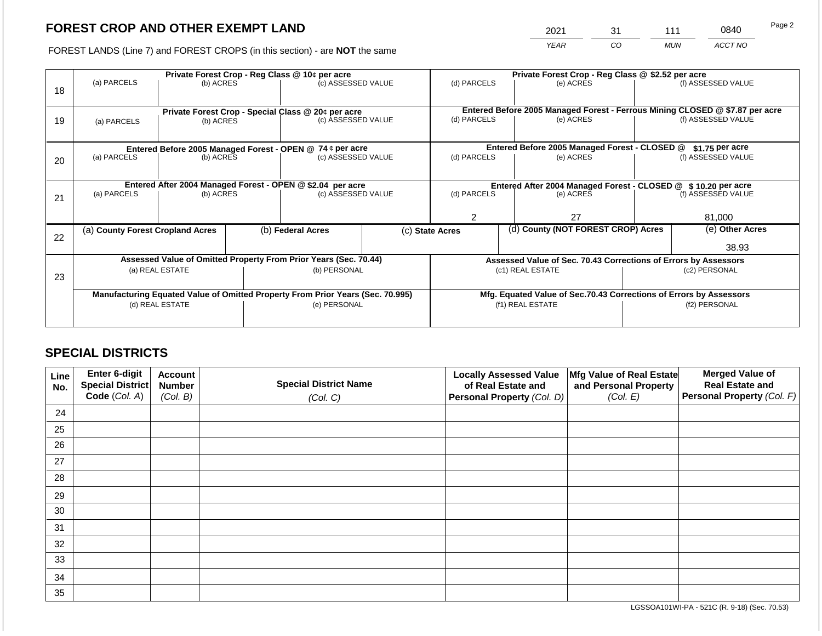2021 31 111 0840

FOREST LANDS (Line 7) and FOREST CROPS (in this section) - are **NOT** the same *YEAR CO MUN ACCT NO*

|    | Private Forest Crop - Reg Class @ 10¢ per acre            |                                                            |  |                                                                                |  | Private Forest Crop - Reg Class @ \$2.52 per acre                                           |                                                               |                                                                    |                    |                    |
|----|-----------------------------------------------------------|------------------------------------------------------------|--|--------------------------------------------------------------------------------|--|---------------------------------------------------------------------------------------------|---------------------------------------------------------------|--------------------------------------------------------------------|--------------------|--------------------|
|    | (a) PARCELS                                               | (b) ACRES                                                  |  | (c) ASSESSED VALUE                                                             |  | (d) PARCELS                                                                                 |                                                               | (e) ACRES                                                          |                    | (f) ASSESSED VALUE |
| 18 |                                                           |                                                            |  |                                                                                |  |                                                                                             |                                                               |                                                                    |                    |                    |
|    |                                                           |                                                            |  |                                                                                |  |                                                                                             |                                                               |                                                                    |                    |                    |
|    |                                                           |                                                            |  | Private Forest Crop - Special Class @ 20¢ per acre                             |  | Entered Before 2005 Managed Forest - Ferrous Mining CLOSED @ \$7.87 per acre<br>(d) PARCELS |                                                               | (e) ACRES                                                          |                    | (f) ASSESSED VALUE |
| 19 | (a) PARCELS                                               | (b) ACRES                                                  |  | (c) ASSESSED VALUE                                                             |  |                                                                                             |                                                               |                                                                    |                    |                    |
|    |                                                           |                                                            |  |                                                                                |  |                                                                                             |                                                               |                                                                    |                    |                    |
|    | Entered Before 2005 Managed Forest - OPEN @ 74 ¢ per acre |                                                            |  |                                                                                |  | Entered Before 2005 Managed Forest - CLOSED @<br>\$1.75 per acre                            |                                                               |                                                                    |                    |                    |
| 20 | (a) PARCELS                                               | (b) ACRES                                                  |  | (c) ASSESSED VALUE                                                             |  | (d) PARCELS                                                                                 |                                                               | (e) ACRES                                                          |                    | (f) ASSESSED VALUE |
|    |                                                           |                                                            |  |                                                                                |  |                                                                                             |                                                               |                                                                    |                    |                    |
|    |                                                           |                                                            |  |                                                                                |  |                                                                                             |                                                               |                                                                    |                    |                    |
|    |                                                           | Entered After 2004 Managed Forest - OPEN @ \$2.04 per acre |  |                                                                                |  |                                                                                             | Entered After 2004 Managed Forest - CLOSED @ \$10.20 per acre |                                                                    |                    |                    |
| 21 | (a) PARCELS                                               | (b) ACRES                                                  |  | (c) ASSESSED VALUE                                                             |  | (d) PARCELS<br>(e) ACRES                                                                    |                                                               |                                                                    | (f) ASSESSED VALUE |                    |
|    |                                                           |                                                            |  |                                                                                |  |                                                                                             |                                                               |                                                                    |                    |                    |
|    |                                                           |                                                            |  |                                                                                |  |                                                                                             |                                                               | 27                                                                 |                    | 81,000             |
|    | (a) County Forest Cropland Acres                          |                                                            |  | (b) Federal Acres                                                              |  | (d) County (NOT FOREST CROP) Acres<br>(c) State Acres                                       |                                                               |                                                                    |                    | (e) Other Acres    |
| 22 |                                                           |                                                            |  |                                                                                |  |                                                                                             |                                                               |                                                                    |                    |                    |
|    |                                                           |                                                            |  |                                                                                |  |                                                                                             |                                                               |                                                                    |                    | 38.93              |
|    |                                                           |                                                            |  | Assessed Value of Omitted Property From Prior Years (Sec. 70.44)               |  |                                                                                             |                                                               | Assessed Value of Sec. 70.43 Corrections of Errors by Assessors    |                    |                    |
|    |                                                           | (a) REAL ESTATE                                            |  | (b) PERSONAL                                                                   |  |                                                                                             |                                                               | (c1) REAL ESTATE                                                   |                    | (c2) PERSONAL      |
| 23 |                                                           |                                                            |  |                                                                                |  |                                                                                             |                                                               |                                                                    |                    |                    |
|    |                                                           |                                                            |  | Manufacturing Equated Value of Omitted Property From Prior Years (Sec. 70.995) |  |                                                                                             |                                                               | Mfg. Equated Value of Sec.70.43 Corrections of Errors by Assessors |                    |                    |
|    | (d) REAL ESTATE<br>(e) PERSONAL                           |                                                            |  |                                                                                |  |                                                                                             | (f1) REAL ESTATE                                              |                                                                    | (f2) PERSONAL      |                    |
|    |                                                           |                                                            |  |                                                                                |  |                                                                                             |                                                               |                                                                    |                    |                    |
|    |                                                           |                                                            |  |                                                                                |  |                                                                                             |                                                               |                                                                    |                    |                    |

## **SPECIAL DISTRICTS**

| Line<br>No. | Enter 6-digit<br>Special District<br>Code (Col. A) | <b>Account</b><br><b>Number</b><br>(Col. B) | <b>Special District Name</b><br>(Col. C) | <b>Locally Assessed Value</b><br>of Real Estate and<br><b>Personal Property (Col. D)</b> | Mfg Value of Real Estate<br>and Personal Property<br>(Col. E) | <b>Merged Value of</b><br><b>Real Estate and</b><br>Personal Property (Col. F) |
|-------------|----------------------------------------------------|---------------------------------------------|------------------------------------------|------------------------------------------------------------------------------------------|---------------------------------------------------------------|--------------------------------------------------------------------------------|
| 24          |                                                    |                                             |                                          |                                                                                          |                                                               |                                                                                |
| 25          |                                                    |                                             |                                          |                                                                                          |                                                               |                                                                                |
| 26          |                                                    |                                             |                                          |                                                                                          |                                                               |                                                                                |
| 27          |                                                    |                                             |                                          |                                                                                          |                                                               |                                                                                |
| 28          |                                                    |                                             |                                          |                                                                                          |                                                               |                                                                                |
| 29          |                                                    |                                             |                                          |                                                                                          |                                                               |                                                                                |
| 30          |                                                    |                                             |                                          |                                                                                          |                                                               |                                                                                |
| 31          |                                                    |                                             |                                          |                                                                                          |                                                               |                                                                                |
| 32          |                                                    |                                             |                                          |                                                                                          |                                                               |                                                                                |
| 33          |                                                    |                                             |                                          |                                                                                          |                                                               |                                                                                |
| 34          |                                                    |                                             |                                          |                                                                                          |                                                               |                                                                                |
| 35          |                                                    |                                             |                                          |                                                                                          |                                                               |                                                                                |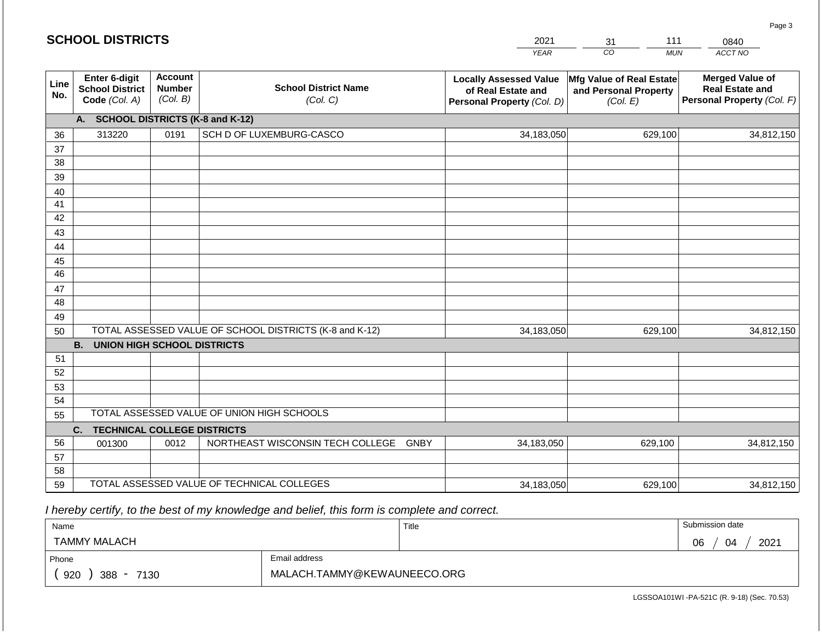#### *YEAR*  2021  $\overline{co}$ 31 *MUN ACCT NO*  0840 **Line No. Enter 6-digit School District Code** *(Col. A)* **Account Number** *(Col. B)* **School District Name** *(Col. C)* **Locally Assessed Value of Real Estate and Personal Property** *(Col. D)* **Mfg Value of Real Estate and Personal Property** *(Col. E)* **Merged Value of Real Estate and Personal Property** *(Col. F)* **A. SCHOOL DISTRICTS (K-8 and K-12)** 36 37 38 39 40 41 42 43 44 45 46 47 48 49 50 TOTAL ASSESSED VALUE OF SCHOOL DISTRICTS (K-8 and K-12) **B. UNION HIGH SCHOOL DISTRICTS** 51 52 53 54 55 **C. TECHNICAL COLLEGE DISTRICTS** 56 57 58 59 TOTAL ASSESSED VALUE OF TECHNICAL COLLEGES TOTAL ASSESSED VALUE OF UNION HIGH SCHOOLS 313220 0191 SCH D OF LUXEMBURG-CASCO 34,183,050 34,183,050 001300 | 0012 | NORTHEAST WISCONSIN TECH COLLEGE GNBY 34,183,050 629,100 34,812,150 629,100 34,812,150 629,100 34,812,150 34,183,050 629,100 34,812,150

 *I hereby certify, to the best of my knowledge and belief, this form is complete and correct.*

| Name                         |                             | Title | Submission date  |  |
|------------------------------|-----------------------------|-------|------------------|--|
| <b>TAMMY MALACH</b>          |                             |       | 2021<br>06<br>04 |  |
| Phone                        | Email address               |       |                  |  |
| 920<br>388<br>7130<br>$\sim$ | MALACH.TAMMY@KEWAUNEECO.ORG |       |                  |  |

LGSSOA101WI -PA-521C (R. 9-18) (Sec. 70.53)

Page 3

|  |  | <b>SCHOOL DISTRICTS</b> |  |  |
|--|--|-------------------------|--|--|
|  |  |                         |  |  |

111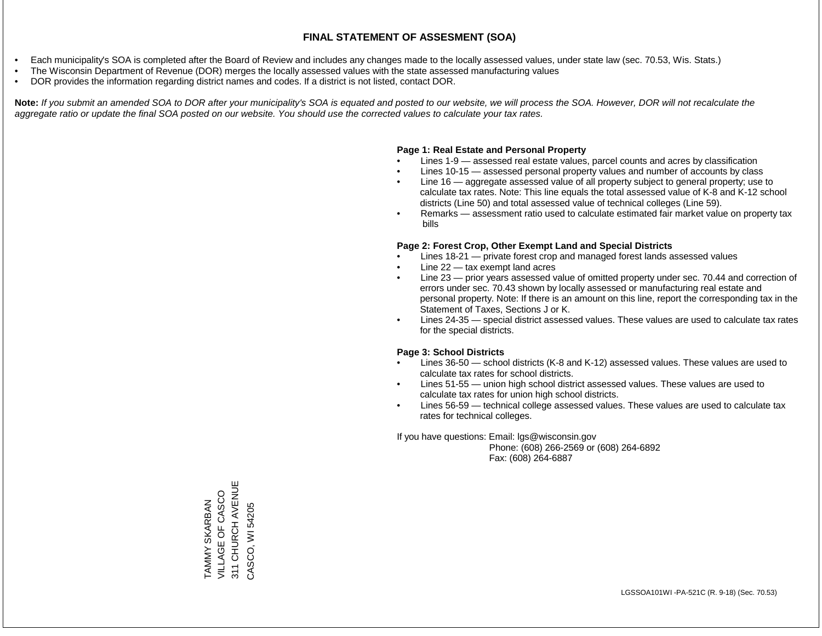- Each municipality's SOA is completed after the Board of Review and includes any changes made to the locally assessed values, under state law (sec. 70.53, Wis. Stats.)
- The Wisconsin Department of Revenue (DOR) merges the locally assessed values with the state assessed manufacturing values
- DOR provides the information regarding district names and codes. If a district is not listed, contact DOR.

Note: If you submit an amended SOA to DOR after your municipality's SOA is equated and posted to our website, we will process the SOA. However, DOR will not recalculate the *aggregate ratio or update the final SOA posted on our website. You should use the corrected values to calculate your tax rates.*

### **Page 1: Real Estate and Personal Property**

- Lines 1-9 assessed real estate values, parcel counts and acres by classification
- Lines 10-15 assessed personal property values and number of accounts by class
- Line 16 aggregate assessed value of all property subject to general property; use to calculate tax rates. Note: This line equals the total assessed value of K-8 and K-12 school districts (Line 50) and total assessed value of technical colleges (Line 59).
- Remarks assessment ratio used to calculate estimated fair market value on property tax bills

#### **Page 2: Forest Crop, Other Exempt Land and Special Districts**

- Lines 18-21 private forest crop and managed forest lands assessed values
- Line  $22 -$  tax exempt land acres
- Line 23 prior years assessed value of omitted property under sec. 70.44 and correction of errors under sec. 70.43 shown by locally assessed or manufacturing real estate and personal property. Note: If there is an amount on this line, report the corresponding tax in the Statement of Taxes, Sections J or K.
- Lines 24-35 special district assessed values. These values are used to calculate tax rates for the special districts.

#### **Page 3: School Districts**

- Lines 36-50 school districts (K-8 and K-12) assessed values. These values are used to calculate tax rates for school districts.
- Lines 51-55 union high school district assessed values. These values are used to calculate tax rates for union high school districts.
- Lines 56-59 technical college assessed values. These values are used to calculate tax rates for technical colleges.

If you have questions: Email: lgs@wisconsin.gov

 Phone: (608) 266-2569 or (608) 264-6892 Fax: (608) 264-6887

311 CHURCH AVENUE 311 CHURCH AVENUE VILLAGE OF CASCO TAMMY SKARBAN<br>VILLAGE OF CASCO TAMMY SKARBAN CASCO, WI 54205 CASCO, WI 54205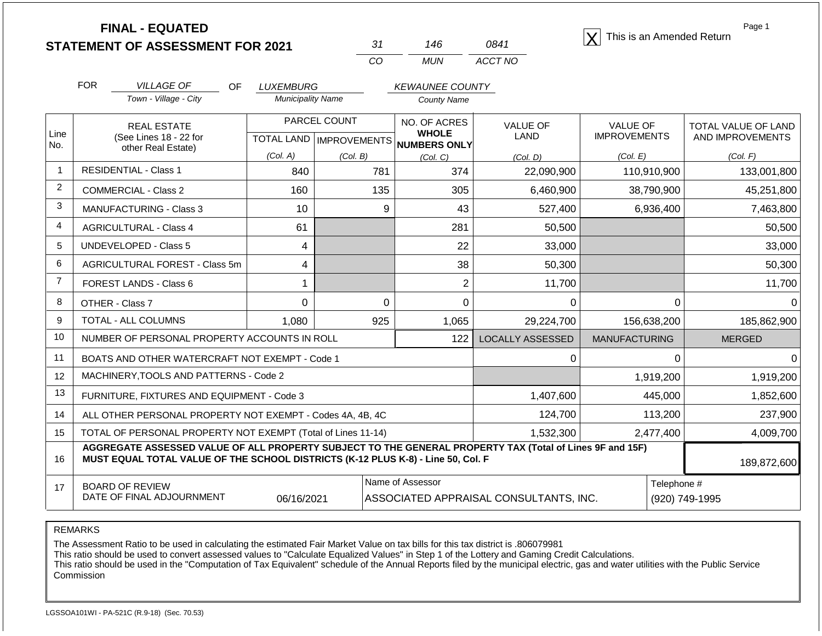| <b>FINAL - EQUATED</b>                  |     |      | $ \mathbf{X} $ This is an Amended Return |
|-----------------------------------------|-----|------|------------------------------------------|
| <b>STATEMENT OF ASSESSMENT FOR 2021</b> | 146 | 0841 |                                          |

| 31. | 146 | 0841    |
|-----|-----|---------|
| CO. | MUN | ACCT NO |

Page 1

|                               | <b>FOR</b>                                                  | <b>VILLAGE OF</b><br>OF                               | <b>LUXEMBURG</b>         |                                           | <b>KEWAUNEE COUNTY</b> |                     |                  |                            |
|-------------------------------|-------------------------------------------------------------|-------------------------------------------------------|--------------------------|-------------------------------------------|------------------------|---------------------|------------------|----------------------------|
|                               |                                                             | Town - Village - City                                 | <b>Municipality Name</b> |                                           | <b>County Name</b>     |                     |                  |                            |
|                               |                                                             | <b>REAL ESTATE</b>                                    |                          | PARCEL COUNT                              | NO. OF ACRES           | <b>VALUE OF</b>     | <b>VALUE OF</b>  | <b>TOTAL VALUE OF LAND</b> |
|                               | Line<br>(See Lines 18 - 22 for<br>No.<br>other Real Estate) | <b>TOTAL LAND</b>                                     |                          | <b>WHOLE</b><br>IMPROVEMENTS NUMBERS ONLY | LAND                   | <b>IMPROVEMENTS</b> | AND IMPROVEMENTS |                            |
|                               |                                                             | (Col. A)                                              | (Col. B)                 | (Col. C)                                  | (Col. D)               | (Col. E)            | (Col. F)         |                            |
|                               |                                                             | <b>RESIDENTIAL - Class 1</b>                          | 840                      | 781                                       | 374                    | 22,090,900          | 110,910,900      | 133,001,800                |
| 2                             |                                                             | COMMERCIAL - Class 2                                  | 160                      | 135                                       | 305                    | 6,460,900           | 38,790,900       | 45,251,800                 |
| 3                             |                                                             | <b>MANUFACTURING - Class 3</b>                        | 10 <sup>°</sup>          | 9                                         | 43                     | 527,400             | 6,936,400        | 7,463,800                  |
| 4                             |                                                             | <b>AGRICULTURAL - Class 4</b>                         | 61                       |                                           | 281                    | 50,500              |                  | 50,500                     |
| 5                             |                                                             | <b>UNDEVELOPED - Class 5</b>                          | 4                        |                                           | 22                     | 33,000              |                  | 33,000                     |
| 6                             |                                                             | AGRICULTURAL FOREST - Class 5m                        | 4                        |                                           | 38                     | 50,300              |                  | 50,300                     |
| 7                             |                                                             | FOREST LANDS - Class 6                                |                          |                                           | 2                      | 11,700              |                  | 11,700                     |
| 8                             |                                                             | OTHER - Class 7                                       | 0                        | 0                                         | 0                      | 0                   | 0                | 0                          |
| 9                             |                                                             | TOTAL - ALL COLUMNS                                   | 1,080                    | 925                                       | 1,065                  | 29,224,700          | 156,638,200      | 185,862,900                |
| $\overline{A}$ $\overline{A}$ |                                                             | $\cdots$ $\cdots$ $\cdots$ $\cdots$ $\cdots$ $\cdots$ |                          |                                           |                        |                     |                  |                            |

| 10 | NUMBER OF PERSONAL PROPERTY ACCOUNTS IN ROLL                                                                                                                                                                | 122       | LOCALLY ASSESSED | <b>MANUFACTURING</b> | <b>MERGED</b>  |  |
|----|-------------------------------------------------------------------------------------------------------------------------------------------------------------------------------------------------------------|-----------|------------------|----------------------|----------------|--|
|    | BOATS AND OTHER WATERCRAFT NOT EXEMPT - Code 1                                                                                                                                                              |           |                  |                      |                |  |
| 12 | MACHINERY, TOOLS AND PATTERNS - Code 2                                                                                                                                                                      |           | 1,919,200        | 1,919,200            |                |  |
| 13 | FURNITURE, FIXTURES AND EQUIPMENT - Code 3                                                                                                                                                                  | 1,407,600 | 445,000          | 1,852,600            |                |  |
| 14 | ALL OTHER PERSONAL PROPERTY NOT EXEMPT - Codes 4A, 4B, 4C                                                                                                                                                   | 124,700   | 113,200          | 237,900              |                |  |
| 15 | TOTAL OF PERSONAL PROPERTY NOT EXEMPT (Total of Lines 11-14)                                                                                                                                                |           | 1,532,300        | 2,477,400            | 4.009.700      |  |
| 16 | AGGREGATE ASSESSED VALUE OF ALL PROPERTY SUBJECT TO THE GENERAL PROPERTY TAX (Total of Lines 9F and 15F)<br>MUST EQUAL TOTAL VALUE OF THE SCHOOL DISTRICTS (K-12 PLUS K-8) - Line 50, Col. F<br>189,872,600 |           |                  |                      |                |  |
| 17 | Name of Assessor<br>Telephone #<br><b>BOARD OF REVIEW</b><br>DATE OF FINAL ADJOURNMENT<br>ASSOCIATED APPRAISAL CONSULTANTS, INC.<br>06/16/2021                                                              |           |                  |                      | (920) 749-1995 |  |

### REMARKS

The Assessment Ratio to be used in calculating the estimated Fair Market Value on tax bills for this tax district is .806079981

This ratio should be used to convert assessed values to "Calculate Equalized Values" in Step 1 of the Lottery and Gaming Credit Calculations.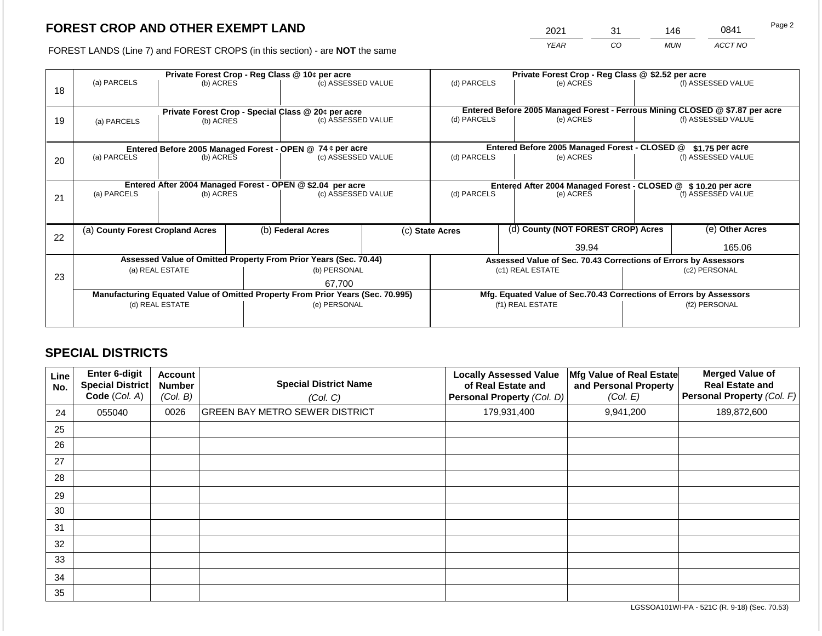2021 31 146 0841

FOREST LANDS (Line 7) and FOREST CROPS (in this section) - are **NOT** the same *YEAR CO MUN ACCT NO*

|    | Private Forest Crop - Reg Class @ 10¢ per acre                                   |                 |                                                                              |                                                                                |  | Private Forest Crop - Reg Class @ \$2.52 per acre |  |                                                                              |  |                    |
|----|----------------------------------------------------------------------------------|-----------------|------------------------------------------------------------------------------|--------------------------------------------------------------------------------|--|---------------------------------------------------|--|------------------------------------------------------------------------------|--|--------------------|
|    | (a) PARCELS                                                                      | (b) ACRES       |                                                                              | (c) ASSESSED VALUE                                                             |  | (d) PARCELS                                       |  | (e) ACRES                                                                    |  | (f) ASSESSED VALUE |
| 18 |                                                                                  |                 |                                                                              |                                                                                |  |                                                   |  |                                                                              |  |                    |
|    |                                                                                  |                 |                                                                              |                                                                                |  |                                                   |  | Entered Before 2005 Managed Forest - Ferrous Mining CLOSED @ \$7.87 per acre |  |                    |
|    |                                                                                  |                 |                                                                              | Private Forest Crop - Special Class @ 20¢ per acre<br>(c) ASSESSED VALUE       |  | (d) PARCELS                                       |  | (e) ACRES                                                                    |  | (f) ASSESSED VALUE |
| 19 | (a) PARCELS                                                                      | (b) ACRES       |                                                                              |                                                                                |  |                                                   |  |                                                                              |  |                    |
|    |                                                                                  |                 |                                                                              |                                                                                |  |                                                   |  |                                                                              |  |                    |
|    |                                                                                  |                 |                                                                              | Entered Before 2005 Managed Forest - OPEN @ 74 ¢ per acre                      |  |                                                   |  | Entered Before 2005 Managed Forest - CLOSED @                                |  | \$1.75 per acre    |
| 20 | (a) PARCELS                                                                      | (b) ACRES       |                                                                              | (c) ASSESSED VALUE                                                             |  | (d) PARCELS                                       |  | (e) ACRES                                                                    |  | (f) ASSESSED VALUE |
|    |                                                                                  |                 |                                                                              |                                                                                |  |                                                   |  |                                                                              |  |                    |
|    |                                                                                  |                 |                                                                              |                                                                                |  |                                                   |  |                                                                              |  |                    |
|    | Entered After 2004 Managed Forest - OPEN @ \$2.04 per acre<br>(c) ASSESSED VALUE |                 | Entered After 2004 Managed Forest - CLOSED @ \$10.20 per acre<br>(d) PARCELS |                                                                                |  | (f) ASSESSED VALUE                                |  |                                                                              |  |                    |
| 21 | (a) PARCELS                                                                      | (b) ACRES       |                                                                              |                                                                                |  |                                                   |  | (e) ACRES                                                                    |  |                    |
|    |                                                                                  |                 |                                                                              |                                                                                |  |                                                   |  |                                                                              |  |                    |
|    |                                                                                  |                 |                                                                              |                                                                                |  |                                                   |  |                                                                              |  |                    |
|    | (a) County Forest Cropland Acres                                                 |                 |                                                                              | (b) Federal Acres                                                              |  | (c) State Acres                                   |  | (d) County (NOT FOREST CROP) Acres                                           |  | (e) Other Acres    |
| 22 |                                                                                  |                 |                                                                              |                                                                                |  |                                                   |  |                                                                              |  |                    |
|    |                                                                                  |                 |                                                                              |                                                                                |  |                                                   |  | 39.94                                                                        |  | 165.06             |
|    |                                                                                  |                 |                                                                              | Assessed Value of Omitted Property From Prior Years (Sec. 70.44)               |  |                                                   |  | Assessed Value of Sec. 70.43 Corrections of Errors by Assessors              |  |                    |
| 23 |                                                                                  | (a) REAL ESTATE |                                                                              | (b) PERSONAL                                                                   |  |                                                   |  | (c1) REAL ESTATE                                                             |  | (c2) PERSONAL      |
|    |                                                                                  |                 |                                                                              | 67,700                                                                         |  |                                                   |  |                                                                              |  |                    |
|    |                                                                                  |                 |                                                                              | Manufacturing Equated Value of Omitted Property From Prior Years (Sec. 70.995) |  |                                                   |  | Mfg. Equated Value of Sec.70.43 Corrections of Errors by Assessors           |  |                    |
|    |                                                                                  | (d) REAL ESTATE |                                                                              | (e) PERSONAL                                                                   |  |                                                   |  | (f1) REAL ESTATE                                                             |  | (f2) PERSONAL      |
|    |                                                                                  |                 |                                                                              |                                                                                |  |                                                   |  |                                                                              |  |                    |
|    |                                                                                  |                 |                                                                              |                                                                                |  |                                                   |  |                                                                              |  |                    |

## **SPECIAL DISTRICTS**

| Line<br>No. | Enter 6-digit<br>Special District<br>Code (Col. A) | <b>Account</b><br><b>Number</b><br>(Col. B) | <b>Special District Name</b><br>(Col. C) | <b>Locally Assessed Value</b><br>of Real Estate and<br>Personal Property (Col. D) | Mfg Value of Real Estate<br>and Personal Property<br>(Col. E) | <b>Merged Value of</b><br><b>Real Estate and</b><br>Personal Property (Col. F) |
|-------------|----------------------------------------------------|---------------------------------------------|------------------------------------------|-----------------------------------------------------------------------------------|---------------------------------------------------------------|--------------------------------------------------------------------------------|
| 24          | 055040                                             | 0026                                        | <b>GREEN BAY METRO SEWER DISTRICT</b>    | 179,931,400                                                                       | 9,941,200                                                     | 189,872,600                                                                    |
| 25          |                                                    |                                             |                                          |                                                                                   |                                                               |                                                                                |
| 26          |                                                    |                                             |                                          |                                                                                   |                                                               |                                                                                |
| 27          |                                                    |                                             |                                          |                                                                                   |                                                               |                                                                                |
| 28          |                                                    |                                             |                                          |                                                                                   |                                                               |                                                                                |
| 29          |                                                    |                                             |                                          |                                                                                   |                                                               |                                                                                |
| 30          |                                                    |                                             |                                          |                                                                                   |                                                               |                                                                                |
| 31          |                                                    |                                             |                                          |                                                                                   |                                                               |                                                                                |
| 32          |                                                    |                                             |                                          |                                                                                   |                                                               |                                                                                |
| 33          |                                                    |                                             |                                          |                                                                                   |                                                               |                                                                                |
| 34          |                                                    |                                             |                                          |                                                                                   |                                                               |                                                                                |
| 35          |                                                    |                                             |                                          |                                                                                   |                                                               |                                                                                |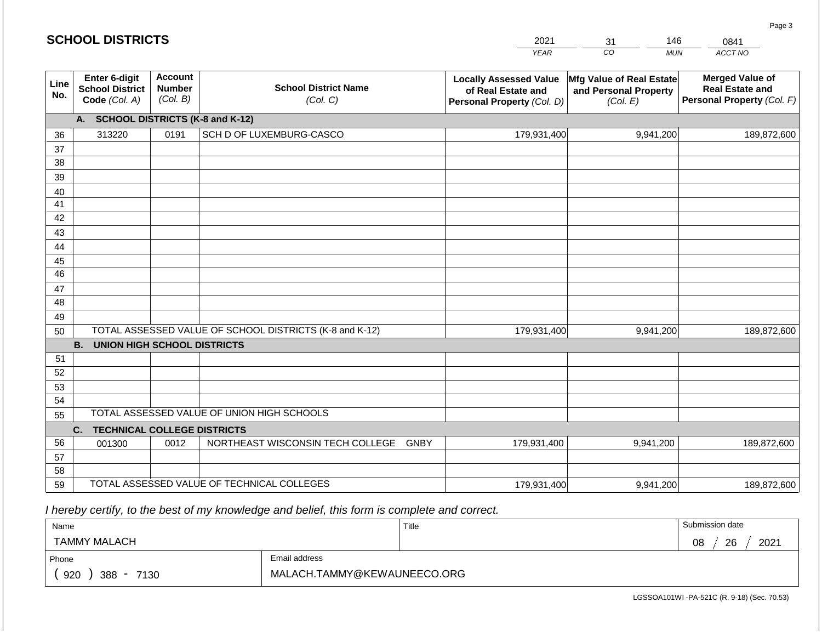#### $YE$ **20** *CO MUN ACCT NO*  0841 **Line No. Enter 6-digit School District Code** *(Col. A)* **Account Number** *(Col. B)* **School District Name** *(Col. C)* **Locally Assessed Value of Real Estate and Personal Property** *(Col. D)* **Mfg Value of Real Estate and Personal Property** *(Col. E)* **Merged Value of Real Estate and Personal Property** *(Col. F)* **A. SCHOOL DISTRICTS (K-8 and K-12)** 36 37 38 39 40 41 42 43 44 45 46 47 48 49 50 TOTAL ASSESSED VALUE OF SCHOOL DISTRICTS (K-8 and K-12) **B. UNION HIGH SCHOOL DISTRICTS** 51 52 53 54 55 **C. TECHNICAL COLLEGE DISTRICTS** 56 57 TOTAL ASSESSED VALUE OF UNION HIGH SCHOOLS 313220 0191 SCH D OF LUXEMBURG-CASCO 179,931,400 179,931,400 001300 | 0012 | NORTHEAST WISCONSIN TECH COLLEGE GNBY 9,941,200 189,872,600 9,941,200 189,872,600 179,931,400 9,941,200 189,872,600

 *I hereby certify, to the best of my knowledge and belief, this form is complete and correct.*

59 TOTAL ASSESSED VALUE OF TECHNICAL COLLEGES

| Name                                           |                             | Title | Submission date  |
|------------------------------------------------|-----------------------------|-------|------------------|
| <b>TAMMY MALACH</b>                            |                             |       | 2021<br>08<br>26 |
| Phone                                          | Email address               |       |                  |
| 920<br>388<br>7130<br>$\overline{\phantom{a}}$ | MALACH.TAMMY@KEWAUNEECO.ORG |       |                  |

179,931,400

LGSSOA101WI -PA-521C (R. 9-18) (Sec. 70.53)

9,941,200 189,872,600

Page 3

| <b>SCHOOL DISTRICTS</b> |  |  |  |  |  |
|-------------------------|--|--|--|--|--|
|-------------------------|--|--|--|--|--|

58

| 021 |    | AC          |  |
|-----|----|-------------|--|
| EAR | า∩ | <b>MLIN</b> |  |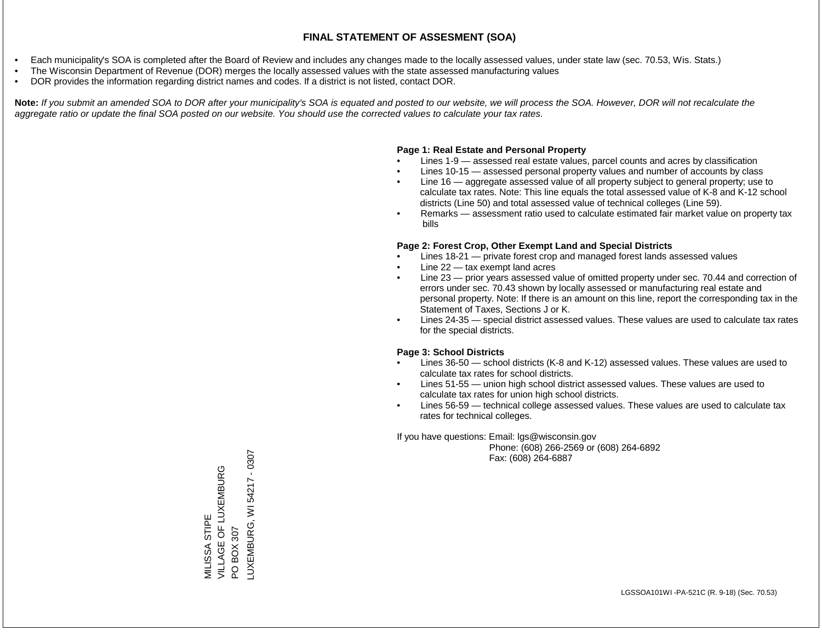- Each municipality's SOA is completed after the Board of Review and includes any changes made to the locally assessed values, under state law (sec. 70.53, Wis. Stats.)
- The Wisconsin Department of Revenue (DOR) merges the locally assessed values with the state assessed manufacturing values
- DOR provides the information regarding district names and codes. If a district is not listed, contact DOR.

Note: If you submit an amended SOA to DOR after your municipality's SOA is equated and posted to our website, we will process the SOA. However, DOR will not recalculate the *aggregate ratio or update the final SOA posted on our website. You should use the corrected values to calculate your tax rates.*

### **Page 1: Real Estate and Personal Property**

- Lines 1-9 assessed real estate values, parcel counts and acres by classification
- Lines 10-15 assessed personal property values and number of accounts by class
- Line 16 aggregate assessed value of all property subject to general property; use to calculate tax rates. Note: This line equals the total assessed value of K-8 and K-12 school districts (Line 50) and total assessed value of technical colleges (Line 59).
- Remarks assessment ratio used to calculate estimated fair market value on property tax bills

#### **Page 2: Forest Crop, Other Exempt Land and Special Districts**

- Lines 18-21 private forest crop and managed forest lands assessed values
- Line  $22 -$  tax exempt land acres
- Line 23 prior years assessed value of omitted property under sec. 70.44 and correction of errors under sec. 70.43 shown by locally assessed or manufacturing real estate and personal property. Note: If there is an amount on this line, report the corresponding tax in the Statement of Taxes, Sections J or K.
- Lines 24-35 special district assessed values. These values are used to calculate tax rates for the special districts.

#### **Page 3: School Districts**

- Lines 36-50 school districts (K-8 and K-12) assessed values. These values are used to calculate tax rates for school districts.
- Lines 51-55 union high school district assessed values. These values are used to calculate tax rates for union high school districts.
- Lines 56-59 technical college assessed values. These values are used to calculate tax rates for technical colleges.

If you have questions: Email: lgs@wisconsin.gov

 Phone: (608) 266-2569 or (608) 264-6892 Fax: (608) 264-6887

LUXEMBURG, WI 54217 - 0307LUXEMBURG, WI54217 - 0307 VILLAGE OF LUXEMBURG VILLAGE OF LUXEMBURG<br>PO BOX 307 MILISSA STIPE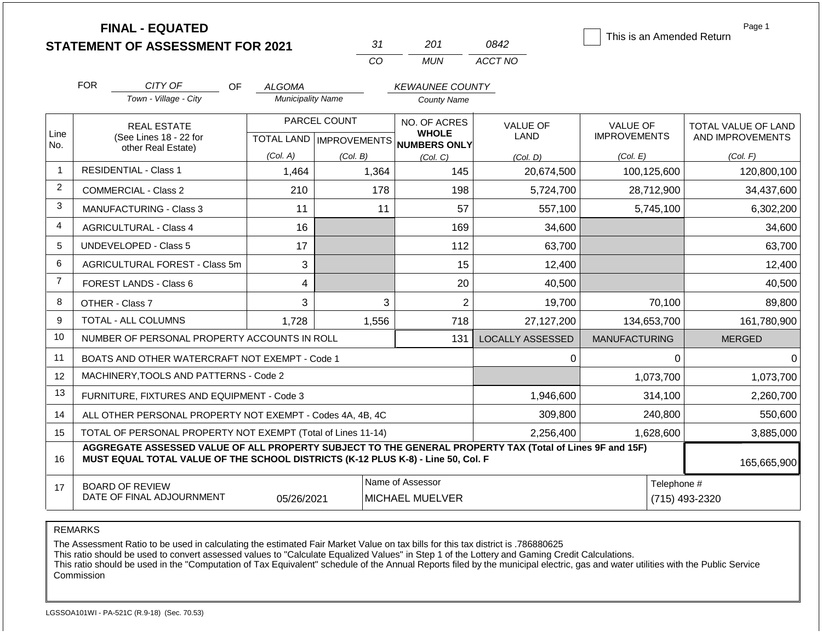| <b>FINAL - EQUATED</b> |                                                                                                                                                                                              |                          |                           |                              |                                |                                 |                                                |  |  |  |
|------------------------|----------------------------------------------------------------------------------------------------------------------------------------------------------------------------------------------|--------------------------|---------------------------|------------------------------|--------------------------------|---------------------------------|------------------------------------------------|--|--|--|
|                        | <b>STATEMENT OF ASSESSMENT FOR 2021</b>                                                                                                                                                      |                          | 31                        | 201                          | 0842                           | This is an Amended Return       |                                                |  |  |  |
|                        |                                                                                                                                                                                              |                          | CO                        | <b>MUN</b>                   | ACCT NO                        |                                 |                                                |  |  |  |
|                        | <b>FOR</b><br>CITY OF<br><b>OF</b><br><b>ALGOMA</b><br><b>KEWAUNEE COUNTY</b>                                                                                                                |                          |                           |                              |                                |                                 |                                                |  |  |  |
|                        | Town - Village - City                                                                                                                                                                        | <b>Municipality Name</b> |                           | <b>County Name</b>           |                                |                                 |                                                |  |  |  |
| Line                   | PARCEL COUNT<br><b>REAL ESTATE</b>                                                                                                                                                           |                          |                           | NO. OF ACRES<br><b>WHOLE</b> | <b>VALUE OF</b><br><b>LAND</b> | VALUE OF<br><b>IMPROVEMENTS</b> | <b>TOTAL VALUE OF LAND</b><br>AND IMPROVEMENTS |  |  |  |
| No.                    | (See Lines 18 - 22 for<br>other Real Estate)                                                                                                                                                 |                          | TOTAL LAND   IMPROVEMENTS | <b>NUMBERS ONLY</b>          |                                |                                 |                                                |  |  |  |
| -1                     | <b>RESIDENTIAL - Class 1</b>                                                                                                                                                                 | (Col. A)                 | (Col. B)                  | (Col, C)                     | (Col. D)                       | (Col. E)                        | (Col. F)                                       |  |  |  |
|                        |                                                                                                                                                                                              | 1,464                    | 1,364                     | 145                          | 20,674,500                     | 100,125,600                     | 120,800,100                                    |  |  |  |
| 2                      | <b>COMMERCIAL - Class 2</b>                                                                                                                                                                  | 210                      | 178                       | 198                          | 5,724,700                      | 28,712,900                      | 34,437,600                                     |  |  |  |
| 3                      | <b>MANUFACTURING - Class 3</b>                                                                                                                                                               | 11                       | 11                        | 57                           | 557,100                        | 5,745,100                       | 6,302,200                                      |  |  |  |
| $\overline{4}$         | <b>AGRICULTURAL - Class 4</b>                                                                                                                                                                | 16                       |                           | 169                          | 34,600                         |                                 | 34,600                                         |  |  |  |
| 5                      | <b>UNDEVELOPED - Class 5</b>                                                                                                                                                                 | 17                       |                           | 112                          | 63,700                         |                                 | 63,700                                         |  |  |  |
| 6                      | AGRICULTURAL FOREST - Class 5m                                                                                                                                                               | 3                        |                           | 15                           | 12,400                         |                                 | 12,400                                         |  |  |  |
| $\overline{7}$         | FOREST LANDS - Class 6                                                                                                                                                                       | 4                        |                           | 20                           | 40,500                         |                                 | 40,500                                         |  |  |  |
| 8                      | OTHER - Class 7                                                                                                                                                                              | 3                        | 3                         | $\overline{2}$               | 19,700                         | 70,100                          | 89,800                                         |  |  |  |
| 9                      | TOTAL - ALL COLUMNS                                                                                                                                                                          | 1,728                    | 1,556                     | 718                          | 27,127,200                     | 134,653,700                     | 161,780,900                                    |  |  |  |
| 10                     | NUMBER OF PERSONAL PROPERTY ACCOUNTS IN ROLL                                                                                                                                                 |                          |                           | 131                          | <b>LOCALLY ASSESSED</b>        | <b>MANUFACTURING</b>            | <b>MERGED</b>                                  |  |  |  |
| 11                     | BOATS AND OTHER WATERCRAFT NOT EXEMPT - Code 1                                                                                                                                               |                          |                           |                              | 0                              | $\Omega$                        | $\Omega$                                       |  |  |  |
| 12                     | MACHINERY, TOOLS AND PATTERNS - Code 2                                                                                                                                                       |                          |                           |                              |                                | 1,073,700                       | 1,073,700                                      |  |  |  |
| 13                     | FURNITURE, FIXTURES AND EQUIPMENT - Code 3                                                                                                                                                   |                          |                           |                              | 1,946,600                      | 314,100                         | 2,260,700                                      |  |  |  |
| 14                     | ALL OTHER PERSONAL PROPERTY NOT EXEMPT - Codes 4A, 4B, 4C                                                                                                                                    |                          |                           |                              | 309,800                        | 240,800                         | 550,600                                        |  |  |  |
| 15                     | TOTAL OF PERSONAL PROPERTY NOT EXEMPT (Total of Lines 11-14)<br>2,256,400                                                                                                                    |                          |                           |                              |                                | 1,628,600                       | 3,885,000                                      |  |  |  |
| 16                     | AGGREGATE ASSESSED VALUE OF ALL PROPERTY SUBJECT TO THE GENERAL PROPERTY TAX (Total of Lines 9F and 15F)<br>MUST EQUAL TOTAL VALUE OF THE SCHOOL DISTRICTS (K-12 PLUS K-8) - Line 50, Col. F |                          |                           |                              |                                |                                 | 165,665,900                                    |  |  |  |
| 17                     | Name of Assessor<br>Telephone #<br><b>BOARD OF REVIEW</b><br>DATE OF FINAL ADJOURNMENT<br>05/26/2021<br><b>MICHAEL MUELVER</b>                                                               |                          |                           |                              |                                |                                 | (715) 493-2320                                 |  |  |  |

REMARKS

The Assessment Ratio to be used in calculating the estimated Fair Market Value on tax bills for this tax district is .786880625

This ratio should be used to convert assessed values to "Calculate Equalized Values" in Step 1 of the Lottery and Gaming Credit Calculations.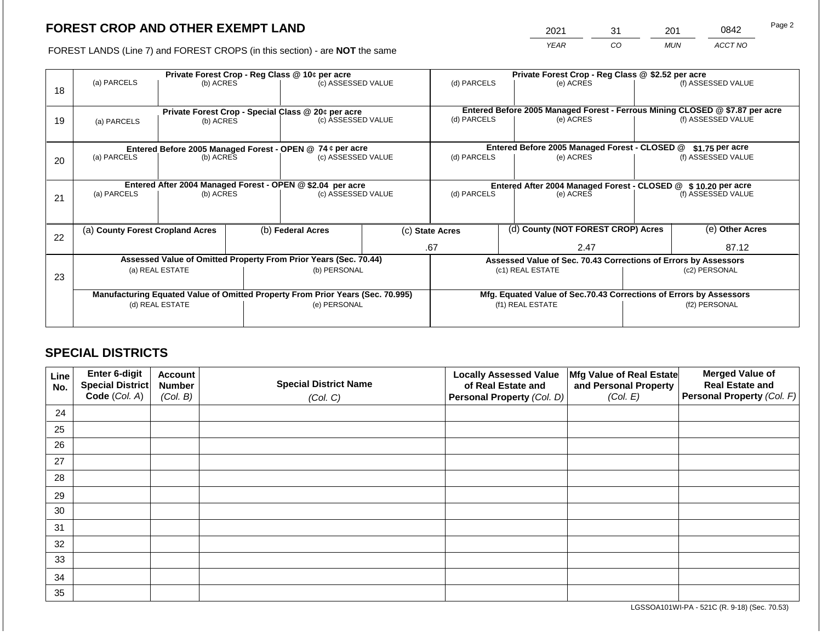2021 31 201 0842

FOREST LANDS (Line 7) and FOREST CROPS (in this section) - are **NOT** the same *YEAR CO MUN ACCT NO*

| 18 | Private Forest Crop - Reg Class @ 10¢ per acre<br>(a) PARCELS<br>(b) ACRES |                                                                 |                    | (c) ASSESSED VALUE                                                             |  | (d) PARCELS                                                        |  | Private Forest Crop - Reg Class @ \$2.52 per acre<br>(e) ACRES  |               | (f) ASSESSED VALUE                                                                                 |
|----|----------------------------------------------------------------------------|-----------------------------------------------------------------|--------------------|--------------------------------------------------------------------------------|--|--------------------------------------------------------------------|--|-----------------------------------------------------------------|---------------|----------------------------------------------------------------------------------------------------|
| 19 | (a) PARCELS                                                                | Private Forest Crop - Special Class @ 20¢ per acre<br>(b) ACRES |                    | (c) ASSESSED VALUE                                                             |  | (d) PARCELS                                                        |  | (e) ACRES                                                       |               | Entered Before 2005 Managed Forest - Ferrous Mining CLOSED @ \$7.87 per acre<br>(f) ASSESSED VALUE |
|    |                                                                            |                                                                 |                    | Entered Before 2005 Managed Forest - OPEN @ 74 ¢ per acre                      |  |                                                                    |  | Entered Before 2005 Managed Forest - CLOSED @                   |               | $$1.75$ per acre                                                                                   |
| 20 | (a) PARCELS<br>(b) ACRES                                                   |                                                                 |                    | (c) ASSESSED VALUE                                                             |  | (d) PARCELS<br>(e) ACRES                                           |  |                                                                 |               | (f) ASSESSED VALUE                                                                                 |
|    | Entered After 2004 Managed Forest - OPEN @ \$2.04 per acre                 |                                                                 |                    |                                                                                |  | Entered After 2004 Managed Forest - CLOSED @ \$10.20 per acre      |  |                                                                 |               |                                                                                                    |
| 21 | (a) PARCELS                                                                | (b) ACRES                                                       | (c) ASSESSED VALUE |                                                                                |  | (d) PARCELS<br>(e) ACRES                                           |  | (f) ASSESSED VALUE                                              |               |                                                                                                    |
|    |                                                                            |                                                                 |                    |                                                                                |  |                                                                    |  |                                                                 |               |                                                                                                    |
| 22 | (a) County Forest Cropland Acres                                           |                                                                 |                    | (b) Federal Acres                                                              |  | (c) State Acres                                                    |  | (d) County (NOT FOREST CROP) Acres                              |               | (e) Other Acres                                                                                    |
|    |                                                                            |                                                                 |                    |                                                                                |  | .67<br>2.47                                                        |  |                                                                 | 87.12         |                                                                                                    |
|    |                                                                            |                                                                 |                    | Assessed Value of Omitted Property From Prior Years (Sec. 70.44)               |  |                                                                    |  | Assessed Value of Sec. 70.43 Corrections of Errors by Assessors |               |                                                                                                    |
| 23 |                                                                            | (a) REAL ESTATE                                                 |                    | (b) PERSONAL                                                                   |  | (c1) REAL ESTATE                                                   |  |                                                                 | (c2) PERSONAL |                                                                                                    |
|    |                                                                            |                                                                 |                    |                                                                                |  |                                                                    |  |                                                                 |               |                                                                                                    |
|    |                                                                            |                                                                 |                    | Manufacturing Equated Value of Omitted Property From Prior Years (Sec. 70.995) |  | Mfg. Equated Value of Sec.70.43 Corrections of Errors by Assessors |  |                                                                 |               |                                                                                                    |
|    |                                                                            | (d) REAL ESTATE                                                 |                    | (e) PERSONAL                                                                   |  | (f1) REAL ESTATE                                                   |  |                                                                 | (f2) PERSONAL |                                                                                                    |
|    |                                                                            |                                                                 |                    |                                                                                |  |                                                                    |  |                                                                 |               |                                                                                                    |

## **SPECIAL DISTRICTS**

| Line<br>No. | <b>Enter 6-digit</b><br>Special District | <b>Account</b><br><b>Number</b> | <b>Special District Name</b> | <b>Locally Assessed Value</b><br>of Real Estate and | Mfg Value of Real Estate<br>and Personal Property | <b>Merged Value of</b><br><b>Real Estate and</b> |
|-------------|------------------------------------------|---------------------------------|------------------------------|-----------------------------------------------------|---------------------------------------------------|--------------------------------------------------|
|             | Code (Col. A)                            | (Col. B)                        | (Col. C)                     | Personal Property (Col. D)                          | (Col. E)                                          | <b>Personal Property (Col. F)</b>                |
| 24          |                                          |                                 |                              |                                                     |                                                   |                                                  |
| 25          |                                          |                                 |                              |                                                     |                                                   |                                                  |
| 26          |                                          |                                 |                              |                                                     |                                                   |                                                  |
| 27          |                                          |                                 |                              |                                                     |                                                   |                                                  |
| 28          |                                          |                                 |                              |                                                     |                                                   |                                                  |
| 29          |                                          |                                 |                              |                                                     |                                                   |                                                  |
| 30          |                                          |                                 |                              |                                                     |                                                   |                                                  |
| 31          |                                          |                                 |                              |                                                     |                                                   |                                                  |
| 32          |                                          |                                 |                              |                                                     |                                                   |                                                  |
| 33          |                                          |                                 |                              |                                                     |                                                   |                                                  |
| 34          |                                          |                                 |                              |                                                     |                                                   |                                                  |
| 35          |                                          |                                 |                              |                                                     |                                                   |                                                  |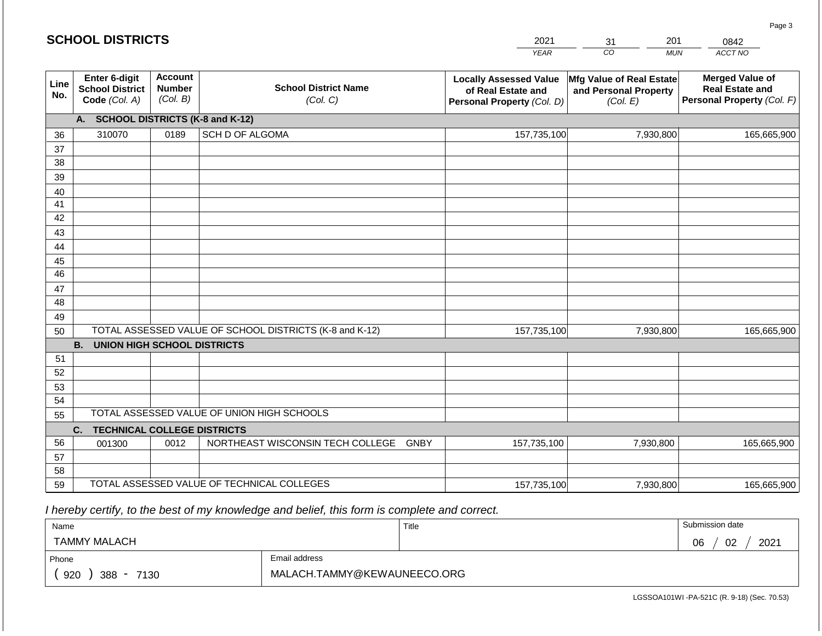#### *YEAR*  2021  $\overline{co}$ 31 *MUN*  201 *ACCT NO*  0842 **SCHOOL DISTRICTS Line No. Enter 6-digit School District Code** *(Col. A)* **Account Number** *(Col. B)* **School District Name** *(Col. C)* **Locally Assessed Value of Real Estate and Personal Property** *(Col. D)* **Mfg Value of Real Estate and Personal Property** *(Col. E)* **Merged Value of Real Estate and Personal Property** *(Col. F)* **A. SCHOOL DISTRICTS (K-8 and K-12)** 36 37 38 39 40 41 42 43 44 45 46 47 48 49 50 TOTAL ASSESSED VALUE OF SCHOOL DISTRICTS (K-8 and K-12) **B. UNION HIGH SCHOOL DISTRICTS** 51 52 53 54 55 **C. TECHNICAL COLLEGE DISTRICTS** 56 57 58 59 TOTAL ASSESSED VALUE OF TECHNICAL COLLEGES TOTAL ASSESSED VALUE OF UNION HIGH SCHOOLS 310070 0189 SCH D OF ALGOMA 157,735,100 157,735,100 001300 | 0012 | NORTHEAST WISCONSIN TECH COLLEGE GNBY 157,735,100 7,930,800 165,665,900 7,930,800 165,665,900 7,930,800 165,665,900 157,735,100 7,930,800 165,665,900

 *I hereby certify, to the best of my knowledge and belief, this form is complete and correct.*

| Name                                           |               | Title | Submission date  |
|------------------------------------------------|---------------|-------|------------------|
| <b>TAMMY MALACH</b>                            |               |       | 2021<br>06<br>02 |
| Phone                                          | Email address |       |                  |
| 920<br>388<br>7130<br>$\overline{\phantom{a}}$ |               |       |                  |

LGSSOA101WI -PA-521C (R. 9-18) (Sec. 70.53)

Page 3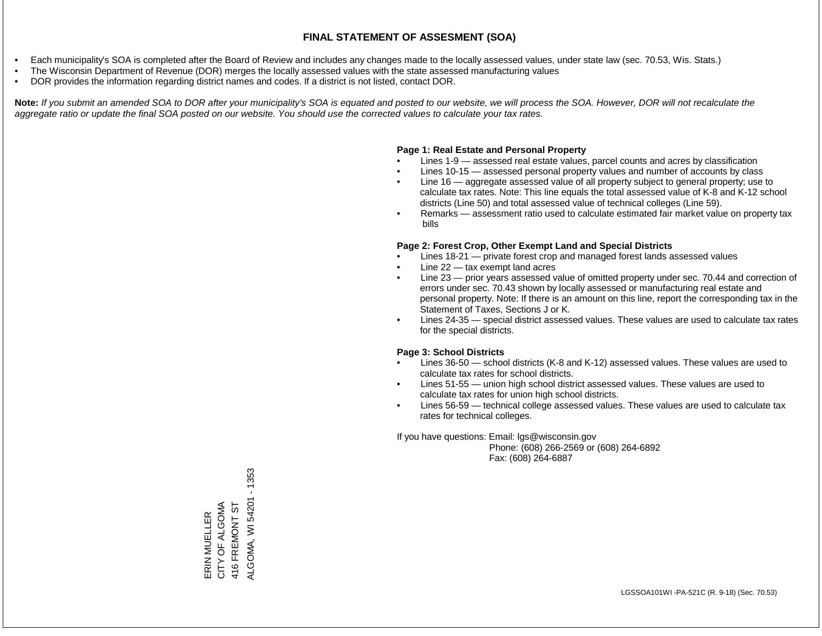- Each municipality's SOA is completed after the Board of Review and includes any changes made to the locally assessed values, under state law (sec. 70.53, Wis. Stats.)
- The Wisconsin Department of Revenue (DOR) merges the locally assessed values with the state assessed manufacturing values
- DOR provides the information regarding district names and codes. If a district is not listed, contact DOR.

Note: If you submit an amended SOA to DOR after your municipality's SOA is equated and posted to our website, we will process the SOA. However, DOR will not recalculate the *aggregate ratio or update the final SOA posted on our website. You should use the corrected values to calculate your tax rates.*

#### **Page 1: Real Estate and Personal Property**

- Lines 1-9 assessed real estate values, parcel counts and acres by classification
- Lines 10-15 assessed personal property values and number of accounts by class
- Line 16 aggregate assessed value of all property subject to general property; use to calculate tax rates. Note: This line equals the total assessed value of K-8 and K-12 school districts (Line 50) and total assessed value of technical colleges (Line 59).
- Remarks assessment ratio used to calculate estimated fair market value on property tax bills

#### **Page 2: Forest Crop, Other Exempt Land and Special Districts**

- Lines 18-21 private forest crop and managed forest lands assessed values
- Line  $22 -$  tax exempt land acres
- Line 23 prior years assessed value of omitted property under sec. 70.44 and correction of errors under sec. 70.43 shown by locally assessed or manufacturing real estate and personal property. Note: If there is an amount on this line, report the corresponding tax in the Statement of Taxes, Sections J or K.
- Lines 24-35 special district assessed values. These values are used to calculate tax rates for the special districts.

#### **Page 3: School Districts**

- Lines 36-50 school districts (K-8 and K-12) assessed values. These values are used to calculate tax rates for school districts.
- Lines 51-55 union high school district assessed values. These values are used to calculate tax rates for union high school districts.
- Lines 56-59 technical college assessed values. These values are used to calculate tax rates for technical colleges.

If you have questions: Email: lgs@wisconsin.gov

 Phone: (608) 266-2569 or (608) 264-6892 Fax: (608) 264-6887

ALGOMA, WI54201 - 1353 ALGOMA, WI 54201 - 1353ERIN MUELLER<br>CITY OF ALGOMA CITY OF ALGOMA 416 FREMONT ST 416 FREMONT ST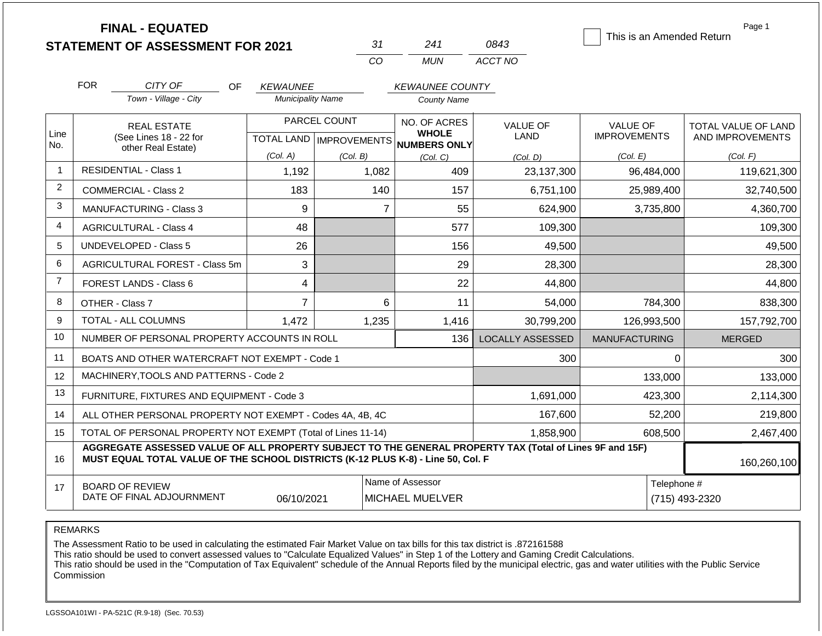|                |                                                                                                          | <b>FINAL - EQUATED</b><br><b>STATEMENT OF ASSESSMENT FOR 2021</b> |                                                     |          | 31    | 241                    | 0843                           | This is an Amended Return |                | Page 1              |
|----------------|----------------------------------------------------------------------------------------------------------|-------------------------------------------------------------------|-----------------------------------------------------|----------|-------|------------------------|--------------------------------|---------------------------|----------------|---------------------|
|                |                                                                                                          |                                                                   |                                                     |          | CO    | <b>MUN</b>             | ACCT NO                        |                           |                |                     |
|                | <b>FOR</b>                                                                                               | CITY OF<br>OF.                                                    | <b>KEWAUNEE</b>                                     |          |       | <b>KEWAUNEE COUNTY</b> |                                |                           |                |                     |
|                |                                                                                                          | Town - Village - City                                             | <b>Municipality Name</b>                            |          |       | <b>County Name</b>     |                                |                           |                |                     |
|                |                                                                                                          | <b>REAL ESTATE</b><br>(See Lines 18 - 22 for                      | PARCEL COUNT<br>TOTAL LAND MPROVEMENTS NUMBERS ONLY |          |       | NO. OF ACRES           | <b>VALUE OF</b><br><b>LAND</b> | <b>VALUE OF</b>           |                | TOTAL VALUE OF LAND |
| Line<br>No.    |                                                                                                          |                                                                   |                                                     |          |       | <b>WHOLE</b>           |                                | <b>IMPROVEMENTS</b>       |                | AND IMPROVEMENTS    |
|                |                                                                                                          | other Real Estate)                                                | (Col. A)                                            | (Col. B) |       | (Col, C)               | (Col, D)                       | (Col. E)                  |                | (Col. F)            |
| $\overline{1}$ |                                                                                                          | <b>RESIDENTIAL - Class 1</b>                                      | 1,192                                               |          | 1,082 | 409                    | 23,137,300                     | 96,484,000                |                | 119,621,300         |
| $\overline{2}$ |                                                                                                          | <b>COMMERCIAL - Class 2</b>                                       | 183                                                 |          | 140   | 157                    | 6,751,100                      | 25,989,400                |                | 32,740,500          |
| 3              |                                                                                                          | <b>MANUFACTURING - Class 3</b>                                    | 9                                                   |          | 7     | 55                     | 624,900                        | 3,735,800                 |                | 4,360,700           |
| 4              |                                                                                                          | <b>AGRICULTURAL - Class 4</b>                                     | 48                                                  |          |       | 577                    | 109,300                        |                           |                | 109,300             |
| 5              |                                                                                                          | <b>UNDEVELOPED - Class 5</b>                                      | 26                                                  |          |       | 156                    | 49,500                         |                           |                | 49,500              |
| 6              |                                                                                                          | AGRICULTURAL FOREST - Class 5m                                    | 3                                                   |          |       | 29                     | 28,300                         |                           |                | 28,300              |
| $\overline{7}$ |                                                                                                          | FOREST LANDS - Class 6                                            | 4                                                   |          |       | 22                     | 44,800                         |                           |                | 44,800              |
| 8              |                                                                                                          | OTHER - Class 7                                                   | $\overline{7}$                                      |          | 6     | 11                     | 54,000                         | 784,300                   |                | 838,300             |
| 9              |                                                                                                          | <b>TOTAL - ALL COLUMNS</b>                                        | 1,472                                               |          | 1,235 | 1,416                  | 30,799,200                     | 126,993,500               |                | 157,792,700         |
| 10             |                                                                                                          | NUMBER OF PERSONAL PROPERTY ACCOUNTS IN ROLL                      |                                                     |          |       | 136                    | <b>LOCALLY ASSESSED</b>        | <b>MANUFACTURING</b>      |                | <b>MERGED</b>       |
| 11             |                                                                                                          | BOATS AND OTHER WATERCRAFT NOT EXEMPT - Code 1                    |                                                     |          |       |                        | 300                            |                           | $\Omega$       | 300                 |
| 12             |                                                                                                          | MACHINERY, TOOLS AND PATTERNS - Code 2                            |                                                     |          |       |                        |                                | 133,000                   |                | 133,000             |
| 13             |                                                                                                          | FURNITURE, FIXTURES AND EQUIPMENT - Code 3                        |                                                     |          |       |                        | 1,691,000                      | 423,300                   |                | 2,114,300           |
| 14             | ALL OTHER PERSONAL PROPERTY NOT EXEMPT - Codes 4A, 4B, 4C                                                |                                                                   |                                                     |          |       |                        | 167,600                        |                           | 52,200         | 219,800             |
| 15             | TOTAL OF PERSONAL PROPERTY NOT EXEMPT (Total of Lines 11-14)                                             |                                                                   |                                                     |          |       |                        | 1,858,900                      | 608,500                   |                | 2,467,400           |
|                | AGGREGATE ASSESSED VALUE OF ALL PROPERTY SUBJECT TO THE GENERAL PROPERTY TAX (Total of Lines 9F and 15F) |                                                                   |                                                     |          |       |                        |                                |                           |                |                     |
| 16             | MUST EQUAL TOTAL VALUE OF THE SCHOOL DISTRICTS (K-12 PLUS K-8) - Line 50, Col. F                         |                                                                   |                                                     |          |       |                        |                                | 160,260,100               |                |                     |
| 17             |                                                                                                          | <b>BOARD OF REVIEW</b>                                            |                                                     |          |       | Name of Assessor       |                                |                           | Telephone #    |                     |
|                |                                                                                                          | DATE OF FINAL ADJOURNMENT                                         | 06/10/2021                                          |          |       | <b>MICHAEL MUELVER</b> |                                |                           | (715) 493-2320 |                     |

REMARKS

The Assessment Ratio to be used in calculating the estimated Fair Market Value on tax bills for this tax district is .872161588

This ratio should be used to convert assessed values to "Calculate Equalized Values" in Step 1 of the Lottery and Gaming Credit Calculations.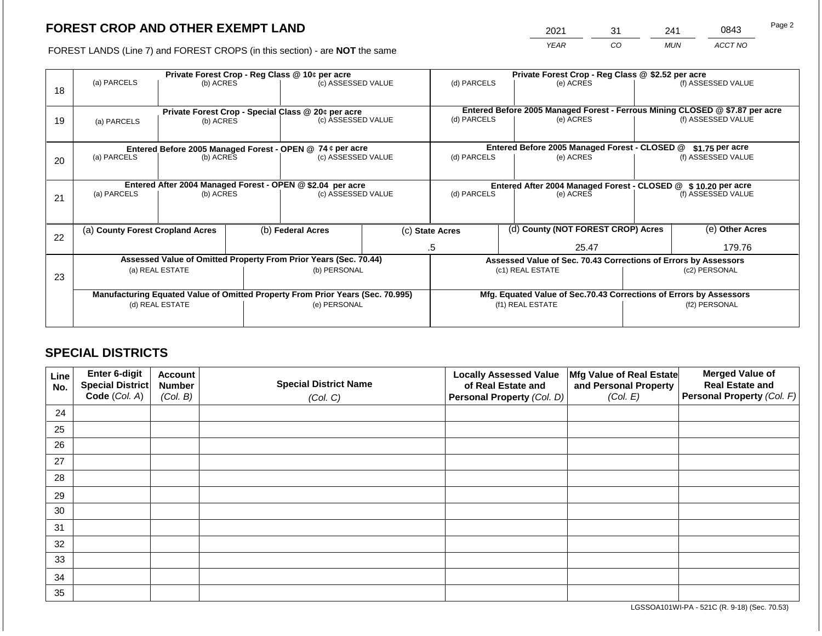2021 31 241 0843

FOREST LANDS (Line 7) and FOREST CROPS (in this section) - are **NOT** the same *YEAR CO MUN ACCT NO*

| 18 | Private Forest Crop - Reg Class @ 10¢ per acre<br>(a) PARCELS<br>(c) ASSESSED VALUE<br>(b) ACRES |                                                                 |                                                                    |                                                                  | (d) PARCELS                                                     |                  | Private Forest Crop - Reg Class @ \$2.52 per acre<br>(e) ACRES |                                               | (f) ASSESSED VALUE                                                                                 |                  |
|----|--------------------------------------------------------------------------------------------------|-----------------------------------------------------------------|--------------------------------------------------------------------|------------------------------------------------------------------|-----------------------------------------------------------------|------------------|----------------------------------------------------------------|-----------------------------------------------|----------------------------------------------------------------------------------------------------|------------------|
| 19 | (a) PARCELS                                                                                      | Private Forest Crop - Special Class @ 20¢ per acre<br>(b) ACRES |                                                                    |                                                                  | (d) PARCELS<br>(c) ASSESSED VALUE                               |                  | (e) ACRES                                                      |                                               | Entered Before 2005 Managed Forest - Ferrous Mining CLOSED @ \$7.87 per acre<br>(f) ASSESSED VALUE |                  |
|    |                                                                                                  |                                                                 |                                                                    | Entered Before 2005 Managed Forest - OPEN @ 74 ¢ per acre        |                                                                 |                  |                                                                | Entered Before 2005 Managed Forest - CLOSED @ |                                                                                                    | $$1.75$ per acre |
| 20 | (a) PARCELS<br>(b) ACRES                                                                         |                                                                 |                                                                    | (c) ASSESSED VALUE                                               |                                                                 |                  | (e) ACRES                                                      |                                               | (f) ASSESSED VALUE                                                                                 |                  |
|    | Entered After 2004 Managed Forest - OPEN @ \$2.04 per acre                                       |                                                                 | Entered After 2004 Managed Forest - CLOSED @ \$10.20 per acre      |                                                                  |                                                                 |                  |                                                                |                                               |                                                                                                    |                  |
| 21 | (a) PARCELS<br>(b) ACRES                                                                         |                                                                 |                                                                    | (c) ASSESSED VALUE                                               |                                                                 | (d) PARCELS      |                                                                | (e) ACRES                                     | (f) ASSESSED VALUE                                                                                 |                  |
|    |                                                                                                  |                                                                 |                                                                    |                                                                  |                                                                 |                  |                                                                |                                               |                                                                                                    |                  |
| 22 | (a) County Forest Cropland Acres                                                                 |                                                                 |                                                                    | (b) Federal Acres                                                |                                                                 | (c) State Acres  |                                                                | (d) County (NOT FOREST CROP) Acres            |                                                                                                    | (e) Other Acres  |
|    |                                                                                                  |                                                                 |                                                                    |                                                                  | 25.47<br>.5                                                     |                  | 179.76                                                         |                                               |                                                                                                    |                  |
|    |                                                                                                  |                                                                 |                                                                    | Assessed Value of Omitted Property From Prior Years (Sec. 70.44) | Assessed Value of Sec. 70.43 Corrections of Errors by Assessors |                  |                                                                |                                               |                                                                                                    |                  |
| 23 | (a) REAL ESTATE                                                                                  |                                                                 | (b) PERSONAL                                                       |                                                                  | (c1) REAL ESTATE                                                |                  | (c2) PERSONAL                                                  |                                               |                                                                                                    |                  |
|    |                                                                                                  |                                                                 |                                                                    |                                                                  |                                                                 |                  |                                                                |                                               |                                                                                                    |                  |
|    | Manufacturing Equated Value of Omitted Property From Prior Years (Sec. 70.995)                   |                                                                 | Mfg. Equated Value of Sec.70.43 Corrections of Errors by Assessors |                                                                  |                                                                 |                  |                                                                |                                               |                                                                                                    |                  |
|    |                                                                                                  | (d) REAL ESTATE                                                 |                                                                    | (e) PERSONAL                                                     |                                                                 | (f1) REAL ESTATE |                                                                | (f2) PERSONAL                                 |                                                                                                    |                  |
|    |                                                                                                  |                                                                 |                                                                    |                                                                  |                                                                 |                  |                                                                |                                               |                                                                                                    |                  |

## **SPECIAL DISTRICTS**

| Line<br>No. | <b>Enter 6-digit</b><br>Special District | <b>Account</b><br><b>Number</b> | <b>Special District Name</b> | <b>Locally Assessed Value</b><br>of Real Estate and | Mfg Value of Real Estate<br>and Personal Property | <b>Merged Value of</b><br><b>Real Estate and</b> |
|-------------|------------------------------------------|---------------------------------|------------------------------|-----------------------------------------------------|---------------------------------------------------|--------------------------------------------------|
|             | Code (Col. A)                            | (Col. B)                        | (Col. C)                     | Personal Property (Col. D)                          | (Col. E)                                          | <b>Personal Property (Col. F)</b>                |
| 24          |                                          |                                 |                              |                                                     |                                                   |                                                  |
| 25          |                                          |                                 |                              |                                                     |                                                   |                                                  |
| 26          |                                          |                                 |                              |                                                     |                                                   |                                                  |
| 27          |                                          |                                 |                              |                                                     |                                                   |                                                  |
| 28          |                                          |                                 |                              |                                                     |                                                   |                                                  |
| 29          |                                          |                                 |                              |                                                     |                                                   |                                                  |
| 30          |                                          |                                 |                              |                                                     |                                                   |                                                  |
| 31          |                                          |                                 |                              |                                                     |                                                   |                                                  |
| 32          |                                          |                                 |                              |                                                     |                                                   |                                                  |
| 33          |                                          |                                 |                              |                                                     |                                                   |                                                  |
| 34          |                                          |                                 |                              |                                                     |                                                   |                                                  |
| 35          |                                          |                                 |                              |                                                     |                                                   |                                                  |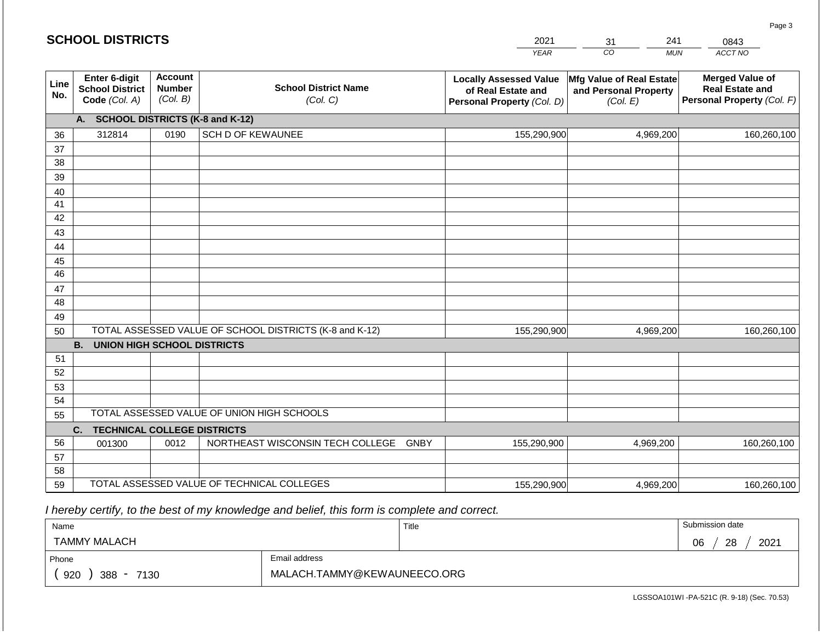|             | <b>SCHOOL DISTRICTS</b>                                         |                                             |                                                         | 2021<br>241<br>0843<br>31 |                                                                                   |                                                               |                                                                                |
|-------------|-----------------------------------------------------------------|---------------------------------------------|---------------------------------------------------------|---------------------------|-----------------------------------------------------------------------------------|---------------------------------------------------------------|--------------------------------------------------------------------------------|
|             |                                                                 |                                             |                                                         |                           | <b>YEAR</b>                                                                       | CO                                                            | ACCT NO<br><b>MUN</b>                                                          |
| Line<br>No. | <b>Enter 6-digit</b><br><b>School District</b><br>Code (Col. A) | <b>Account</b><br><b>Number</b><br>(Col. B) | <b>School District Name</b><br>(Col. C)                 |                           | <b>Locally Assessed Value</b><br>of Real Estate and<br>Personal Property (Col. D) | Mfg Value of Real Estate<br>and Personal Property<br>(Col. E) | <b>Merged Value of</b><br><b>Real Estate and</b><br>Personal Property (Col. F) |
|             | A.                                                              |                                             | <b>SCHOOL DISTRICTS (K-8 and K-12)</b>                  |                           |                                                                                   |                                                               |                                                                                |
| 36          | 312814                                                          | 0190                                        | <b>SCH D OF KEWAUNEE</b>                                |                           | 155,290,900                                                                       | 4,969,200                                                     | 160,260,100                                                                    |
| 37          |                                                                 |                                             |                                                         |                           |                                                                                   |                                                               |                                                                                |
| 38          |                                                                 |                                             |                                                         |                           |                                                                                   |                                                               |                                                                                |
| 39          |                                                                 |                                             |                                                         |                           |                                                                                   |                                                               |                                                                                |
| 40          |                                                                 |                                             |                                                         |                           |                                                                                   |                                                               |                                                                                |
| 41          |                                                                 |                                             |                                                         |                           |                                                                                   |                                                               |                                                                                |
| 42          |                                                                 |                                             |                                                         |                           |                                                                                   |                                                               |                                                                                |
| 43          |                                                                 |                                             |                                                         |                           |                                                                                   |                                                               |                                                                                |
| 44<br>45    |                                                                 |                                             |                                                         |                           |                                                                                   |                                                               |                                                                                |
| 46          |                                                                 |                                             |                                                         |                           |                                                                                   |                                                               |                                                                                |
| 47          |                                                                 |                                             |                                                         |                           |                                                                                   |                                                               |                                                                                |
| 48          |                                                                 |                                             |                                                         |                           |                                                                                   |                                                               |                                                                                |
| 49          |                                                                 |                                             |                                                         |                           |                                                                                   |                                                               |                                                                                |
| 50          |                                                                 |                                             | TOTAL ASSESSED VALUE OF SCHOOL DISTRICTS (K-8 and K-12) |                           | 155,290,900                                                                       | 4,969,200                                                     | 160,260,100                                                                    |
|             | <b>B.</b><br><b>UNION HIGH SCHOOL DISTRICTS</b>                 |                                             |                                                         |                           |                                                                                   |                                                               |                                                                                |
| 51          |                                                                 |                                             |                                                         |                           |                                                                                   |                                                               |                                                                                |
| 52          |                                                                 |                                             |                                                         |                           |                                                                                   |                                                               |                                                                                |
| 53          |                                                                 |                                             |                                                         |                           |                                                                                   |                                                               |                                                                                |
| 54          |                                                                 |                                             |                                                         |                           |                                                                                   |                                                               |                                                                                |
| 55          |                                                                 |                                             | TOTAL ASSESSED VALUE OF UNION HIGH SCHOOLS              |                           |                                                                                   |                                                               |                                                                                |
|             | C.<br><b>TECHNICAL COLLEGE DISTRICTS</b>                        |                                             |                                                         |                           |                                                                                   |                                                               |                                                                                |
| 56          | 001300                                                          | 0012                                        | NORTHEAST WISCONSIN TECH COLLEGE GNBY                   |                           | 155,290,900                                                                       | 4,969,200                                                     | 160,260,100                                                                    |
| 57          |                                                                 |                                             |                                                         |                           |                                                                                   |                                                               |                                                                                |
| 58          |                                                                 |                                             |                                                         |                           |                                                                                   |                                                               |                                                                                |
| 59          |                                                                 |                                             | TOTAL ASSESSED VALUE OF TECHNICAL COLLEGES              |                           | 155,290,900                                                                       | 4,969,200                                                     | 160,260,100                                                                    |

 *I hereby certify, to the best of my knowledge and belief, this form is complete and correct.*

| Name                 |                             | Title | Submission date  |
|----------------------|-----------------------------|-------|------------------|
| <b>TAMMY MALACH</b>  |                             |       | 28<br>2021<br>06 |
| Phone                | Email address               |       |                  |
| 920<br>388 -<br>7130 | MALACH.TAMMY@KEWAUNEECO.ORG |       |                  |

Page 3